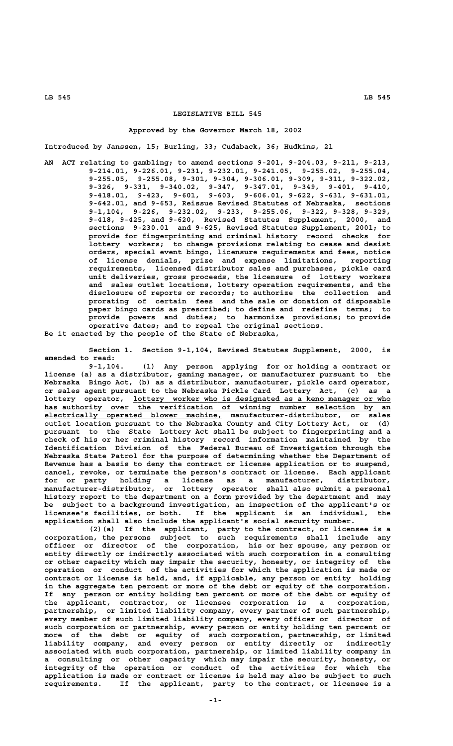# **LEGISLATIVE BILL 545**

#### **Approved by the Governor March 18, 2002**

**Introduced by Janssen, 15; Burling, 33; Cudaback, 36; Hudkins, 21**

**AN ACT relating to gambling; to amend sections 9-201, 9-204.03, 9-211, 9-213, 9-214.01, 9-226.01, 9-231, 9-232.01, 9-241.05, 9-255.02, 9-255.04, 9-255.05, 9-255.08, 9-301, 9-304, 9-306.01, 9-309, 9-311, 9-322.02, 9-326, 9-331, 9-340.02, 9-347, 9-347.01, 9-349, 9-401, 9-410, 9-418.01, 9-423, 9-601, 9-603, 9-606.01, 9-622, 9-631, 9-631.01, 9-642.01, and 9-653, Reissue Revised Statutes of Nebraska, sections 9-1,104, 9-226, 9-232.02, 9-233, 9-255.06, 9-322, 9-328, 9-329, 9-418, 9-425, and 9-620, Revised Statutes Supplement, 2000, and sections 9-230.01 and 9-625, Revised Statutes Supplement, 2001; to provide for fingerprinting and criminal history record checks for lottery workers; to change provisions relating to cease and desist orders, special event bingo, licensure requirements and fees, notice of license denials, prize and expense limitations, reporting requirements, licensed distributor sales and purchases, pickle card unit deliveries, gross proceeds, the licensure of lottery workers and sales outlet locations, lottery operation requirements, and the disclosure of reports or records; to authorize the collection and prorating of certain fees and the sale or donation of disposable paper bingo cards as prescribed; to define and redefine terms; to provide powers and duties; to harmonize provisions; to provide operative dates; and to repeal the original sections. Be it enacted by the people of the State of Nebraska,**

**Section 1. Section 9-1,104, Revised Statutes Supplement, 2000, is amended to read:**

**9-1,104. (1) Any person applying for or holding a contract or license (a) as a distributor, gaming manager, or manufacturer pursuant to the Nebraska Bingo Act, (b) as a distributor, manufacturer, pickle card operator, or sales agent pursuant to the Nebraska Pickle Card Lottery Act, (c) as a \_\_\_\_\_\_\_\_\_\_\_\_\_\_\_\_\_\_\_\_\_\_\_\_\_\_\_\_\_\_\_\_\_\_\_\_\_\_\_\_\_\_\_\_\_\_\_\_\_\_\_\_\_\_\_\_\_\_ lottery operator, lottery worker who is designated as a keno manager or who \_\_\_\_\_\_\_\_\_\_\_\_\_\_\_\_\_\_\_\_\_\_\_\_\_\_\_\_\_\_\_\_\_\_\_\_\_\_\_\_\_\_\_\_\_\_\_\_\_\_\_\_\_\_\_\_\_\_\_\_\_\_\_\_\_\_\_\_\_\_\_\_\_\_\_\_\_\_ has authority over the verification of winning number selection by an \_\_\_\_\_\_\_\_\_\_\_\_\_\_\_\_\_\_\_\_\_\_\_\_\_\_\_\_\_\_\_\_\_\_\_\_\_\_\_\_ electrically operated blower machine, manufacturer-distributor, or sales outlet location pursuant to the Nebraska County and City Lottery Act, or (d) pursuant to the State Lottery Act shall be subject to fingerprinting and a check of his or her criminal history record information maintained by the Identification Division of the Federal Bureau of Investigation through the Nebraska State Patrol for the purpose of determining whether the Department of Revenue has a basis to deny the contract or license application or to suspend, cancel, revoke, or terminate the person's contract or license. Each applicant for or party holding a license as a manufacturer, distributor, manufacturer-distributor, or lottery operator shall also submit a personal history report to the department on a form provided by the department and may be subject to a background investigation, an inspection of the applicant's or licensee's facilities, or both. If the applicant is an individual, the application shall also include the applicant's social security number.**

**(2)(a) If the applicant, party to the contract, or licensee is a corporation, the persons subject to such requirements shall include any officer or director of the corporation, his or her spouse, any person or entity directly or indirectly associated with such corporation in a consulting or other capacity which may impair the security, honesty, or integrity of the operation or conduct of the activities for which the application is made or contract or license is held, and, if applicable, any person or entity holding in the aggregate ten percent or more of the debt or equity of the corporation. If any person or entity holding ten percent or more of the debt or equity of the applicant, contractor, or licensee corporation is a corporation, partnership, or limited liability company, every partner of such partnership, every member of such limited liability company, every officer or director of such corporation or partnership, every person or entity holding ten percent or more of the debt or equity of such corporation, partnership, or limited liability company, and every person or entity directly or indirectly associated with such corporation, partnership, or limited liability company in a consulting or other capacity which may impair the security, honesty, or integrity of the operation or conduct of the activities for which the application is made or contract or license is held may also be subject to such requirements. If the applicant, party to the contract, or licensee is a**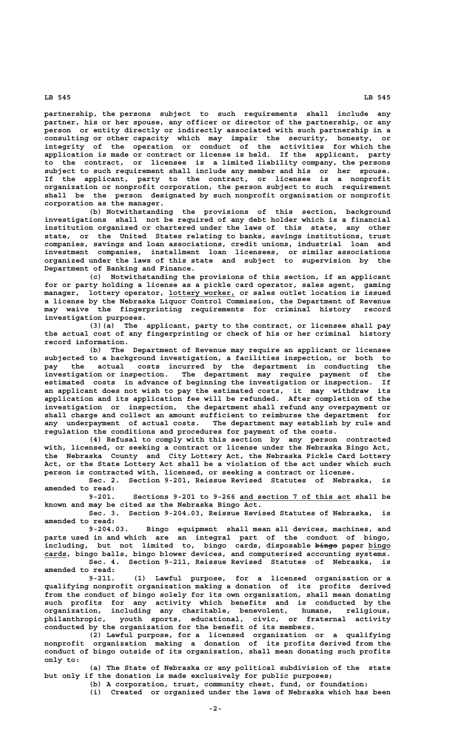**partnership, the persons subject to such requirements shall include any partner, his or her spouse, any officer or director of the partnership, or any person or entity directly or indirectly associated with such partnership in a consulting or other capacity which may impair the security, honesty, or integrity of the operation or conduct of the activities for which the application is made or contract or license is held. If the applicant, party to the contract, or licensee is a limited liability company, the persons subject to such requirement shall include any member and his or her spouse. If the applicant, party to the contract, or licensee is a nonprofit organization or nonprofit corporation, the person subject to such requirement shall be the person designated by such nonprofit organization or nonprofit corporation as the manager.**

**(b) Notwithstanding the provisions of this section, background investigations shall not be required of any debt holder which is a financial institution organized or chartered under the laws of this state, any other state, or the United States relating to banks, savings institutions, trust companies, savings and loan associations, credit unions, industrial loan and investment companies, installment loan licensees, or similar associations organized under the laws of this state and subject to supervision by the Department of Banking and Finance.**

**(c) Notwithstanding the provisions of this section, if an applicant for or party holding a license as a pickle card operator, sales agent, gaming**  $m$ anager, lottery operator, lottery worker, or sales outlet location is issued **a license by the Nebraska Liquor Control Commission, the Department of Revenue may waive the fingerprinting requirements for criminal history record investigation purposes.**

**(3)(a) The applicant, party to the contract, or licensee shall pay the actual cost of any fingerprinting or check of his or her criminal history record information.**

**(b) The Department of Revenue may require an applicant or licensee subjected to a background investigation, a facilities inspection, or both to pay the actual costs incurred by the department in conducting the investigation or inspection. The department may require payment of the estimated costs in advance of beginning the investigation or inspection. If an applicant does not wish to pay the estimated costs, it may withdraw its application and its application fee will be refunded. After completion of the investigation or inspection, the department shall refund any overpayment or shall charge and collect an amount sufficient to reimburse the department for any underpayment of actual costs. The department may establish by rule and regulation the conditions and procedures for payment of the costs.**

**(4) Refusal to comply with this section by any person contracted with, licensed, or seeking a contract or license under the Nebraska Bingo Act, the Nebraska County and City Lottery Act, the Nebraska Pickle Card Lottery Act, or the State Lottery Act shall be a violation of the act under which such person is contracted with, licensed, or seeking a contract or license.**

**Sec. 2. Section 9-201, Reissue Revised Statutes of Nebraska, is amended to read:**

 **\_\_\_\_\_\_\_\_\_\_\_\_\_\_\_\_\_\_\_\_\_\_\_\_\_ 9-201. Sections 9-201 to 9-266 and section 7 of this act shall be known and may be cited as the Nebraska Bingo Act.**

**Sec. 3. Section 9-204.03, Reissue Revised Statutes of Nebraska, is amended to read:**

**9-204.03. Bingo equipment shall mean all devices, machines, and parts used in and which are an integral part of the conduct of bingo,** including, but not limited to, bingo cards, disposable—b<del>ingo</del>-paper-bingo  **\_\_\_\_\_ cards, bingo balls, bingo blower devices, and computerized accounting systems. Sec. 4. Section 9-211, Reissue Revised Statutes of Nebraska, is amended to read:**

**9-211. (1) Lawful purpose, for a licensed organization or a qualifying nonprofit organization making a donation of its profits derived from the conduct of bingo solely for its own organization, shall mean donating such profits for any activity which benefits and is conducted by the organization, including any charitable, benevolent, humane, religious, philanthropic, youth sports, educational, civic, or fraternal activity conducted by the organization for the benefit of its members.**

**(2) Lawful purpose, for a licensed organization or a qualifying nonprofit organization making a donation of its profits derived from the conduct of bingo outside of its organization, shall mean donating such profits only to:**

**(a) The State of Nebraska or any political subdivision of the state but only if the donation is made exclusively for public purposes;**

**(b) A corporation, trust, community chest, fund, or foundation:**

**(i) Created or organized under the laws of Nebraska which has been**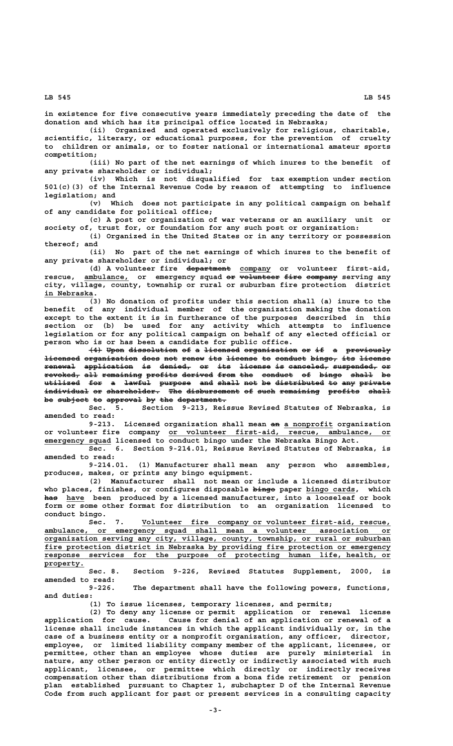**in existence for five consecutive years immediately preceding the date of the donation and which has its principal office located in Nebraska;**

**(ii) Organized and operated exclusively for religious, charitable, scientific, literary, or educational purposes, for the prevention of cruelty to children or animals, or to foster national or international amateur sports competition;**

**(iii) No part of the net earnings of which inures to the benefit of any private shareholder or individual;**

**(iv) Which is not disqualified for tax exemption under section 501(c)(3) of the Internal Revenue Code by reason of attempting to influence legislation; and**

**(v) Which does not participate in any political campaign on behalf of any candidate for political office;**

**(c) A post or organization of war veterans or an auxiliary unit or society of, trust for, or foundation for any such post or organization:**

**(i) Organized in the United States or in any territory or possession thereof; and**

**(ii) No part of the net earnings of which inures to the benefit of any private shareholder or individual; or**

 **—————————— \_\_\_\_\_\_\_ (d) A volunteer fire department company or volunteer first-aid, rescue, ambulance, or emergency squad or volunteer fire company serving any \_\_\_\_\_\_\_\_\_\_ —— ————————— ———— —————— city, village, county, township or rural or suburban fire protection district** in Nebraska.

**(3) No donation of profits under this section shall (a) inure to the benefit of any individual member of the organization making the donation except to the extent it is in furtherance of the purposes described in this section or (b) be used for any activity which attempts to influence legislation or for any political campaign on behalf of any elected official or person who is or has been a candidate for public office.**

 $\overline{44}$  Upon dissolution of a licensed organization or if a previously **licensed organization does not renew its license to conduct bingo, its license** renewal application is denied, or its license is canceled, suspended, or  ${\tt revoked}$ , all remaining profits derived from the conduct of bingo shall be **utilized for a lawful purpose and shall not be distributed to any private ———————— ——— — —————— ——————— ——— ————— ——— —— ——————————— —— ——— ——————** individual or shareholder. The disbursement of such remaining profits shall be subject to approval by the department.

**Sec. 5. Section 9-213, Reissue Revised Statutes of Nebraska, is amended to read:**

9-213. Licensed organization shall mean an a nonprofit organization  **\_\_\_\_\_\_\_\_\_\_\_\_\_\_\_\_\_\_\_\_\_\_\_\_\_\_\_\_\_\_\_\_\_\_\_\_\_\_\_\_\_\_\_\_\_\_\_\_\_\_ or volunteer fire company or volunteer first-aid, rescue, ambulance, or \_\_\_\_\_\_\_\_\_\_\_\_\_\_\_ emergency squad licensed to conduct bingo under the Nebraska Bingo Act.**

> **Sec. 6. Section 9-214.01, Reissue Revised Statutes of Nebraska, is amended to read:**

> **9-214.01. (1) Manufacturer shall mean any person who assembles, produces, makes, or prints any bingo equipment.**

> **(2) Manufacturer shall not mean or include a licensed distributor** who places, finishes, or configures disposable bingo paper bingo cards, which has have been produced by a licensed manufacturer, into a looseleaf or book **form or some other format for distribution to an organization licensed to conduct bingo.**

 **\_\_\_\_\_\_\_\_\_\_\_\_\_\_\_\_\_\_\_\_\_\_\_\_\_\_\_\_\_\_\_\_\_\_\_\_\_\_\_\_\_\_\_\_\_\_\_\_\_\_\_\_\_\_\_\_ Sec. 7. Volunteer fire company or volunteer first-aid, rescue, \_\_\_\_\_\_\_\_\_\_\_\_\_\_\_\_\_\_\_\_\_\_\_\_\_\_\_\_\_\_\_\_\_\_\_\_\_\_\_\_\_\_\_\_\_\_\_\_\_\_\_\_\_\_\_\_\_\_\_\_\_\_\_\_\_\_\_\_\_\_\_\_\_\_\_\_\_\_ ambulance, or emergency squad shall mean a volunteer association or \_\_\_\_\_\_\_\_\_\_\_\_\_\_\_\_\_\_\_\_\_\_\_\_\_\_\_\_\_\_\_\_\_\_\_\_\_\_\_\_\_\_\_\_\_\_\_\_\_\_\_\_\_\_\_\_\_\_\_\_\_\_\_\_\_\_\_\_\_\_\_\_\_\_\_\_\_\_ organization serving any city, village, county, township, or rural or suburban \_\_\_\_\_\_\_\_\_\_\_\_\_\_\_\_\_\_\_\_\_\_\_\_\_\_\_\_\_\_\_\_\_\_\_\_\_\_\_\_\_\_\_\_\_\_\_\_\_\_\_\_\_\_\_\_\_\_\_\_\_\_\_\_\_\_\_\_\_\_\_\_\_\_\_\_\_\_ fire protection district in Nebraska by providing fire protection or emergency \_\_\_\_\_\_\_\_\_\_\_\_\_\_\_\_\_\_\_\_\_\_\_\_\_\_\_\_\_\_\_\_\_\_\_\_\_\_\_\_\_\_\_\_\_\_\_\_\_\_\_\_\_\_\_\_\_\_\_\_\_\_\_\_\_\_\_\_\_\_\_\_\_\_\_\_\_\_ response services for the purpose of protecting human life, health, or property. \_\_\_\_\_\_\_\_\_**

**Sec. 8. Section 9-226, Revised Statutes Supplement, 2000, is amended to read:**

**9-226. The department shall have the following powers, functions, and duties:**

**(1) To issue licenses, temporary licenses, and permits;**

**(2) To deny any license or permit application or renewal license application for cause. Cause for denial of an application or renewal of a license shall include instances in which the applicant individually or, in the case of a business entity or a nonprofit organization, any officer, director, employee, or limited liability company member of the applicant, licensee, or permittee, other than an employee whose duties are purely ministerial in nature, any other person or entity directly or indirectly associated with such applicant, licensee, or permittee which directly or indirectly receives compensation other than distributions from a bona fide retirement or pension plan established pursuant to Chapter 1, subchapter D of the Internal Revenue Code from such applicant for past or present services in a consulting capacity**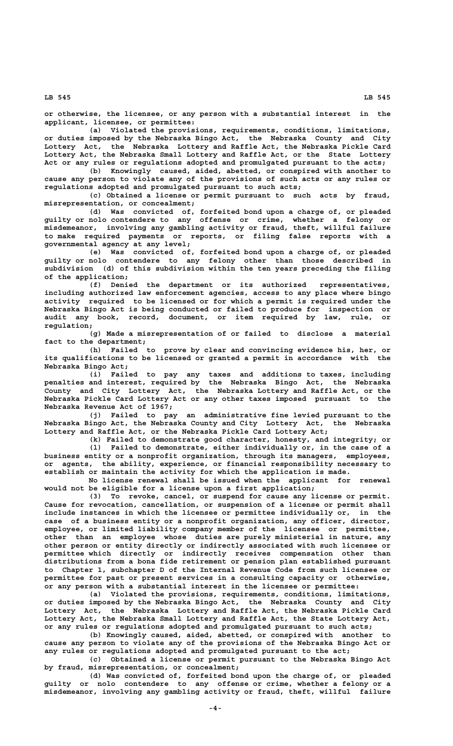**or otherwise, the licensee, or any person with a substantial interest in the applicant, licensee, or permittee:**

**(a) Violated the provisions, requirements, conditions, limitations, or duties imposed by the Nebraska Bingo Act, the Nebraska County and City Lottery Act, the Nebraska Lottery and Raffle Act, the Nebraska Pickle Card Lottery Act, the Nebraska Small Lottery and Raffle Act, or the State Lottery Act or any rules or regulations adopted and promulgated pursuant to the acts;**

**(b) Knowingly caused, aided, abetted, or conspired with another to cause any person to violate any of the provisions of such acts or any rules or regulations adopted and promulgated pursuant to such acts;**

**(c) Obtained a license or permit pursuant to such acts by fraud, misrepresentation, or concealment;**

**(d) Was convicted of, forfeited bond upon a charge of, or pleaded guilty or nolo contendere to any offense or crime, whether a felony or misdemeanor, involving any gambling activity or fraud, theft, willful failure to make required payments or reports, or filing false reports with a governmental agency at any level;**

**(e) Was convicted of, forfeited bond upon a charge of, or pleaded guilty or nolo contendere to any felony other than those described in subdivision (d) of this subdivision within the ten years preceding the filing of the application;**

**(f) Denied the department or its authorized representatives, including authorized law enforcement agencies, access to any place where bingo activity required to be licensed or for which a permit is required under the Nebraska Bingo Act is being conducted or failed to produce for inspection or audit any book, record, document, or item required by law, rule, or regulation;**

**(g) Made a misrepresentation of or failed to disclose a material fact to the department;**

**(h) Failed to prove by clear and convincing evidence his, her, or its qualifications to be licensed or granted a permit in accordance with the Nebraska Bingo Act;**

**(i) Failed to pay any taxes and additions to taxes, including penalties and interest, required by the Nebraska Bingo Act, the Nebraska County and City Lottery Act, the Nebraska Lottery and Raffle Act, or the Nebraska Pickle Card Lottery Act or any other taxes imposed pursuant to the Nebraska Revenue Act of 1967;**

**(j) Failed to pay an administrative fine levied pursuant to the Nebraska Bingo Act, the Nebraska County and City Lottery Act, the Nebraska Lottery and Raffle Act, or the Nebraska Pickle Card Lottery Act;**

**(k) Failed to demonstrate good character, honesty, and integrity; or (l) Failed to demonstrate, either individually or, in the case of a business entity or a nonprofit organization, through its managers, employees, or agents, the ability, experience, or financial responsibility necessary to establish or maintain the activity for which the application is made.**

**No license renewal shall be issued when the applicant for renewal would not be eligible for a license upon a first application;**

**(3) To revoke, cancel, or suspend for cause any license or permit. Cause for revocation, cancellation, or suspension of a license or permit shall include instances in which the licensee or permittee individually or, in the case of a business entity or a nonprofit organization, any officer, director, employee, or limited liability company member of the licensee or permittee, other than an employee whose duties are purely ministerial in nature, any other person or entity directly or indirectly associated with such licensee or permittee which directly or indirectly receives compensation other than distributions from a bona fide retirement or pension plan established pursuant to Chapter 1, subchapter D of the Internal Revenue Code from such licensee or permittee for past or present services in a consulting capacity or otherwise, or any person with a substantial interest in the licensee or permittee:**

**(a) Violated the provisions, requirements, conditions, limitations, or duties imposed by the Nebraska Bingo Act, the Nebraska County and City Lottery Act, the Nebraska Lottery and Raffle Act, the Nebraska Pickle Card Lottery Act, the Nebraska Small Lottery and Raffle Act, the State Lottery Act, or any rules or regulations adopted and promulgated pursuant to such acts;**

**(b) Knowingly caused, aided, abetted, or conspired with another to cause any person to violate any of the provisions of the Nebraska Bingo Act or any rules or regulations adopted and promulgated pursuant to the act;**

**(c) Obtained a license or permit pursuant to the Nebraska Bingo Act by fraud, misrepresentation, or concealment;**

**(d) Was convicted of, forfeited bond upon the charge of, or pleaded guilty or nolo contendere to any offense or crime, whether a felony or a misdemeanor, involving any gambling activity or fraud, theft, willful failure**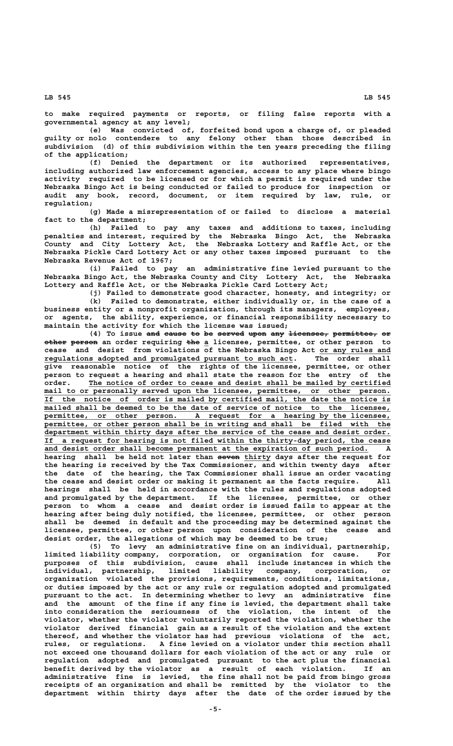**to make required payments or reports, or filing false reports with a governmental agency at any level;**

**(e) Was convicted of, forfeited bond upon a charge of, or pleaded guilty or nolo contendere to any felony other than those described in subdivision (d) of this subdivision within the ten years preceding the filing of the application;**

**(f) Denied the department or its authorized representatives, including authorized law enforcement agencies, access to any place where bingo activity required to be licensed or for which a permit is required under the Nebraska Bingo Act is being conducted or failed to produce for inspection or audit any book, record, document, or item required by law, rule, or regulation;**

**(g) Made a misrepresentation of or failed to disclose a material fact to the department;**

**(h) Failed to pay any taxes and additions to taxes, including penalties and interest, required by the Nebraska Bingo Act, the Nebraska County and City Lottery Act, the Nebraska Lottery and Raffle Act, or the Nebraska Pickle Card Lottery Act or any other taxes imposed pursuant to the Nebraska Revenue Act of 1967;**

**(i) Failed to pay an administrative fine levied pursuant to the Nebraska Bingo Act, the Nebraska County and City Lottery Act, the Nebraska Lottery and Raffle Act, or the Nebraska Pickle Card Lottery Act;**

**(j) Failed to demonstrate good character, honesty, and integrity; or (k) Failed to demonstrate, either individually or, in the case of a business entity or a nonprofit organization, through its managers, employees, or agents, the ability, experience, or financial responsibility necessary to maintain the activity for which the license was issued;**

(4) To issue and cause to be served upon any <del>licensee, permittee,</del> or  **————— —————— ——— \_ other person an order requiring the a licensee, permittee, or other person to** cease and desist from violations of the Nebraska Bingo Act or any rules and regulations adopted and promulgated pursuant to such act. The order shall **give reasonable notice of the rights of the licensee, permittee, or other person to request a hearing and shall state the reason for the entry of the \_\_\_\_\_\_\_\_\_\_\_\_\_\_\_\_\_\_\_\_\_\_\_\_\_\_\_\_\_\_\_\_\_\_\_\_\_\_\_\_\_\_\_\_\_\_\_\_\_\_\_\_\_\_\_\_\_\_\_\_\_\_\_\_\_\_\_\_ order. The notice of order to cease and desist shall be mailed by certified** mail to or personally served upon the licensee, permittee, or other person.  **\_\_\_\_\_\_\_\_\_\_\_\_\_\_\_\_\_\_\_\_\_\_\_\_\_\_\_\_\_\_\_\_\_\_\_\_\_\_\_\_\_\_\_\_\_\_\_\_\_\_\_\_\_\_\_\_\_\_\_\_\_\_\_\_\_\_\_\_\_\_\_\_\_\_\_\_\_\_ If the notice of order is mailed by certified mail, the date the notice is \_\_\_\_\_\_\_\_\_\_\_\_\_\_\_\_\_\_\_\_\_\_\_\_\_\_\_\_\_\_\_\_\_\_\_\_\_\_\_\_\_\_\_\_\_\_\_\_\_\_\_\_\_\_\_\_\_\_\_\_\_\_\_\_\_\_\_\_\_\_\_\_\_\_\_\_\_\_ mailed shall be deemed to be the date of service of notice to the licensee,** permittee, or other person. A request for a hearing by the licensee, permittee, or other person shall be in writing and shall be filed with the  **\_\_\_\_\_\_\_\_\_\_\_\_\_\_\_\_\_\_\_\_\_\_\_\_\_\_\_\_\_\_\_\_\_\_\_\_\_\_\_\_\_\_\_\_\_\_\_\_\_\_\_\_\_\_\_\_\_\_\_\_\_\_\_\_\_\_\_\_\_\_\_\_\_\_\_\_\_\_ department within thirty days after the service of the cease and desist order. \_\_\_\_\_\_\_\_\_\_\_\_\_\_\_\_\_\_\_\_\_\_\_\_\_\_\_\_\_\_\_\_\_\_\_\_\_\_\_\_\_\_\_\_\_\_\_\_\_\_\_\_\_\_\_\_\_\_\_\_\_\_\_\_\_\_\_\_\_\_\_\_\_\_\_\_\_\_ If a request for hearing is not filed within the thirty-day period, the cease \_\_\_\_\_\_\_\_\_\_\_\_\_\_\_\_\_\_\_\_\_\_\_\_\_\_\_\_\_\_\_\_\_\_\_\_\_\_\_\_\_\_\_\_\_\_\_\_\_\_\_\_\_\_\_\_\_\_\_\_\_\_\_\_\_\_\_\_\_\_\_\_\_ and desist order shall become permanent at the expiration of such period. A** hearing shall be held not later than seven thirty days after the request for **the hearing is received by the Tax Commissioner, and within twenty days after the date of the hearing, the Tax Commissioner shall issue an order vacating the cease and desist order or making it permanent as the facts require. All hearings shall be held in accordance with the rules and regulations adopted and promulgated by the department. If the licensee, permittee, or other person to whom a cease and desist order is issued fails to appear at the hearing after being duly notified, the licensee, permittee, or other person shall be deemed in default and the proceeding may be determined against the licensee, permittee, or other person upon consideration of the cease and desist order, the allegations of which may be deemed to be true;**

**(5) To levy an administrative fine on an individual, partnership, limited liability company, corporation, or organization for cause. For purposes of this subdivision, cause shall include instances in which the individual, partnership, limited liability company, corporation, or organization violated the provisions, requirements, conditions, limitations, or duties imposed by the act or any rule or regulation adopted and promulgated pursuant to the act. In determining whether to levy an administrative fine and the amount of the fine if any fine is levied, the department shall take into consideration the seriousness of the violation, the intent of the violator, whether the violator voluntarily reported the violation, whether the violator derived financial gain as a result of the violation and the extent thereof, and whether the violator has had previous violations of the act, rules, or regulations. A fine levied on a violator under this section shall not exceed one thousand dollars for each violation of the act or any rule or regulation adopted and promulgated pursuant to the act plus the financial benefit derived by the violator as a result of each violation. If an administrative fine is levied, the fine shall not be paid from bingo gross receipts of an organization and shall be remitted by the violator to the department within thirty days after the date of the order issued by the**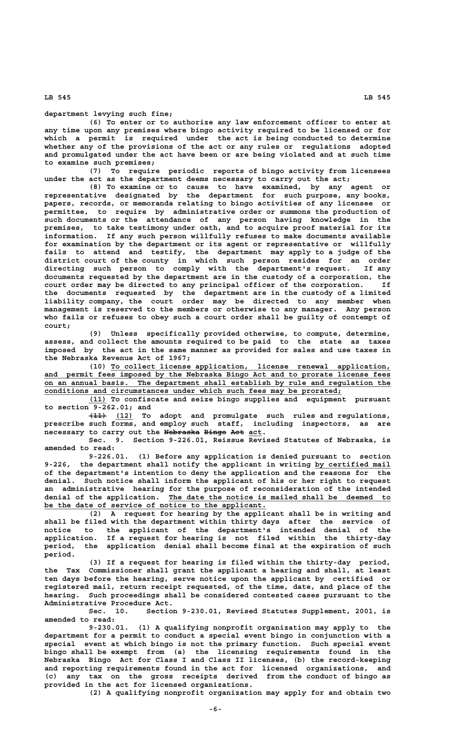**(6) To enter or to authorize any law enforcement officer to enter at any time upon any premises where bingo activity required to be licensed or for which a permit is required under the act is being conducted to determine whether any of the provisions of the act or any rules or regulations adopted and promulgated under the act have been or are being violated and at such time to examine such premises;**

**(7) To require periodic reports of bingo activity from licensees under the act as the department deems necessary to carry out the act;**

**(8) To examine or to cause to have examined, by any agent or representative designated by the department for such purpose, any books, papers, records, or memoranda relating to bingo activities of any licensee or permittee, to require by administrative order or summons the production of such documents or the attendance of any person having knowledge in the premises, to take testimony under oath, and to acquire proof material for its information. If any such person willfully refuses to make documents available for examination by the department or its agent or representative or willfully fails to attend and testify, the department may apply to a judge of the district court of the county in which such person resides for an order directing such person to comply with the department's request. If any documents requested by the department are in the custody of a corporation, the court order may be directed to any principal officer of the corporation. If the documents requested by the department are in the custody of a limited liability company, the court order may be directed to any member when management is reserved to the members or otherwise to any manager. Any person who fails or refuses to obey such a court order shall be guilty of contempt of court;**

**(9) Unless specifically provided otherwise, to compute, determine, assess, and collect the amounts required to be paid to the state as taxes imposed by the act in the same manner as provided for sales and use taxes in the Nebraska Revenue Act of 1967;**

 **\_\_\_\_\_\_\_\_\_\_\_\_\_\_\_\_\_\_\_\_\_\_\_\_\_\_\_\_\_\_\_\_\_\_\_\_\_\_\_\_\_\_\_\_\_\_\_\_\_\_\_\_\_\_\_\_\_\_\_\_\_\_\_ (10) To collect license application, license renewal application, \_\_\_\_\_\_\_\_\_\_\_\_\_\_\_\_\_\_\_\_\_\_\_\_\_\_\_\_\_\_\_\_\_\_\_\_\_\_\_\_\_\_\_\_\_\_\_\_\_\_\_\_\_\_\_\_\_\_\_\_\_\_\_\_\_\_\_\_\_\_\_\_\_\_\_\_\_\_ and permit fees imposed by the Nebraska Bingo Act and to prorate license fees \_\_\_\_\_\_\_\_\_\_\_\_\_\_\_\_\_\_\_\_\_\_\_\_\_\_\_\_\_\_\_\_\_\_\_\_\_\_\_\_\_\_\_\_\_\_\_\_\_\_\_\_\_\_\_\_\_\_\_\_\_\_\_\_\_\_\_\_\_\_\_\_\_\_\_\_\_\_ on an annual basis. The department shall establish by rule and regulation the \_\_\_\_\_\_\_\_\_\_\_\_\_\_\_\_\_\_\_\_\_\_\_\_\_\_\_\_\_\_\_\_\_\_\_\_\_\_\_\_\_\_\_\_\_\_\_\_\_\_\_\_\_\_\_\_\_\_\_\_\_\_\_\_\_\_\_ conditions and circumstances under which such fees may be prorated;**

 **\_\_\_\_ (11) To confiscate and seize bingo supplies and equipment pursuant to section 9-262.01; and**

 **———— \_\_\_\_ (11) (12) To adopt and promulgate such rules and regulations, prescribe such forms, and employ such staff, including inspectors, as are**  $n$ ecessary to carry out the Nebraska Bingo Act act.

**Sec. 9. Section 9-226.01, Reissue Revised Statutes of Nebraska, is amended to read:**

**9-226.01. (1) Before any application is denied pursuant to section** 9-226, the department shall notify the applicant in writing by certified mail **of the department's intention to deny the application and the reasons for the denial. Such notice shall inform the applicant of his or her right to request an administrative hearing for the purpose of reconsideration of the intended \_\_\_\_\_\_\_\_\_\_\_\_\_\_\_\_\_\_\_\_\_\_\_\_\_\_\_\_\_\_\_\_\_\_\_\_\_\_\_\_\_\_\_\_\_\_\_\_\_\_ denial of the application. The date the notice is mailed shall be deemed to** be the date of service of notice to the applicant.

**(2) A request for hearing by the applicant shall be in writing and shall be filed with the department within thirty days after the service of notice to the applicant of the department's intended denial of the application. If a request for hearing is not filed within the thirty-day period, the application denial shall become final at the expiration of such period.**

**(3) If a request for hearing is filed within the thirty-day period, the Tax Commissioner shall grant the applicant a hearing and shall, at least ten days before the hearing, serve notice upon the applicant by certified or registered mail, return receipt requested, of the time, date, and place of the hearing. Such proceedings shall be considered contested cases pursuant to the Administrative Procedure Act.**

**Sec. 10. Section 9-230.01, Revised Statutes Supplement, 2001, is amended to read:**

**9-230.01. (1) A qualifying nonprofit organization may apply to the department for a permit to conduct a special event bingo in conjunction with a special event at which bingo is not the primary function. Such special event bingo shall be exempt from (a) the licensing requirements found in the Nebraska Bingo Act for Class I and Class II licenses, (b) the record-keeping and reporting requirements found in the act for licensed organizations, and (c) any tax on the gross receipts derived from the conduct of bingo as provided in the act for licensed organizations.**

**(2) A qualifying nonprofit organization may apply for and obtain two**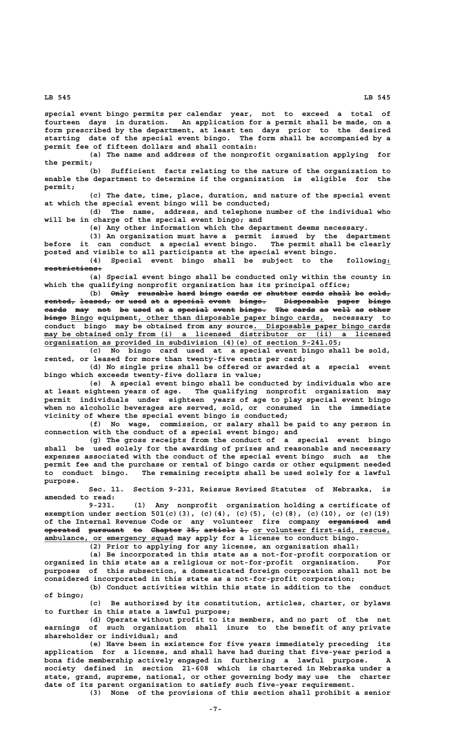**special event bingo permits per calendar year, not to exceed a total of fourteen days in duration. An application for a permit shall be made, on a form prescribed by the department, at least ten days prior to the desired starting date of the special event bingo. The form shall be accompanied by a permit fee of fifteen dollars and shall contain:**

**(a) The name and address of the nonprofit organization applying for the permit;**

**(b) Sufficient facts relating to the nature of the organization to enable the department to determine if the organization is eligible for the permit;**

**(c) The date, time, place, duration, and nature of the special event at which the special event bingo will be conducted;**

**(d) The name, address, and telephone number of the individual who will be in charge of the special event bingo; and**

**(e) Any other information which the department deems necessary.**

**(3) An organization must have a permit issued by the department before it can conduct a special event bingo. The permit shall be clearly posted and visible to all participants at the special event bingo.**

**(4) Special event bingo shall be subject to the following:\_ restrictions: —————————————**

**(a) Special event bingo shall be conducted only within the county in which the qualifying nonprofit organization has its principal office;**

(b) Only reusable hard bingo cards or shutter cards shall be sold, **rented, leased, or used at a special event bingo. Disposable paper bingo ——————— ——————— —— ———— —— — ——————— ————— —————— —————————— ————— ———— cards may not be used at a special event bingo. The cards as well as other ————— ——— ——— —— ———— —— — ——————— ————— —————— ——— ————— —— ———— —— ————— ————— \_\_\_\_\_ \_\_\_\_\_\_\_\_\_\_\_\_\_\_\_\_\_\_\_\_\_\_\_\_\_\_\_\_\_\_\_\_\_\_\_\_\_\_\_\_\_\_ bingo Bingo equipment, other than disposable paper bingo cards, necessary to** conduct bingo may be obtained from any source. Disposable paper bingo cards  $\max$  be obtained only from (i) a licensed distributor or (ii) a licensed  **\_\_\_\_\_\_\_\_\_\_\_\_\_\_\_\_\_\_\_\_\_\_\_\_\_\_\_\_\_\_\_\_\_\_\_\_\_\_\_\_\_\_\_\_\_\_\_\_\_\_\_\_\_\_\_\_\_\_\_\_\_\_\_\_\_\_ organization as provided in subdivision (4)(e) of section 9-241.05;**

**(c) No bingo card used at a special event bingo shall be sold, rented, or leased for more than twenty-five cents per card;**

**(d) No single prize shall be offered or awarded at a special event bingo which exceeds twenty-five dollars in value;**

**(e) A special event bingo shall be conducted by individuals who are at least eighteen years of age. The qualifying nonprofit organization may permit individuals under eighteen years of age to play special event bingo when no alcoholic beverages are served, sold, or consumed in the immediate vicinity of where the special event bingo is conducted;**

**(f) No wage, commission, or salary shall be paid to any person in connection with the conduct of a special event bingo; and**

**(g) The gross receipts from the conduct of a special event bingo shall be used solely for the awarding of prizes and reasonable and necessary expenses associated with the conduct of the special event bingo such as the permit fee and the purchase or rental of bingo cards or other equipment needed to conduct bingo. The remaining receipts shall be used solely for a lawful purpose.**

**Sec. 11. Section 9-231, Reissue Revised Statutes of Nebraska, is amended to read:**

**9-231. (1) Any nonprofit organization holding a certificate of exemption under section 501(c)(3), (c)(4), (c)(5), (c)(8), (c)(10), or (c)(19)** of the Internal Revenue Code or any volunteer fire company organized and **operated** pursuant to Chapter 35, article 1, or volunteer first-aid, rescue,  **\_\_\_\_\_\_\_\_\_\_\_\_\_\_\_\_\_\_\_\_\_\_\_\_\_\_\_\_\_ ambulance, or emergency squad may apply for a license to conduct bingo.**

**(2) Prior to applying for any license, an organization shall:**

**(a) Be incorporated in this state as a not-for-profit corporation or organized in this state as a religious or not-for-profit organization. For purposes of this subsection, a domesticated foreign corporation shall not be considered incorporated in this state as a not-for-profit corporation;**

**(b) Conduct activities within this state in addition to the conduct of bingo;**

**(c) Be authorized by its constitution, articles, charter, or bylaws to further in this state a lawful purpose;**

**(d) Operate without profit to its members, and no part of the net earnings of such organization shall inure to the benefit of any private shareholder or individual; and**

**(e) Have been in existence for five years immediately preceding its application for a license, and shall have had during that five-year period a bona fide membership actively engaged in furthering a lawful purpose. A society defined in section 21-608 which is chartered in Nebraska under a state, grand, supreme, national, or other governing body may use the charter date of its parent organization to satisfy such five-year requirement.**

**(3) None of the provisions of this section shall prohibit a senior**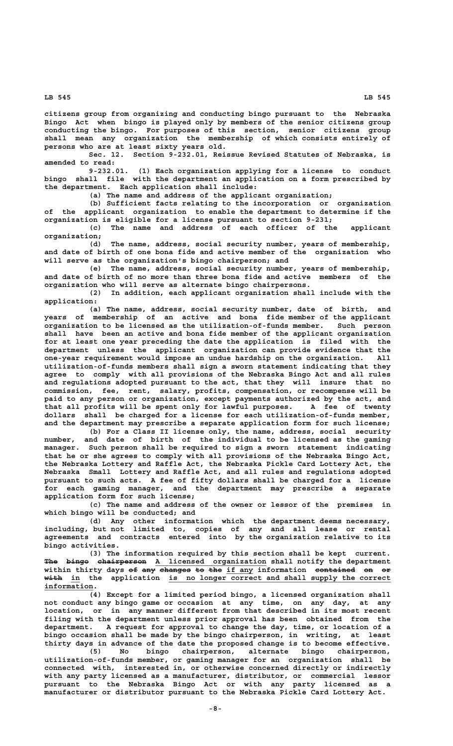**citizens group from organizing and conducting bingo pursuant to the Nebraska Bingo Act when bingo is played only by members of the senior citizens group conducting the bingo. For purposes of this section, senior citizens group shall mean any organization the membership of which consists entirely of persons who are at least sixty years old.**

**Sec. 12. Section 9-232.01, Reissue Revised Statutes of Nebraska, is amended to read:**

**9-232.01. (1) Each organization applying for a license to conduct bingo shall file with the department an application on a form prescribed by the department. Each application shall include:**

**(a) The name and address of the applicant organization;**

**(b) Sufficient facts relating to the incorporation or organization of the applicant organization to enable the department to determine if the organization is eligible for a license pursuant to section 9-231;**

**(c) The name and address of each officer of the applicant organization;**

**(d) The name, address, social security number, years of membership, and date of birth of one bona fide and active member of the organization who will serve as the organization's bingo chairperson; and**

**(e) The name, address, social security number, years of membership, and date of birth of no more than three bona fide and active members of the organization who will serve as alternate bingo chairpersons.**

**(2) In addition, each applicant organization shall include with the application:**

**(a) The name, address, social security number, date of birth, and years of membership of an active and bona fide member of the applicant organization to be licensed as the utilization-of-funds member. Such person shall have been an active and bona fide member of the applicant organization for at least one year preceding the date the application is filed with the department unless the applicant organization can provide evidence that the one-year requirement would impose an undue hardship on the organization. All utilization-of-funds members shall sign a sworn statement indicating that they agree to comply with all provisions of the Nebraska Bingo Act and all rules and regulations adopted pursuant to the act, that they will insure that no commission, fee, rent, salary, profits, compensation, or recompense will be paid to any person or organization, except payments authorized by the act, and that all profits will be spent only for lawful purposes. A fee of twenty dollars shall be charged for a license for each utilization-of-funds member, and the department may prescribe a separate application form for such license;**

**(b) For a Class II license only, the name, address, social security number, and date of birth of the individual to be licensed as the gaming manager. Such person shall be required to sign a sworn statement indicating that he or she agrees to comply with all provisions of the Nebraska Bingo Act, the Nebraska Lottery and Raffle Act, the Nebraska Pickle Card Lottery Act, the Nebraska Small Lottery and Raffle Act, and all rules and regulations adopted pursuant to such acts. A fee of fifty dollars shall be charged for a license for each gaming manager, and the department may prescribe a separate application form for such license;**

**(c) The name and address of the owner or lessor of the premises in which bingo will be conducted; and**

**(d) Any other information which the department deems necessary, including, but not limited to, copies of any and all lease or rental agreements and contracts entered into by the organization relative to its bingo activities.**

**(3) The information required by this section shall be kept current.** The bingo chairperson A licensed organization shall notify the department within thirty days of any changes to the if any information contained on or  **———— \_\_ \_\_\_\_\_\_\_\_\_\_\_\_\_\_\_\_\_\_\_\_\_\_\_\_\_\_\_\_\_\_\_\_\_\_\_\_\_\_\_\_\_\_\_\_\_\_\_\_\_\_ with in the application is no longer correct and shall supply the correct information. \_\_\_\_\_\_\_\_\_\_\_**

**(4) Except for a limited period bingo, a licensed organization shall not conduct any bingo game or occasion at any time, on any day, at any location, or in any manner different from that described in its most recent filing with the department unless prior approval has been obtained from the department. A request for approval to change the day, time, or location of a bingo occasion shall be made by the bingo chairperson, in writing, at least thirty days in advance of the date the proposed change is to become effective.**

**(5) No bingo chairperson, alternate bingo chairperson, utilization-of-funds member, or gaming manager for an organization shall be connected with, interested in, or otherwise concerned directly or indirectly with any party licensed as a manufacturer, distributor, or commercial lessor pursuant to the Nebraska Bingo Act or with any party licensed as a manufacturer or distributor pursuant to the Nebraska Pickle Card Lottery Act.**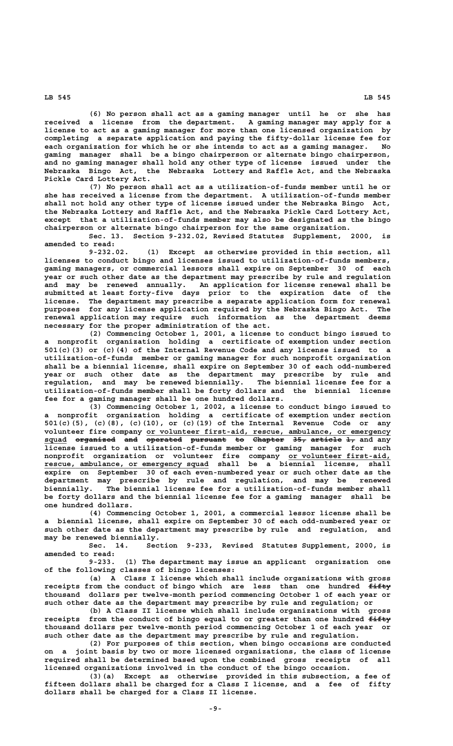**(6) No person shall act as a gaming manager until he or she has received a license from the department. A gaming manager may apply for a license to act as a gaming manager for more than one licensed organization by completing a separate application and paying the fifty-dollar license fee for each organization for which he or she intends to act as a gaming manager. No gaming manager shall be a bingo chairperson or alternate bingo chairperson, and no gaming manager shall hold any other type of license issued under the Nebraska Bingo Act, the Nebraska Lottery and Raffle Act, and the Nebraska Pickle Card Lottery Act.**

**(7) No person shall act as a utilization-of-funds member until he or she has received a license from the department. A utilization-of-funds member shall not hold any other type of license issued under the Nebraska Bingo Act, the Nebraska Lottery and Raffle Act, and the Nebraska Pickle Card Lottery Act, except that a utilization-of-funds member may also be designated as the bingo chairperson or alternate bingo chairperson for the same organization.**

**Sec. 13. Section 9-232.02, Revised Statutes Supplement, 2000, is amended to read:**

**9-232.02. (1) Except as otherwise provided in this section, all licenses to conduct bingo and licenses issued to utilization-of-funds members, gaming managers, or commercial lessors shall expire on September 30 of each year or such other date as the department may prescribe by rule and regulation and may be renewed annually. An application for license renewal shall be submitted at least forty-five days prior to the expiration date of the license. The department may prescribe a separate application form for renewal purposes for any license application required by the Nebraska Bingo Act. The renewal application may require such information as the department deems necessary for the proper administration of the act.**

**(2) Commencing October 1, 2001, a license to conduct bingo issued to a nonprofit organization holding a certificate of exemption under section 501(c)(3) or (c)(4) of the Internal Revenue Code and any license issued to a utilization-of-funds member or gaming manager for such nonprofit organization shall be a biennial license, shall expire on September 30 of each odd-numbered year or such other date as the department may prescribe by rule and regulation, and may be renewed biennially. The biennial license fee for a utilization-of-funds member shall be forty dollars and the biennial license fee for a gaming manager shall be one hundred dollars.**

**(3) Commencing October 1, 2002, a license to conduct bingo issued to a nonprofit organization holding a certificate of exemption under section 501(c)(5), (c)(8), (c)(10), or (c)(19) of the Internal Revenue Code or any \_\_\_\_\_\_\_\_\_\_\_\_\_\_\_\_\_\_\_\_\_\_\_\_\_\_\_\_\_\_\_\_\_\_\_\_\_\_\_\_\_\_\_\_\_\_\_\_\_\_\_\_\_\_\_ volunteer fire company or volunteer first-aid, rescue, ambulance, or emergency** squad <del>organized and operated pursuant to Chapter 35, article 1,</del> and any **license issued to a utilization-of-funds member or gaming manager for such nonprofit organization or volunteer fire company or volunteer first-aid, \_\_\_\_\_\_\_\_\_\_\_\_\_\_\_\_\_\_\_\_\_\_\_ \_\_\_\_\_\_\_\_\_\_\_\_\_\_\_\_\_\_\_\_\_\_\_\_\_\_\_\_\_\_\_\_\_\_\_\_\_ rescue, ambulance, or emergency squad shall be a biennial license, shall expire on September 30 of each even-numbered year or such other date as the department may prescribe by rule and regulation, and may be renewed biennially. The biennial license fee for a utilization-of-funds member shall be forty dollars and the biennial license fee for a gaming manager shall be one hundred dollars.**

> **(4) Commencing October 1, 2001, a commercial lessor license shall be a biennial license, shall expire on September 30 of each odd-numbered year or such other date as the department may prescribe by rule and regulation, and may be renewed biennially.**

> Section 9-233, Revised Statutes Supplement, 2000, is **amended to read:**

> **9-233. (1) The department may issue an applicant organization one of the following classes of bingo licenses:**

> **(a) A Class I license which shall include organizations with gross** receipts from the conduct of bingo which are less than one hundred  $f$ ifty **thousand dollars per twelve-month period commencing October 1 of each year or such other date as the department may prescribe by rule and regulation; or**

> **(b) A Class II license which shall include organizations with gross** receipts from the conduct of bingo equal to or greater than one hundred  $f$ ifty **thousand dollars per twelve-month period commencing October 1 of each year or such other date as the department may prescribe by rule and regulation.**

> **(2) For purposes of this section, when bingo occasions are conducted on a joint basis by two or more licensed organizations, the class of license required shall be determined based upon the combined gross receipts of all licensed organizations involved in the conduct of the bingo occasion.**

> **(3)(a) Except as otherwise provided in this subsection, a fee of fifteen dollars shall be charged for a Class I license, and a fee of fifty dollars shall be charged for a Class II license.**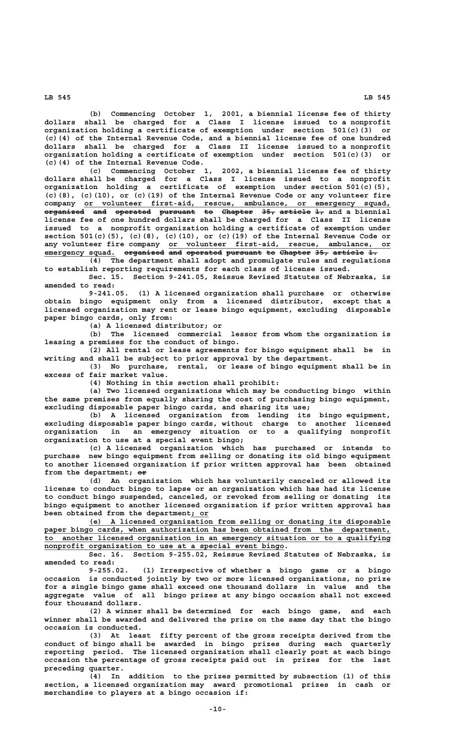**(b) Commencing October 1, 2001, a biennial license fee of thirty dollars shall be charged for a Class I license issued to a nonprofit organization holding a certificate of exemption under section 501(c)(3) or (c)(4) of the Internal Revenue Code, and a biennial license fee of one hundred dollars shall be charged for a Class II license issued to a nonprofit organization holding a certificate of exemption under section 501(c)(3) or (c)(4) of the Internal Revenue Code.**

**(c) Commencing October 1, 2002, a biennial license fee of thirty dollars shall be charged for a Class I license issued to a nonprofit organization holding a certificate of exemption under section 501(c)(5), (c)(8), (c)(10), or (c)(19) of the Internal Revenue Code or any volunteer fire \_\_\_\_\_\_\_\_\_\_\_\_\_\_\_\_\_\_\_\_\_\_\_\_\_\_\_\_\_\_\_\_\_\_\_\_\_\_\_\_\_\_\_\_\_\_\_\_\_\_\_\_\_\_\_\_\_\_\_\_\_\_\_\_\_\_\_\_\_ company or volunteer first-aid, rescue, ambulance, or emergency squad, organized and operated pursuant to Chapter 35, article 1, and a biennial ————————— ——— ———————— ———————— —— ——————— ——— ——————— — license fee of one hundred dollars shall be charged for a Class II license issued to a nonprofit organization holding a certificate of exemption under section 501(c)(5), (c)(8), (c)(10), or (c)(19) of the Internal Revenue Code or \_\_\_\_\_\_\_\_\_\_\_\_\_\_\_\_\_\_\_\_\_\_\_\_\_\_\_\_\_\_\_\_\_\_\_\_\_\_\_\_\_\_\_\_\_\_\_\_\_\_ any volunteer fire company or volunteer first-aid, rescue, ambulance, or** emergency squad. o<del>rganized and operated</del> pu<del>rsuant to Chapter 35, article 1.</del>

**(4) The department shall adopt and promulgate rules and regulations to establish reporting requirements for each class of license issued.**

**Sec. 15. Section 9-241.05, Reissue Revised Statutes of Nebraska, is amended to read:**

**9-241.05. (1) A licensed organization shall purchase or otherwise obtain bingo equipment only from a licensed distributor, except that a licensed organization may rent or lease bingo equipment, excluding disposable paper bingo cards, only from:**

**(a) A licensed distributor; or**

**(b) The licensed commercial lessor from whom the organization is leasing a premises for the conduct of bingo.**

**(2) All rental or lease agreements for bingo equipment shall be in writing and shall be subject to prior approval by the department.**

**(3) No purchase, rental, or lease of bingo equipment shall be in excess of fair market value.**

**(4) Nothing in this section shall prohibit:**

**(a) Two licensed organizations which may be conducting bingo within the same premises from equally sharing the cost of purchasing bingo equipment, excluding disposable paper bingo cards, and sharing its use;**

**(b) A licensed organization from lending its bingo equipment, excluding disposable paper bingo cards, without charge to another licensed organization in an emergency situation or to a qualifying nonprofit organization to use at a special event bingo;**

**(c) A licensed organization which has purchased or intends to purchase new bingo equipment from selling or donating its old bingo equipment to another licensed organization if prior written approval has been obtained** from the department;  $\Theta$ **r** 

**(d) An organization which has voluntarily canceled or allowed its license to conduct bingo to lapse or an organization which has had its license to conduct bingo suspended, canceled, or revoked from selling or donating its bingo equipment to another licensed organization if prior written approval has \_\_\_\_ been obtained from the department; or**

 **\_\_\_\_\_\_\_\_\_\_\_\_\_\_\_\_\_\_\_\_\_\_\_\_\_\_\_\_\_\_\_\_\_\_\_\_\_\_\_\_\_\_\_\_\_\_\_\_\_\_\_\_\_\_\_\_\_\_\_\_\_\_\_\_\_\_\_\_ (e) A licensed organization from selling or donating its disposable** paper bingo cards, when authorization has been obtained from the department,  **\_\_\_\_\_\_\_\_\_\_\_\_\_\_\_\_\_\_\_\_\_\_\_\_\_\_\_\_\_\_\_\_\_\_\_\_\_\_\_\_\_\_\_\_\_\_\_\_\_\_\_\_\_\_\_\_\_\_\_\_\_\_\_\_\_\_\_\_\_\_\_\_\_\_\_\_\_\_ to another licensed organization in an emergency situation or to a qualifying \_\_\_\_\_\_\_\_\_\_\_\_\_\_\_\_\_\_\_\_\_\_\_\_\_\_\_\_\_\_\_\_\_\_\_\_\_\_\_\_\_\_\_\_\_\_\_\_\_\_\_\_\_\_ nonprofit organization to use at a special event bingo.**

**Sec. 16. Section 9-255.02, Reissue Revised Statutes of Nebraska, is amended to read:**

**9-255.02. (1) Irrespective of whether a bingo game or a bingo occasion is conducted jointly by two or more licensed organizations, no prize for a single bingo game shall exceed one thousand dollars in value and the aggregate value of all bingo prizes at any bingo occasion shall not exceed four thousand dollars.**

**(2) A winner shall be determined for each bingo game, and each winner shall be awarded and delivered the prize on the same day that the bingo occasion is conducted.**

**(3) At least fifty percent of the gross receipts derived from the conduct of bingo shall be awarded in bingo prizes during each quarterly reporting period. The licensed organization shall clearly post at each bingo occasion the percentage of gross receipts paid out in prizes for the last preceding quarter.**

**(4) In addition to the prizes permitted by subsection (1) of this section, a licensed organization may award promotional prizes in cash or merchandise to players at a bingo occasion if:**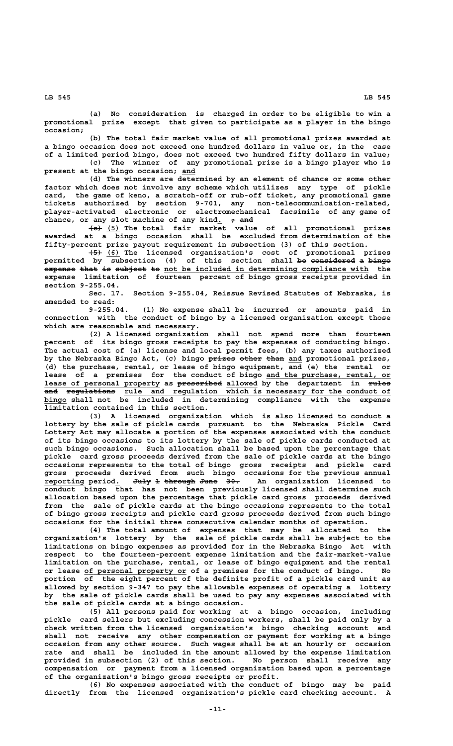**(a) No consideration is charged in order to be eligible to win a promotional prize except that given to participate as a player in the bingo occasion;**

**(b) The total fair market value of all promotional prizes awarded at a bingo occasion does not exceed one hundred dollars in value or, in the case of a limited period bingo, does not exceed two hundred fifty dollars in value; (c) The winner of any promotional prize is a bingo player who is \_\_\_ present at the bingo occasion; and**

**(d) The winners are determined by an element of chance or some other factor which does not involve any scheme which utilizes any type of pickle card, the game of keno, a scratch-off or rub-off ticket, any promotional game tickets authorized by section 9-701, any non-telecommunication-related, player-activated electronic or electromechanical facsimile of any game of** chance, or any slot machine of any kind.  $+$  <del>and</del>

 **——— \_\_\_ (e) (5) The total fair market value of all promotional prizes awarded at a bingo occasion shall be excluded from determination of the fifty-percent prize payout requirement in subsection (3) of this section.**

 **——— \_\_\_ (5) (6) The licensed organization's cost of promotional prizes permitted by subsection (4) of this section shall be considered a bingo —— —————————— — ———— expense that is subject to not be included in determining compliance with the expense limitation of fourteen percent of bingo gross receipts provided in section 9-255.04.**

**Sec. 17. Section 9-255.04, Reissue Revised Statutes of Nebraska, is amended to read:**

**9-255.04. (1) No expense shall be incurred or amounts paid in connection with the conduct of bingo by a licensed organization except those which are reasonable and necessary.**

**(2) A licensed organization shall not spend more than fourteen percent of its bingo gross receipts to pay the expenses of conducting bingo. The actual cost of (a) license and local permit fees, (b) any taxes authorized** by the Nebraska Bingo Act, (c) bingo  $\frac{p}{p+1}$  we other than and promotional prizes, **(d) the purchase, rental, or lease of bingo equipment, and (e) the rental or** lease of a premises for the conduct of bingo and the purchase, rental, or  **\_\_\_\_\_\_\_\_\_\_\_\_\_\_\_\_\_\_\_\_\_\_\_\_\_\_ —————————— \_\_\_\_\_\_\_ ————— lease of personal property as prescribed allowed by the department in rules**  $\quad \text{and} \quad \text{regulation} \quad \text{rule} \quad \text{and} \quad \text{regulation} \quad \text{which} \quad \text{is necessary} \quad \text{for the conductor} \quad \text{of} \quad \text{in} \quad \text{in} \quad \text{in} \quad \text{in} \quad \text{in} \quad \text{in} \quad \text{in} \quad \text{in} \quad \text{in} \quad \text{in} \quad \text{in} \quad \text{in} \quad \text{in} \quad \text{in} \quad \text{in} \quad \text{in} \quad \text{in} \quad \text{in} \quad \text{in} \quad \text{in} \quad \text{in} \quad \text{in$ **bingo** shall not be included in determining compliance with the expense **limitation contained in this section.**

**(3) A licensed organization which is also licensed to conduct a lottery by the sale of pickle cards pursuant to the Nebraska Pickle Card Lottery Act may allocate a portion of the expenses associated with the conduct of its bingo occasions to its lottery by the sale of pickle cards conducted at such bingo occasions. Such allocation shall be based upon the percentage that pickle card gross proceeds derived from the sale of pickle cards at the bingo occasions represents to the total of bingo gross receipts and pickle card gross proceeds derived from such bingo occasions for the previous annual reporting period. July 1 through June 30. An organization licensed to \_\_\_\_\_\_\_\_\_ \_ ———— — ——————— ———— —— conduct bingo that has not been previously licensed shall determine such allocation based upon the percentage that pickle card gross proceeds derived from the sale of pickle cards at the bingo occasions represents to the total of bingo gross receipts and pickle card gross proceeds derived from such bingo occasions for the initial three consecutive calendar months of operation.**

**(4) The total amount of expenses that may be allocated to the organization's lottery by the sale of pickle cards shall be subject to the limitations on bingo expenses as provided for in the Nebraska Bingo Act with respect to the fourteen-percent expense limitation and the fair-market-value limitation on the purchase, rental, or lease of bingo equipment and the rental \_\_\_\_\_\_\_\_\_\_\_\_\_\_\_\_\_\_\_\_\_\_\_ or lease of personal property or of a premises for the conduct of bingo. No portion of the eight percent of the definite profit of a pickle card unit as allowed by section 9-347 to pay the allowable expenses of operating a lottery by the sale of pickle cards shall be used to pay any expenses associated with the sale of pickle cards at a bingo occasion.**

**(5) All persons paid for working at a bingo occasion, including pickle card sellers but excluding concession workers, shall be paid only by a check written from the licensed organization's bingo checking account and shall not receive any other compensation or payment for working at a bingo occasion from any other source. Such wages shall be at an hourly or occasion rate and shall be included in the amount allowed by the expense limitation provided in subsection (2) of this section. No person shall receive any compensation or payment from a licensed organization based upon a percentage of the organization's bingo gross receipts or profit.**

**(6) No expenses associated with the conduct of bingo may be paid directly from the licensed organization's pickle card checking account. A**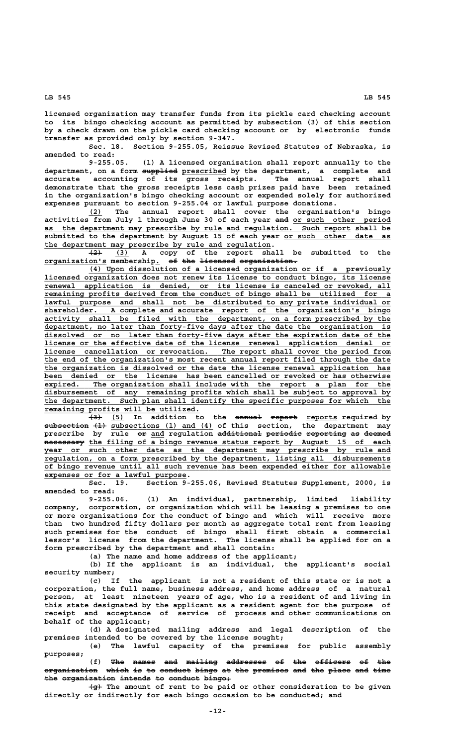**licensed organization may transfer funds from its pickle card checking account to its bingo checking account as permitted by subsection (3) of this section by a check drawn on the pickle card checking account or by electronic funds transfer as provided only by section 9-347.**

**Sec. 18. Section 9-255.05, Reissue Revised Statutes of Nebraska, is amended to read:**

**9-255.05. (1) A licensed organization shall report annually to the ———————— \_\_\_\_\_\_\_\_\_\_ department, on a form supplied prescribed by the department, a complete and accurate accounting of its gross receipts. The annual report shall demonstrate that the gross receipts less cash prizes paid have been retained in the organization's bingo checking account or expended solely for authorized expenses pursuant to section 9-255.04 or lawful purpose donations.**

 **\_\_\_ (2) The annual report shall cover the organization's bingo** activities from July 1 through June 30 of each year and or such other period  **\_\_\_\_\_\_\_\_\_\_\_\_\_\_\_\_\_\_\_\_\_\_\_\_\_\_\_\_\_\_\_\_\_\_\_\_\_\_\_\_\_\_\_\_\_\_\_\_\_\_\_\_\_\_\_\_\_\_\_\_\_\_\_\_\_\_\_\_\_ as the department may prescribe by rule and regulation. Such report shall be** submitted to the department by August 15 of each year or such other date as  **\_\_\_\_\_\_\_\_\_\_\_\_\_\_\_\_\_\_\_\_\_\_\_\_\_\_\_\_\_\_\_\_\_\_\_\_\_\_\_\_\_\_\_\_\_\_\_\_\_\_\_ the department may prescribe by rule and regulation.**

 **——— \_\_\_ (2) (3) A copy of the report shall be submitted to the organization's membership. of the licensed organization. \_\_\_\_\_\_\_\_\_\_\_\_\_\_ \_ —— ——— ———————— —————————————**

 **\_\_\_\_\_\_\_\_\_\_\_\_\_\_\_\_\_\_\_\_\_\_\_\_\_\_\_\_\_\_\_\_\_\_\_\_\_\_\_\_\_\_\_\_\_\_\_\_\_\_\_\_\_\_\_\_\_\_\_\_\_\_\_\_\_\_\_\_ (4) Upon dissolution of a licensed organization or if a previously \_\_\_\_\_\_\_\_\_\_\_\_\_\_\_\_\_\_\_\_\_\_\_\_\_\_\_\_\_\_\_\_\_\_\_\_\_\_\_\_\_\_\_\_\_\_\_\_\_\_\_\_\_\_\_\_\_\_\_\_\_\_\_\_\_\_\_\_\_\_\_\_\_\_\_\_\_\_ licensed organization does not renew its license to conduct bingo, its license**  $r$ enewal application is denied, or its license is canceled or revoked, all  **\_\_\_\_\_\_\_\_\_\_\_\_\_\_\_\_\_\_\_\_\_\_\_\_\_\_\_\_\_\_\_\_\_\_\_\_\_\_\_\_\_\_\_\_\_\_\_\_\_\_\_\_\_\_\_\_\_\_\_\_\_\_\_\_\_\_\_\_\_\_\_\_\_\_\_\_\_\_ remaining profits derived from the conduct of bingo shall be utilized for a**  $lawful$  purpose and shall not be distributed to any private individual or  **\_\_\_\_\_\_\_\_\_\_\_\_\_\_\_\_\_\_\_\_\_\_\_\_\_\_\_\_\_\_\_\_\_\_\_\_\_\_\_\_\_\_\_\_\_\_\_\_\_\_\_\_\_\_\_\_\_\_\_\_\_\_\_\_\_\_\_\_\_\_\_\_\_\_\_\_\_\_ shareholder. A complete and accurate report of the organization's bingo** activity shall be filed with the department, on a form prescribed by the  **\_\_\_\_\_\_\_\_\_\_\_\_\_\_\_\_\_\_\_\_\_\_\_\_\_\_\_\_\_\_\_\_\_\_\_\_\_\_\_\_\_\_\_\_\_\_\_\_\_\_\_\_\_\_\_\_\_\_\_\_\_\_\_\_\_\_\_\_\_\_\_\_\_\_\_\_\_\_ department, no later than forty-five days after the date the organization is \_\_\_\_\_\_\_\_\_\_\_\_\_\_\_\_\_\_\_\_\_\_\_\_\_\_\_\_\_\_\_\_\_\_\_\_\_\_\_\_\_\_\_\_\_\_\_\_\_\_\_\_\_\_\_\_\_\_\_\_\_\_\_\_\_\_\_\_\_\_\_\_\_\_\_\_\_\_ dissolved or no later than forty-five days after the expiration date of the \_\_\_\_\_\_\_\_\_\_\_\_\_\_\_\_\_\_\_\_\_\_\_\_\_\_\_\_\_\_\_\_\_\_\_\_\_\_\_\_\_\_\_\_\_\_\_\_\_\_\_\_\_\_\_\_\_\_\_\_\_\_\_\_\_\_\_\_\_\_\_\_\_\_\_\_\_\_ license or the effective date of the license renewal application denial or \_\_\_\_\_\_\_\_\_\_\_\_\_\_\_\_\_\_\_\_\_\_\_\_\_\_\_\_\_\_\_\_\_\_\_\_\_\_\_\_\_\_\_\_\_\_\_\_\_\_\_\_\_\_\_\_\_\_\_\_\_\_\_\_\_\_\_\_\_\_\_\_\_\_\_\_\_\_ license cancellation or revocation. The report shall cover the period from \_\_\_\_\_\_\_\_\_\_\_\_\_\_\_\_\_\_\_\_\_\_\_\_\_\_\_\_\_\_\_\_\_\_\_\_\_\_\_\_\_\_\_\_\_\_\_\_\_\_\_\_\_\_\_\_\_\_\_\_\_\_\_\_\_\_\_\_\_\_\_\_\_\_\_\_\_\_ the end of the organization's most recent annual report filed through the date \_\_\_\_\_\_\_\_\_\_\_\_\_\_\_\_\_\_\_\_\_\_\_\_\_\_\_\_\_\_\_\_\_\_\_\_\_\_\_\_\_\_\_\_\_\_\_\_\_\_\_\_\_\_\_\_\_\_\_\_\_\_\_\_\_\_\_\_\_\_\_\_\_\_\_\_\_\_ the organization is dissolved or the date the license renewal application has** been denied or the license has been cancelled or revoked or has otherwise  **\_\_\_\_\_\_\_\_\_\_\_\_\_\_\_\_\_\_\_\_\_\_\_\_\_\_\_\_\_\_\_\_\_\_\_\_\_\_\_\_\_\_\_\_\_\_\_\_\_\_\_\_\_\_\_\_\_\_\_\_\_\_\_\_\_\_\_\_\_\_\_\_\_\_\_\_\_\_ expired. The organization shall include with the report a plan for the \_\_\_\_\_\_\_\_\_\_\_\_\_\_\_\_\_\_\_\_\_\_\_\_\_\_\_\_\_\_\_\_\_\_\_\_\_\_\_\_\_\_\_\_\_\_\_\_\_\_\_\_\_\_\_\_\_\_\_\_\_\_\_\_\_\_\_\_\_\_\_\_\_\_\_\_\_\_ disbursement of any remaining profits which shall be subject to approval by \_\_\_\_\_\_\_\_\_\_\_\_\_\_\_\_\_\_\_\_\_\_\_\_\_\_\_\_\_\_\_\_\_\_\_\_\_\_\_\_\_\_\_\_\_\_\_\_\_\_\_\_\_\_\_\_\_\_\_\_\_\_\_\_\_\_\_\_\_\_\_\_\_\_\_\_\_\_ the department. Such plan shall identify the specific purposes for which the \_\_\_\_\_\_\_\_\_\_\_\_\_\_\_\_\_\_\_\_\_\_\_\_\_\_\_\_\_\_\_\_\_\_\_ remaining profits will be utilized.**

(3) (5) In addition to the annual report reports required by **subsection (1) subsections (1) and (4) of this section, the department may —————————— ——— \_\_\_\_\_\_\_\_\_\_\_\_\_\_\_\_\_\_\_\_\_\_\_** prescribe by <u>rule or and regulation additional periodic reporting</u> as deemed -<br>**necessary** the filing of a bingo revenue status report by August 15 of each  $\frac{1}{2}$   $\frac{1}{2}$   $\frac{1}{2}$   $\frac{1}{2}$   $\frac{1}{2}$   $\frac{1}{2}$   $\frac{1}{2}$   $\frac{1}{2}$   $\frac{1}{2}$   $\frac{1}{2}$   $\frac{1}{2}$   $\frac{1}{2}$   $\frac{1}{2}$   $\frac{1}{2}$   $\frac{1}{2}$   $\frac{1}{2}$   $\frac{1}{2}$   $\frac{1}{2}$   $\frac{1}{2}$   $\frac{1}{2}$   $\frac{1}{2}$   $\frac{1}{2}$   $\$  **\_\_\_\_\_\_\_\_\_\_\_\_\_\_\_\_\_\_\_\_\_\_\_\_\_\_\_\_\_\_\_\_\_\_\_\_\_\_\_\_\_\_\_\_\_\_\_\_\_\_\_\_\_\_\_\_\_\_\_\_\_\_\_\_\_\_\_\_\_\_\_\_\_\_\_\_\_\_ regulation, on a form prescribed by the department, listing all disbursements \_\_\_\_\_\_\_\_\_\_\_\_\_\_\_\_\_\_\_\_\_\_\_\_\_\_\_\_\_\_\_\_\_\_\_\_\_\_\_\_\_\_\_\_\_\_\_\_\_\_\_\_\_\_\_\_\_\_\_\_\_\_\_\_\_\_\_\_\_\_\_\_\_\_\_\_\_\_ of bingo revenue until all such revenue has been expended either for allowable**

**expenses or for a lawful purpose.**<br>Sec. 19. Section 9-Section 9-255.06, Revised Statutes Supplement, 2000, is **amended to read:**

**9-255.06. (1) An individual, partnership, limited liability company, corporation, or organization which will be leasing a premises to one or more organizations for the conduct of bingo and which will receive more than two hundred fifty dollars per month as aggregate total rent from leasing such premises for the conduct of bingo shall first obtain a commercial lessor's license from the department. The license shall be applied for on a form prescribed by the department and shall contain:**

**(a) The name and home address of the applicant;**

**(b) If the applicant is an individual, the applicant's social security number;**

**(c) If the applicant is not a resident of this state or is not a corporation, the full name, business address, and home address of a natural person, at least nineteen years of age, who is a resident of and living in this state designated by the applicant as a resident agent for the purpose of receipt and acceptance of service of process and other communications on behalf of the applicant;**

**(d) A designated mailing address and legal description of the premises intended to be covered by the license sought;**

**(e) The lawful capacity of the premises for public assembly purposes;**

(f) The names and mailing addresses of the officers of the organization which is to conduct bingo at the premises and the place and time the organization intends to conduct bingo,

 $\overline{+g}$  The amount of rent to be paid or other consideration to be given **directly or indirectly for each bingo occasion to be conducted; and**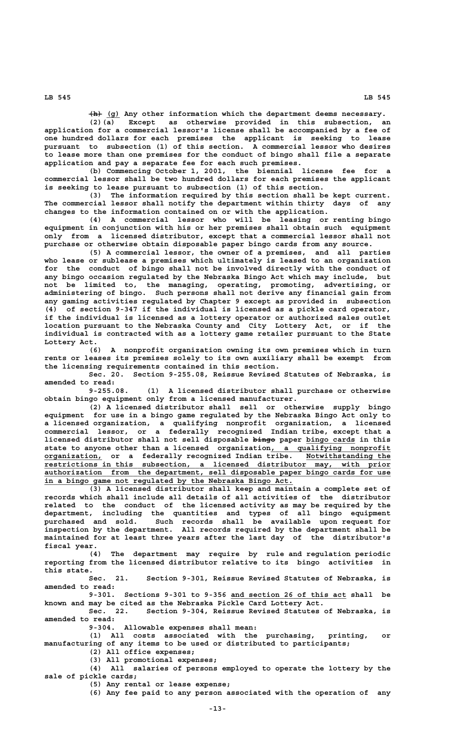**——— \_\_\_ (h) (g) Any other information which the department deems necessary.**

**(2)(a) Except as otherwise provided in this subsection, an application for a commercial lessor's license shall be accompanied by a fee of one hundred dollars for each premises the applicant is seeking to lease pursuant to subsection (1) of this section. A commercial lessor who desires to lease more than one premises for the conduct of bingo shall file a separate application and pay a separate fee for each such premises.**

**(b) Commencing October 1, 2001, the biennial license fee for a commercial lessor shall be two hundred dollars for each premises the applicant is seeking to lease pursuant to subsection (1) of this section.**

**(3) The information required by this section shall be kept current. The commercial lessor shall notify the department within thirty days of any changes to the information contained on or with the application.**

**(4) A commercial lessor who will be leasing or renting bingo equipment in conjunction with his or her premises shall obtain such equipment only from a licensed distributor, except that a commercial lessor shall not purchase or otherwise obtain disposable paper bingo cards from any source.**

**(5) A commercial lessor, the owner of a premises, and all parties who lease or sublease a premises which ultimately is leased to an organization for the conduct of bingo shall not be involved directly with the conduct of any bingo occasion regulated by the Nebraska Bingo Act which may include, but not be limited to, the managing, operating, promoting, advertising, or administering of bingo. Such persons shall not derive any financial gain from any gaming activities regulated by Chapter 9 except as provided in subsection (4) of section 9-347 if the individual is licensed as a pickle card operator, if the individual is licensed as a lottery operator or authorized sales outlet location pursuant to the Nebraska County and City Lottery Act, or if the individual is contracted with as a lottery game retailer pursuant to the State Lottery Act.**

**(6) A nonprofit organization owning its own premises which in turn rents or leases its premises solely to its own auxiliary shall be exempt from the licensing requirements contained in this section.**

**Sec. 20. Section 9-255.08, Reissue Revised Statutes of Nebraska, is amended to read:**

**9-255.08. (1) A licensed distributor shall purchase or otherwise obtain bingo equipment only from a licensed manufacturer.**

**(2) A licensed distributor shall sell or otherwise supply bingo equipment for use in a bingo game regulated by the Nebraska Bingo Act only to a licensed organization, a qualifying nonprofit organization, a licensed commercial lessor, or a federally recognized Indian tribe, except that a** licensed distributor shall not sell disposable bingo paper bingo cards in this state to anyone other than a licensed organization, a qualifying nonprofit  **\_\_\_\_\_\_\_\_\_\_\_\_\_ \_\_\_\_\_\_\_\_\_\_\_\_\_\_\_\_\_\_\_ organization, or a federally recognized Indian tribe. Notwithstanding the \_\_\_\_\_\_\_\_\_\_\_\_\_\_\_\_\_\_\_\_\_\_\_\_\_\_\_\_\_\_\_\_\_\_\_\_\_\_\_\_\_\_\_\_\_\_\_\_\_\_\_\_\_\_\_\_\_\_\_\_\_\_\_\_\_\_\_\_\_\_\_\_\_\_\_\_\_\_ restrictions in this subsection, a licensed distributor may, with prior \_\_\_\_\_\_\_\_\_\_\_\_\_\_\_\_\_\_\_\_\_\_\_\_\_\_\_\_\_\_\_\_\_\_\_\_\_\_\_\_\_\_\_\_\_\_\_\_\_\_\_\_\_\_\_\_\_\_\_\_\_\_\_\_\_\_\_\_\_\_\_\_\_\_\_\_\_\_ authorization from the department, sell disposable paper bingo cards for use \_\_\_\_\_\_\_\_\_\_\_\_\_\_\_\_\_\_\_\_\_\_\_\_\_\_\_\_\_\_\_\_\_\_\_\_\_\_\_\_\_\_\_\_\_\_\_\_\_\_\_\_\_\_\_\_ in a bingo game not regulated by the Nebraska Bingo Act.**

**(3) A licensed distributor shall keep and maintain a complete set of records which shall include all details of all activities of the distributor related to the conduct of the licensed activity as may be required by the department, including the quantities and types of all bingo equipment purchased and sold. Such records shall be available upon request for inspection by the department. All records required by the department shall be maintained for at least three years after the last day of the distributor's fiscal year.**

**(4) The department may require by rule and regulation periodic reporting from the licensed distributor relative to its bingo activities in this state.**

**Sec. 21. Section 9-301, Reissue Revised Statutes of Nebraska, is amended to read:**

 **\_\_\_\_\_\_\_\_\_\_\_\_\_\_\_\_\_\_\_\_\_\_\_\_\_\_ 9-301. Sections 9-301 to 9-356 and section 26 of this act shall be known and may be cited as the Nebraska Pickle Card Lottery Act.**

**Sec. 22. Section 9-304, Reissue Revised Statutes of Nebraska, is amended to read:**

**9-304. Allowable expenses shall mean:**

**(1) All costs associated with the purchasing, printing, or manufacturing of any items to be used or distributed to participants;**

**(2) All office expenses;**

**(3) All promotional expenses;**

**(4) All salaries of persons employed to operate the lottery by the sale of pickle cards;**

**(5) Any rental or lease expense;**

**(6) Any fee paid to any person associated with the operation of any**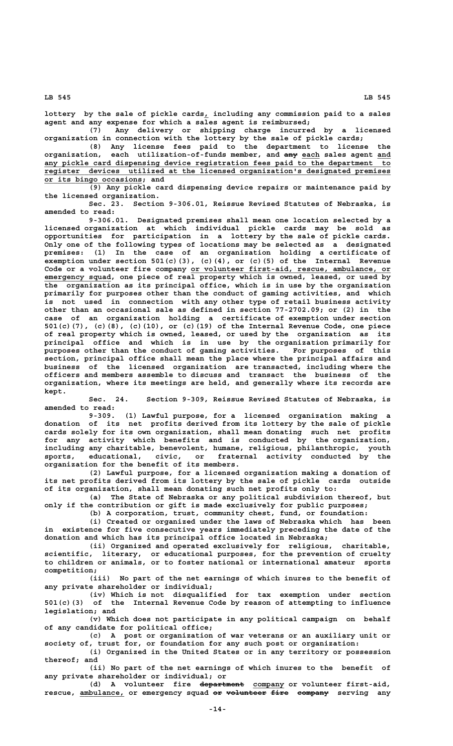**\_ lottery by the sale of pickle cards, including any commission paid to a sales agent and any expense for which a sales agent is reimbursed;**

**(7) Any delivery or shipping charge incurred by a licensed organization in connection with the lottery by the sale of pickle cards;**

**(8) Any license fees paid to the department to license the organization,** each utilization-of-funds member, and  $\frac{amy}{amy}$  each sales agent and  **\_\_\_\_\_\_\_\_\_\_\_\_\_\_\_\_\_\_\_\_\_\_\_\_\_\_\_\_\_\_\_\_\_\_\_\_\_\_\_\_\_\_\_\_\_\_\_\_\_\_\_\_\_\_\_\_\_\_\_\_\_\_\_\_\_\_\_\_\_\_\_\_\_\_\_\_\_\_ any pickle card dispensing device registration fees paid to the department to \_\_\_\_\_\_\_\_\_\_\_\_\_\_\_\_\_\_\_\_\_\_\_\_\_\_\_\_\_\_\_\_\_\_\_\_\_\_\_\_\_\_\_\_\_\_\_\_\_\_\_\_\_\_\_\_\_\_\_\_\_\_\_\_\_\_\_\_\_\_\_\_\_\_\_\_\_\_ register devices utilized at the licensed organization's designated premises \_\_\_\_\_\_\_\_\_\_\_\_\_\_\_\_\_\_\_\_\_\_ or its bingo occasions; and**

**(9) Any pickle card dispensing device repairs or maintenance paid by the licensed organization.**

**Sec. 23. Section 9-306.01, Reissue Revised Statutes of Nebraska, is amended to read:**

**9-306.01. Designated premises shall mean one location selected by a licensed organization at which individual pickle cards may be sold as opportunities for participation in a lottery by the sale of pickle cards. Only one of the following types of locations may be selected as a designated premises: (1) In the case of an organization holding a certificate of exemption under section 501(c)(3), (c)(4), or (c)(5) of the Internal Revenue \_\_\_\_\_\_\_\_\_\_\_\_\_\_\_\_\_\_\_\_\_\_\_\_\_\_\_\_\_\_\_\_\_\_\_\_\_\_\_\_\_\_\_\_\_ Code or a volunteer fire company or volunteer first-aid, rescue, ambulance, or emergency squad, one piece of real property which is owned, leased, or used by the organization as its principal office, which is in use by the organization primarily for purposes other than the conduct of gaming activities, and which is not used in connection with any other type of retail business activity other than an occasional sale as defined in section 77-2702.09; or (2) in the case of an organization holding a certificate of exemption under section 501(c)(7), (c)(8), (c)(10), or (c)(19) of the Internal Revenue Code, one piece of real property which is owned, leased, or used by the organization as its principal office and which is in use by the organization primarily for purposes other than the conduct of gaming activities. For purposes of this section, principal office shall mean the place where the principal affairs and business of the licensed organization are transacted, including where the officers and members assemble to discuss and transact the business of the organization, where its meetings are held, and generally where its records are kept.**

**Sec. 24. Section 9-309, Reissue Revised Statutes of Nebraska, is amended to read:**

**9-309. (1) Lawful purpose, for a licensed organization making a donation of its net profits derived from its lottery by the sale of pickle cards solely for its own organization, shall mean donating such net profits for any activity which benefits and is conducted by the organization, including any charitable, benevolent, humane, religious, philanthropic, youth sports, educational, civic, or fraternal activity conducted by the organization for the benefit of its members.**

**(2) Lawful purpose, for a licensed organization making a donation of its net profits derived from its lottery by the sale of pickle cards outside of its organization, shall mean donating such net profits only to:**

**(a) The State of Nebraska or any political subdivision thereof, but only if the contribution or gift is made exclusively for public purposes;**

**(b) A corporation, trust, community chest, fund, or foundation:**

**(i) Created or organized under the laws of Nebraska which has been in existence for five consecutive years immediately preceding the date of the donation and which has its principal office located in Nebraska;**

**(ii) Organized and operated exclusively for religious, charitable, scientific, literary, or educational purposes, for the prevention of cruelty to children or animals, or to foster national or international amateur sports competition;**

**(iii) No part of the net earnings of which inures to the benefit of any private shareholder or individual;**

**(iv) Which is not disqualified for tax exemption under section 501(c)(3) of the Internal Revenue Code by reason of attempting to influence legislation; and**

**(v) Which does not participate in any political campaign on behalf of any candidate for political office;**

**(c) A post or organization of war veterans or an auxiliary unit or society of, trust for, or foundation for any such post or organization:**

**(i) Organized in the United States or in any territory or possession thereof; and**

**(ii) No part of the net earnings of which inures to the benefit of any private shareholder or individual; or**

(d) A volunteer fire department company or volunteer first-aid, rescue, **ambulance**, or emergency squad or volunteer fire company serving any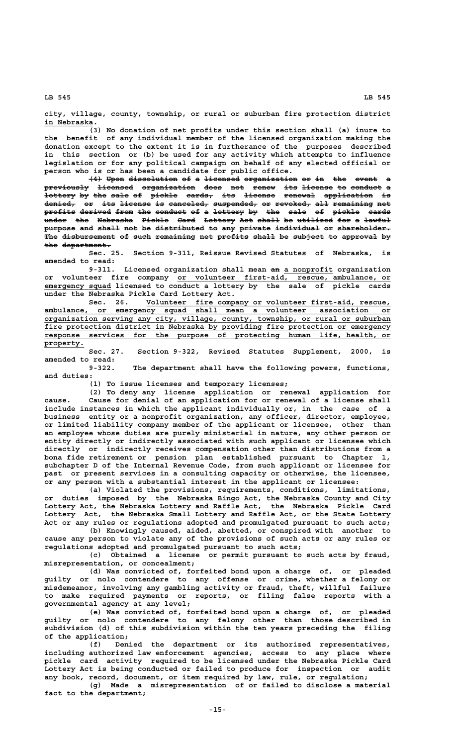**city, village, county, township, or rural or suburban fire protection district** in Nebraska.

**(3) No donation of net profits under this section shall (a) inure to the benefit of any individual member of the licensed organization making the donation except to the extent it is in furtherance of the purposes described in this section or (b) be used for any activity which attempts to influence legislation or for any political campaign on behalf of any elected official or person who is or has been a candidate for public office.**

**(4) Upon dissolution of a licensed organization or in the event a ——— ———— ——————————— —— — ———————— ———————————— —— —— ——— ————— previously licensed organization does not renew its license to conduct a —————————— ———————— ———————————— ———— ——— ————— ——— ——————— —— ——————— lottery by the sale of pickle cards, its license renewal application is ——————— —— ——— ———— —— —————— —————— ——— ——————— ——————— ——————————— —** denied, or its license is canceled, suspended, or revoked, all remaining net profits derived from the conduct of a lottery by the sale of pickle cards **a**<br>under the Nebraska Pickle Card Lottery Act shall be utilized for a lawful purpose and shall not be distributed to any private individual or shareholder. The disbursement of such remaining net profits shall be subject to approval by the department.

**Sec. 25. Section 9-311, Reissue Revised Statutes of Nebraska, is amended to read:**

**9-311. Licensed organization shall mean an a nonprofit organization —— \_\_\_\_\_\_\_\_\_\_\_ \_\_\_\_\_\_\_\_\_\_\_\_\_\_\_\_\_\_\_\_\_\_\_\_\_\_\_\_\_\_\_\_\_\_\_\_\_\_\_\_\_\_\_\_\_\_\_\_ or volunteer fire company or volunteer first-aid, rescue, ambulance, or \_\_\_\_\_\_\_\_\_\_\_\_\_\_\_ emergency squad licensed to conduct a lottery by the sale of pickle cards**

under the Nebraska Pickle Card Lottery Act.<br>Sec. 26. Volunteer fire comp<br>ambulance, or emergency squad shall me  **\_\_\_\_\_\_\_\_\_\_\_\_\_\_\_\_\_\_\_\_\_\_\_\_\_\_\_\_\_\_\_\_\_\_\_\_\_\_\_\_\_\_\_\_\_\_\_\_\_\_\_\_\_\_\_ Sec. 26. Volunteer fire company or volunteer first-aid, rescue, \_\_\_\_\_\_\_\_\_\_\_\_\_\_\_\_\_\_\_\_\_\_\_\_\_\_\_\_\_\_\_\_\_\_\_\_\_\_\_\_\_\_\_\_\_\_\_\_\_\_\_\_\_\_\_\_\_\_\_\_\_\_\_\_\_\_\_\_\_\_\_\_\_\_\_\_\_\_ ambulance, or emergency squad shall mean a volunteer association or** ambulance, or emergency squad shall mean a volunteer association or organization serving any city, village, county, township, or rural or suburban fire protection district in Nebraska by providing fire protection or emergency  **\_\_\_\_\_\_\_\_\_\_\_\_\_\_\_\_\_\_\_\_\_\_\_\_\_\_\_\_\_\_\_\_\_\_\_\_\_\_\_\_\_\_\_\_\_\_\_\_\_\_\_\_\_\_\_\_\_\_\_\_\_\_\_\_\_\_\_\_\_\_\_\_\_\_\_\_\_\_ response services for the purpose of protecting human life, health, or property. \_\_\_\_\_\_\_\_\_**

**Sec. 27. Section 9-322, Revised Statutes Supplement, 2000, is amended to read:**

**9-322. The department shall have the following powers, functions, and duties:**

**(1) To issue licenses and temporary licenses;**

**(2) To deny any license application or renewal application for cause. Cause for denial of an application for or renewal of a license shall include instances in which the applicant individually or, in the case of a business entity or a nonprofit organization, any officer, director, employee, or limited liability company member of the applicant or licensee, other than an employee whose duties are purely ministerial in nature, any other person or entity directly or indirectly associated with such applicant or licensee which directly or indirectly receives compensation other than distributions from a bona fide retirement or pension plan established pursuant to Chapter 1, subchapter D of the Internal Revenue Code, from such applicant or licensee for past or present services in a consulting capacity or otherwise, the licensee, or any person with a substantial interest in the applicant or licensee:**

**(a) Violated the provisions, requirements, conditions, limitations, or duties imposed by the Nebraska Bingo Act, the Nebraska County and City Lottery Act, the Nebraska Lottery and Raffle Act, the Nebraska Pickle Card Lottery Act, the Nebraska Small Lottery and Raffle Act, or the State Lottery Act or any rules or regulations adopted and promulgated pursuant to such acts;**

**(b) Knowingly caused, aided, abetted, or conspired with another to cause any person to violate any of the provisions of such acts or any rules or regulations adopted and promulgated pursuant to such acts;**

**(c) Obtained a license or permit pursuant to such acts by fraud, misrepresentation, or concealment;**

**(d) Was convicted of, forfeited bond upon a charge of, or pleaded guilty or nolo contendere to any offense or crime, whether a felony or misdemeanor, involving any gambling activity or fraud, theft, willful failure to make required payments or reports, or filing false reports with a governmental agency at any level;**

**(e) Was convicted of, forfeited bond upon a charge of, or pleaded guilty or nolo contendere to any felony other than those described in subdivision (d) of this subdivision within the ten years preceding the filing of the application;**

**(f) Denied the department or its authorized representatives, including authorized law enforcement agencies, access to any place where pickle card activity required to be licensed under the Nebraska Pickle Card Lottery Act is being conducted or failed to produce for inspection or audit any book, record, document, or item required by law, rule, or regulation;**

**(g) Made a misrepresentation of or failed to disclose a material fact to the department;**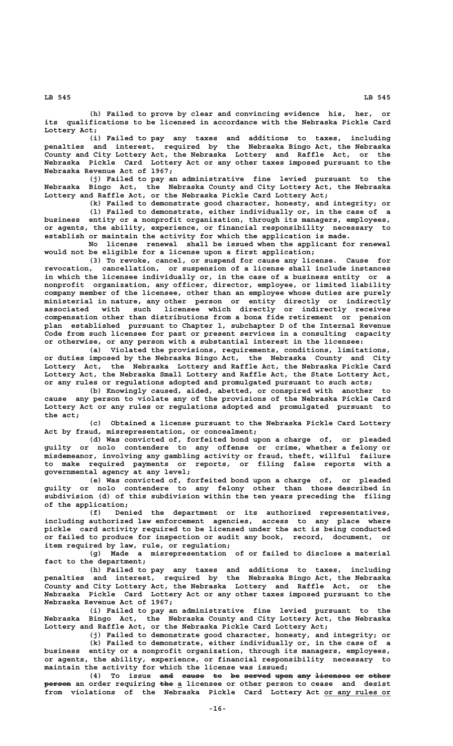**(h) Failed to prove by clear and convincing evidence his, her, or its qualifications to be licensed in accordance with the Nebraska Pickle Card**

 **Lottery Act; (i) Failed to pay any taxes and additions to taxes, including penalties and interest, required by the Nebraska Bingo Act, the Nebraska County and City Lottery Act, the Nebraska Lottery and Raffle Act, or the Nebraska Pickle Card Lottery Act or any other taxes imposed pursuant to the Nebraska Revenue Act of 1967;**

**(j) Failed to pay an administrative fine levied pursuant to the Nebraska Bingo Act, the Nebraska County and City Lottery Act, the Nebraska Lottery and Raffle Act, or the Nebraska Pickle Card Lottery Act;**

**(k) Failed to demonstrate good character, honesty, and integrity; or**

**(l) Failed to demonstrate, either individually or, in the case of a business entity or a nonprofit organization, through its managers, employees, or agents, the ability, experience, or financial responsibility necessary to establish or maintain the activity for which the application is made.**

**No license renewal shall be issued when the applicant for renewal would not be eligible for a license upon a first application;**

**(3) To revoke, cancel, or suspend for cause any license. Cause for revocation, cancellation, or suspension of a license shall include instances in which the licensee individually or, in the case of a business entity or a nonprofit organization, any officer, director, employee, or limited liability company member of the licensee, other than an employee whose duties are purely ministerial in nature, any other person or entity directly or indirectly associated with such licensee which directly or indirectly receives compensation other than distributions from a bona fide retirement or pension plan established pursuant to Chapter 1, subchapter D of the Internal Revenue Code from such licensee for past or present services in a consulting capacity or otherwise, or any person with a substantial interest in the licensee:**

**(a) Violated the provisions, requirements, conditions, limitations, or duties imposed by the Nebraska Bingo Act, the Nebraska County and City Lottery Act, the Nebraska Lottery and Raffle Act, the Nebraska Pickle Card Lottery Act, the Nebraska Small Lottery and Raffle Act, the State Lottery Act, or any rules or regulations adopted and promulgated pursuant to such acts;**

**(b) Knowingly caused, aided, abetted, or conspired with another to cause any person to violate any of the provisions of the Nebraska Pickle Card Lottery Act or any rules or regulations adopted and promulgated pursuant to the act;**

**(c) Obtained a license pursuant to the Nebraska Pickle Card Lottery Act by fraud, misrepresentation, or concealment;**

**(d) Was convicted of, forfeited bond upon a charge of, or pleaded guilty or nolo contendere to any offense or crime, whether a felony or misdemeanor, involving any gambling activity or fraud, theft, willful failure to make required payments or reports, or filing false reports with a governmental agency at any level;**

**(e) Was convicted of, forfeited bond upon a charge of, or pleaded guilty or nolo contendere to any felony other than those described in subdivision (d) of this subdivision within the ten years preceding the filing of the application;**

**(f) Denied the department or its authorized representatives, including authorized law enforcement agencies, access to any place where pickle card activity required to be licensed under the act is being conducted or failed to produce for inspection or audit any book, record, document, or item required by law, rule, or regulation;**

**(g) Made a misrepresentation of or failed to disclose a material fact to the department;**

**(h) Failed to pay any taxes and additions to taxes, including penalties and interest, required by the Nebraska Bingo Act, the Nebraska County and City Lottery Act, the Nebraska Lottery and Raffle Act, or the Nebraska Pickle Card Lottery Act or any other taxes imposed pursuant to the Nebraska Revenue Act of 1967;**

**(i) Failed to pay an administrative fine levied pursuant to the Nebraska Bingo Act, the Nebraska County and City Lottery Act, the Nebraska Lottery and Raffle Act, or the Nebraska Pickle Card Lottery Act;**

**(j) Failed to demonstrate good character, honesty, and integrity; or (k) Failed to demonstrate, either individually or, in the case of a business entity or a nonprofit organization, through its managers, employees, or agents, the ability, experience, or financial responsibility necessary to maintain the activity for which the license was issued;**

(4) To issue and cause to be served upon any licensee or other  **—————— ——— \_ person an order requiring the a licensee or other person to cease and desist** from violations of the Nebraska Pickle Card Lottery Act or any rules or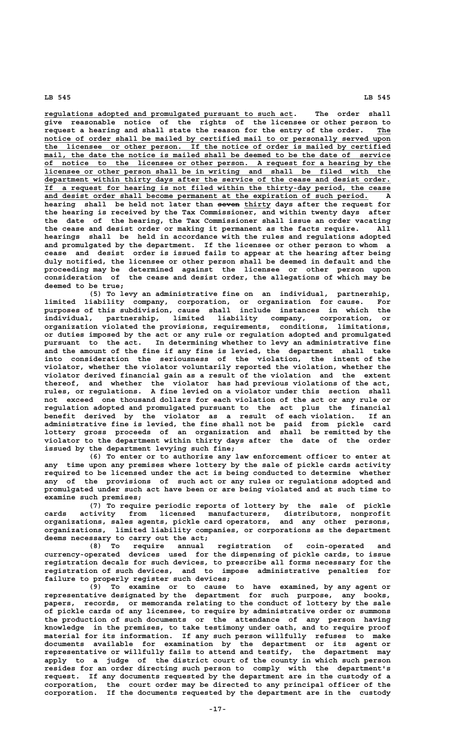**\_\_\_\_\_\_\_\_\_\_\_\_\_\_\_\_\_\_\_\_\_\_\_\_\_\_\_\_\_\_\_\_\_\_\_\_\_\_\_\_\_\_\_\_\_\_\_\_\_\_\_\_\_\_\_\_ regulations adopted and promulgated pursuant to such act. The order shall give reasonable notice of the rights of the licensee or other person to** request a hearing and shall state the reason for the entry of the order. The notice of order shall be mailed by certified mail to or personally served upon<br>the licensee or other person. If the notice of order is mailed by certified  **\_\_\_\_\_\_\_\_\_\_\_\_\_\_\_\_\_\_\_\_\_\_\_\_\_\_\_\_\_\_\_\_\_\_\_\_\_\_\_\_\_\_\_\_\_\_\_\_\_\_\_\_\_\_\_\_\_\_\_\_\_\_\_\_\_\_\_\_\_\_\_\_\_\_\_\_\_\_ the licensee or other person. If the notice of order is mailed by certified**  $mail$ , the date the notice is mailed shall be deemed to be the date of service  **\_\_\_\_\_\_\_\_\_\_\_\_\_\_\_\_\_\_\_\_\_\_\_\_\_\_\_\_\_\_\_\_\_\_\_\_\_\_\_\_\_\_\_\_\_\_\_\_\_\_\_\_\_\_\_\_\_\_\_\_\_\_\_\_\_\_\_\_\_\_\_\_\_\_\_\_\_\_ of notice to the licensee or other person. A request for a hearing by the \_\_\_\_\_\_\_\_\_\_\_\_\_\_\_\_\_\_\_\_\_\_\_\_\_\_\_\_\_\_\_\_\_\_\_\_\_\_\_\_\_\_\_\_\_\_\_\_\_\_\_\_\_\_\_\_\_\_\_\_\_\_\_\_\_\_\_\_\_\_\_\_\_\_\_\_\_\_ licensee or other person shall be in writing and shall be filed with the \_\_\_\_\_\_\_\_\_\_\_\_\_\_\_\_\_\_\_\_\_\_\_\_\_\_\_\_\_\_\_\_\_\_\_\_\_\_\_\_\_\_\_\_\_\_\_\_\_\_\_\_\_\_\_\_\_\_\_\_\_\_\_\_\_\_\_\_\_\_\_\_\_\_\_\_\_\_ department within thirty days after the service of the cease and desist order. \_\_\_\_\_\_\_\_\_\_\_\_\_\_\_\_\_\_\_\_\_\_\_\_\_\_\_\_\_\_\_\_\_\_\_\_\_\_\_\_\_\_\_\_\_\_\_\_\_\_\_\_\_\_\_\_\_\_\_\_\_\_\_\_\_\_\_\_\_\_\_\_\_\_\_\_\_\_ If a request for hearing is not filed within the thirty-day period, the cease \_\_\_\_\_\_\_\_\_\_\_\_\_\_\_\_\_\_\_\_\_\_\_\_\_\_\_\_\_\_\_\_\_\_\_\_\_\_\_\_\_\_\_\_\_\_\_\_\_\_\_\_\_\_\_\_\_\_\_\_\_\_\_\_\_\_\_\_\_\_\_\_\_ and desist order shall become permanent at the expiration of such period. A** hearing shall be held not later than seven thirty days after the request for **the hearing is received by the Tax Commissioner, and within twenty days after the date of the hearing, the Tax Commissioner shall issue an order vacating** the cease and desist order or making it permanent as the facts require. **hearings shall be held in accordance with the rules and regulations adopted and promulgated by the department. If the licensee or other person to whom a cease and desist order is issued fails to appear at the hearing after being duly notified, the licensee or other person shall be deemed in default and the proceeding may be determined against the licensee or other person upon consideration of the cease and desist order, the allegations of which may be deemed to be true;**

**(5) To levy an administrative fine on an individual, partnership, limited liability company, corporation, or organization for cause. For purposes of this subdivision, cause shall include instances in which the individual, partnership, limited liability company, corporation, or organization violated the provisions, requirements, conditions, limitations, or duties imposed by the act or any rule or regulation adopted and promulgated pursuant to the act. In determining whether to levy an administrative fine and the amount of the fine if any fine is levied, the department shall take into consideration the seriousness of the violation, the intent of the violator, whether the violator voluntarily reported the violation, whether the violator derived financial gain as a result of the violation and the extent thereof, and whether the violator has had previous violations of the act, rules, or regulations. A fine levied on a violator under this section shall not exceed one thousand dollars for each violation of the act or any rule or regulation adopted and promulgated pursuant to the act plus the financial benefit derived by the violator as a result of each violation. If an administrative fine is levied, the fine shall not be paid from pickle card lottery gross proceeds of an organization and shall be remitted by the violator to the department within thirty days after the date of the order issued by the department levying such fine;**

**(6) To enter or to authorize any law enforcement officer to enter at any time upon any premises where lottery by the sale of pickle cards activity required to be licensed under the act is being conducted to determine whether any of the provisions of such act or any rules or regulations adopted and promulgated under such act have been or are being violated and at such time to examine such premises;**

**(7) To require periodic reports of lottery by the sale of pickle cards activity from licensed manufacturers, distributors, nonprofit organizations, sales agents, pickle card operators, and any other persons, organizations, limited liability companies, or corporations as the department deems necessary to carry out the act;**

**(8) To require annual registration of coin-operated and currency-operated devices used for the dispensing of pickle cards, to issue registration decals for such devices, to prescribe all forms necessary for the registration of such devices, and to impose administrative penalties for failure to properly register such devices;**

**(9) To examine or to cause to have examined, by any agent or representative designated by the department for such purpose, any books, papers, records, or memoranda relating to the conduct of lottery by the sale of pickle cards of any licensee, to require by administrative order or summons the production of such documents or the attendance of any person having knowledge in the premises, to take testimony under oath, and to require proof material for its information. If any such person willfully refuses to make documents available for examination by the department or its agent or representative or willfully fails to attend and testify, the department may apply to a judge of the district court of the county in which such person resides for an order directing such person to comply with the department's request. If any documents requested by the department are in the custody of a corporation, the court order may be directed to any principal officer of the corporation. If the documents requested by the department are in the custody**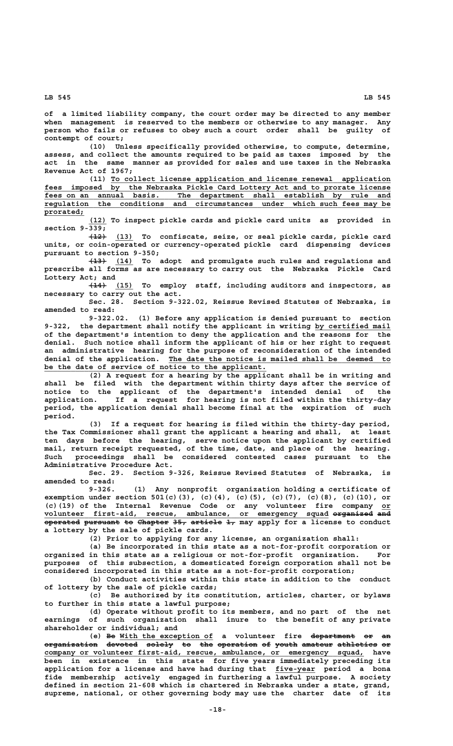**of a limited liability company, the court order may be directed to any member when management is reserved to the members or otherwise to any manager. Any person who fails or refuses to obey such a court order shall be guilty of contempt of court;**

**(10) Unless specifically provided otherwise, to compute, determine, assess, and collect the amounts required to be paid as taxes imposed by the act in the same manner as provided for sales and use taxes in the Nebraska Revenue Act of 1967;**

 **\_\_\_\_\_\_\_\_\_\_\_\_\_\_\_\_\_\_\_\_\_\_\_\_\_\_\_\_\_\_\_\_\_\_\_\_\_\_\_\_\_\_\_\_\_\_\_\_\_\_\_\_\_\_\_\_\_\_\_\_\_\_\_ (11) To collect license application and license renewal application \_\_\_\_\_\_\_\_\_\_\_\_\_\_\_\_\_\_\_\_\_\_\_\_\_\_\_\_\_\_\_\_\_\_\_\_\_\_\_\_\_\_\_\_\_\_\_\_\_\_\_\_\_\_\_\_\_\_\_\_\_\_\_\_\_\_\_\_\_\_\_\_\_\_\_\_\_\_ fees imposed by the Nebraska Pickle Card Lottery Act and to prorate license** fees on an annual basis. The department shall establish by rule and  **\_\_\_\_\_\_\_\_\_\_\_\_\_\_\_\_\_\_\_\_\_\_\_\_\_\_\_\_\_\_\_\_\_\_\_\_\_\_\_\_\_\_\_\_\_\_\_\_\_\_\_\_\_\_\_\_\_\_\_\_\_\_\_\_\_\_\_\_\_\_\_\_\_\_\_\_\_\_ regulation the conditions and circumstances under which such fees may be prorated; \_\_\_\_\_\_\_\_\_**

 **\_\_\_\_ (12) To inspect pickle cards and pickle card units as provided in section 9-339;**

 **———— \_\_\_\_ (12) (13) To confiscate, seize, or seal pickle cards, pickle card units, or coin-operated or currency-operated pickle card dispensing devices pursuant to section 9-350;**

 **———— \_\_\_\_ (13) (14) To adopt and promulgate such rules and regulations and prescribe all forms as are necessary to carry out the Nebraska Pickle Card Lottery Act; and**

 **———— \_\_\_\_ (14) (15) To employ staff, including auditors and inspectors, as necessary to carry out the act.**

**Sec. 28. Section 9-322.02, Reissue Revised Statutes of Nebraska, is amended to read:**

**9-322.02. (1) Before any application is denied pursuant to section** 9-322, the department shall notify the applicant in writing by certified mail **of the department's intention to deny the application and the reasons for the denial. Such notice shall inform the applicant of his or her right to request an administrative hearing for the purpose of reconsideration of the intended \_\_\_\_\_\_\_\_\_\_\_\_\_\_\_\_\_\_\_\_\_\_\_\_\_\_\_\_\_\_\_\_\_\_\_\_\_\_\_\_\_\_\_\_\_\_\_\_\_\_ denial of the application. The date the notice is mailed shall be deemed to \_\_\_\_\_\_\_\_\_\_\_\_\_\_\_\_\_\_\_\_\_\_\_\_\_\_\_\_\_\_\_\_\_\_\_\_\_\_\_\_\_\_\_\_\_\_\_\_\_\_ be the date of service of notice to the applicant.**

**(2) A request for a hearing by the applicant shall be in writing and shall be filed with the department within thirty days after the service of notice to the applicant of the department's intended denial of the application. If a request for hearing is not filed within the thirty-day period, the application denial shall become final at the expiration of such period.**

**(3) If a request for hearing is filed within the thirty-day period, the Tax Commissioner shall grant the applicant a hearing and shall, at least ten days before the hearing, serve notice upon the applicant by certified mail, return receipt requested, of the time, date, and place of the hearing. Such proceedings shall be considered contested cases pursuant to the Administrative Procedure Act.**

**Sec. 29. Section 9-326, Reissue Revised Statutes of Nebraska, is amended to read:**

**9-326. (1) Any nonprofit organization holding a certificate of exemption under section 501(c)(3), (c)(4), (c)(5), (c)(7), (c)(8), (c)(10), or (c)(19) of the Internal Revenue Code or any volunteer fire company or\_\_ volunteer first-aid, rescue, ambulance, or emergency squad organized and \_\_\_\_\_\_\_\_\_\_\_\_\_\_\_\_\_\_\_\_\_\_\_\_\_\_\_\_\_\_\_\_\_\_\_\_\_\_\_\_\_\_\_\_\_\_\_\_\_\_\_\_\_\_\_\_\_\_\_\_\_\_\_\_ ————————— —— operated pursuant to Chapter 35, article 1, may apply for a license to conduct ———————— ———————— —— ——————— ——— ——————— — a lottery by the sale of pickle cards.**

**(2) Prior to applying for any license, an organization shall:**

**(a) Be incorporated in this state as a not-for-profit corporation or organized in this state as a religious or not-for-profit organization. For purposes of this subsection, a domesticated foreign corporation shall not be considered incorporated in this state as a not-for-profit corporation;**

**(b) Conduct activities within this state in addition to the conduct of lottery by the sale of pickle cards;**

**(c) Be authorized by its constitution, articles, charter, or bylaws to further in this state a lawful purpose;**

**(d) Operate without profit to its members, and no part of the net earnings of such organization shall inure to the benefit of any private shareholder or individual; and**

(e) Be With the exception of a volunteer fire department or an **organization devoted solely to the operation of youth amateur athletics or ———————————— ——————— —————— —— ——— ————————— —— ————— ——————— ————————— —— \_\_\_\_\_\_\_\_\_\_\_\_\_\_\_\_\_\_\_\_\_\_\_\_\_\_\_\_\_\_\_\_\_\_\_\_\_\_\_\_\_\_\_\_\_\_\_\_\_\_\_\_\_\_\_\_\_\_\_\_\_\_\_\_\_\_\_\_\_\_\_\_ company or volunteer first-aid, rescue, ambulance, or emergency squad, have been in existence in this state for five years immediately preceding its application for a license and have had during that five-year period a bona \_\_\_\_\_\_\_\_\_ fide membership actively engaged in furthering a lawful purpose. A society defined in section 21-608 which is chartered in Nebraska under a state, grand, supreme, national, or other governing body may use the charter date of its**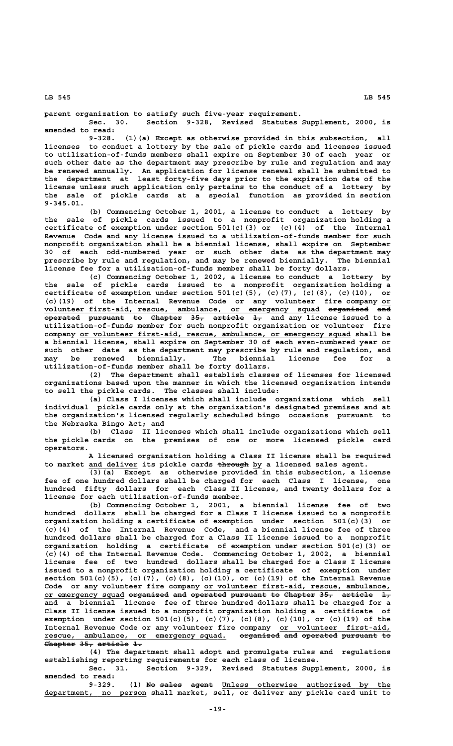**parent organization to satisfy such five-year requirement.**

**Sec. 30. Section 9-328, Revised Statutes Supplement, 2000, is amended to read:**

**9-328. (1)(a) Except as otherwise provided in this subsection, all licenses to conduct a lottery by the sale of pickle cards and licenses issued to utilization-of-funds members shall expire on September 30 of each year or such other date as the department may prescribe by rule and regulation and may be renewed annually. An application for license renewal shall be submitted to the department at least forty-five days prior to the expiration date of the license unless such application only pertains to the conduct of a lottery by the sale of pickle cards at a special function as provided in section 9-345.01.**

**(b) Commencing October 1, 2001, a license to conduct a lottery by the sale of pickle cards issued to a nonprofit organization holding a certificate of exemption under section 501(c)(3) or (c)(4) of the Internal Revenue Code and any license issued to a utilization-of-funds member for such nonprofit organization shall be a biennial license, shall expire on September 30 of each odd-numbered year or such other date as the department may prescribe by rule and regulation, and may be renewed biennially. The biennial license fee for a utilization-of-funds member shall be forty dollars.**

**(c) Commencing October 1, 2002, a license to conduct a lottery by the sale of pickle cards issued to a nonprofit organization holding a certificate of exemption under section 501(c)(5), (c)(7), (c)(8), (c)(10), or (c)(19) of the Internal Revenue Code or any volunteer fire company or\_\_ volunteer first-aid, rescue, ambulance, or emergency squad organized and \_\_\_\_\_\_\_\_\_\_\_\_\_\_\_\_\_\_\_\_\_\_\_\_\_\_\_\_\_\_\_\_\_\_\_\_\_\_\_\_\_\_\_\_\_\_\_\_\_\_\_\_\_\_\_\_\_\_\_\_\_\_ ————————— —— operated pursuant to Chapter 35, article 1, and any license issued to a ———————— ———————— —— ——————— ——— ——————— — utilization-of-funds member for such nonprofit organization or volunteer fire** company or volunteer first-aid, rescue, ambulance, or emergency squad shall be **a biennial license, shall expire on September 30 of each even-numbered year or such other date as the department may prescribe by rule and regulation, and may be renewed biennially. The biennial license fee for a utilization-of-funds member shall be forty dollars.**

**(2) The department shall establish classes of licenses for licensed organizations based upon the manner in which the licensed organization intends to sell the pickle cards. The classes shall include:**

**(a) Class I licenses which shall include organizations which sell individual pickle cards only at the organization's designated premises and at the organization's licensed regularly scheduled bingo occasions pursuant to the Nebraska Bingo Act; and**

**(b) Class II licenses which shall include organizations which sell the pickle cards on the premises of one or more licensed pickle card operators.**

**A licensed organization holding a Class II license shall be required** to market and deliver its pickle cards through by a licensed sales agent.

**(3)(a) Except as otherwise provided in this subsection, a license fee of one hundred dollars shall be charged for each Class I license, one hundred fifty dollars for each Class II license, and twenty dollars for a license for each utilization-of-funds member.**

**(b) Commencing October 1, 2001, a biennial license fee of two hundred dollars shall be charged for a Class I license issued to a nonprofit organization holding a certificate of exemption under section 501(c)(3) or (c)(4) of the Internal Revenue Code, and a biennial license fee of three hundred dollars shall be charged for a Class II license issued to a nonprofit organization holding a certificate of exemption under section 501(c)(3) or (c)(4) of the Internal Revenue Code. Commencing October 1, 2002, a biennial license fee of two hundred dollars shall be charged for a Class I license issued to a nonprofit organization holding a certificate of exemption under section 501(c)(5), (c)(7), (c)(8), (c)(10), or (c)(19) of the Internal Revenue** Code or any volunteer fire company or volunteer first-aid, rescue, ambulance, or emergency squad organized and operated pursuant to Chapter 35, article 1, **and a biennial license fee of three hundred dollars shall be charged for a Class II license issued to a nonprofit organization holding a certificate of exemption under section 501(c)(5), (c)(7), (c)(8), (c)(10), or (c)(19) of the** Internal Revenue Code or any volunteer fire company or volunteer first-aid, rescue, ambulance, or emergency squad. <del>organized and operated pursuant to</del> **Chapter 35, article 1. ——————— ——— ——————— ——**

**(4) The department shall adopt and promulgate rules and regulations establishing reporting requirements for each class of license.**

**Sec. 31. Section 9-329, Revised Statutes Supplement, 2000, is amended to read:**

(1) No sales agent Unless otherwise authorized by the  **\_\_\_\_\_\_\_\_\_\_\_\_\_\_\_\_\_\_\_\_\_\_\_ department, no person shall market, sell, or deliver any pickle card unit to**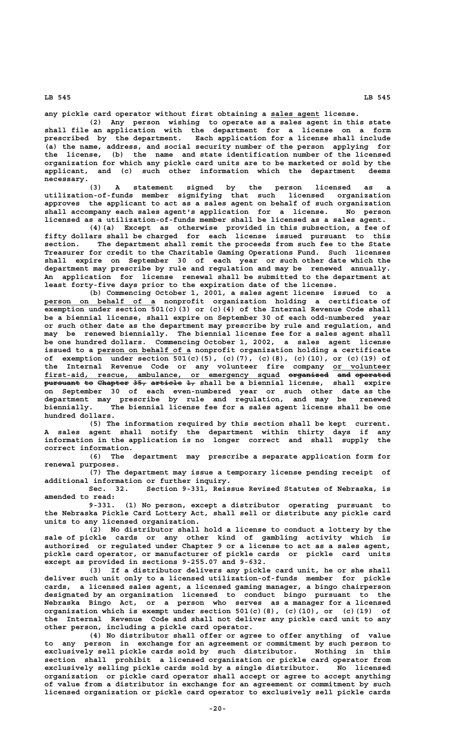any pickle card operator without first obtaining a sales agent license.

**(2) Any person wishing to operate as a sales agent in this state shall file an application with the department for a license on a form prescribed by the department. Each application for a license shall include (a) the name, address, and social security number of the person applying for the license, (b) the name and state identification number of the licensed organization for which any pickle card units are to be marketed or sold by the applicant, and (c) such other information which the department deems** necessary.<br>(3)

**(3) A statement signed by the person licensed as a utilization-of-funds member signifying that such licensed organization approves the applicant to act as a sales agent on behalf of such organization shall accompany each sales agent's application for a license. No person licensed as a utilization-of-funds member shall be licensed as a sales agent.**

**(4)(a) Except as otherwise provided in this subsection, a fee of fifty dollars shall be charged for each license issued pursuant to this section. The department shall remit the proceeds from such fee to the State Treasurer for credit to the Charitable Gaming Operations Fund. Such licenses shall expire on September 30 of each year or such other date which the department may prescribe by rule and regulation and may be renewed annually. An application for license renewal shall be submitted to the department at least forty-five days prior to the expiration date of the license.**

**(b) Commencing October 1, 2001, a sales agent license issued to a \_\_\_\_\_\_\_\_\_\_\_\_\_\_\_\_\_\_\_\_\_\_\_\_\_ person on behalf of a nonprofit organization holding a certificate of exemption under section 501(c)(3) or (c)(4) of the Internal Revenue Code shall be a biennial license, shall expire on September 30 of each odd-numbered year or such other date as the department may prescribe by rule and regulation, and may be renewed biennially. The biennial license fee for a sales agent shall be one hundred dollars. Commencing October 1, 2002, a sales agent license \_\_\_\_\_\_\_\_\_\_\_\_\_\_\_\_\_\_\_\_\_ issued to a person on behalf of a nonprofit organization holding a certificate of exemption under section 501(c)(5), (c)(7), (c)(8), (c)(10), or (c)(19) of** the Internal Revenue Code or any volunteer fire company or volunteer first-aid, rescue, ambulance, or emergency squad <del>organized and operated</del> **pursuant to Chapter 35, article 1, shall be a biennial license, shall expire on September 30 of each even-numbered year or such other date as the department may prescribe by rule and regulation, and may be renewed biennially. The biennial license fee for a sales agent license shall be one hundred dollars.**

**(5) The information required by this section shall be kept current. A sales agent shall notify the department within thirty days if any information in the application is no longer correct and shall supply the correct information.**

**(6) The department may prescribe a separate application form for renewal purposes.**

**(7) The department may issue a temporary license pending receipt of additional information or further inquiry.**

**Sec. 32. Section 9-331, Reissue Revised Statutes of Nebraska, is amended to read:**

**9-331. (1) No person, except a distributor operating pursuant to the Nebraska Pickle Card Lottery Act, shall sell or distribute any pickle card units to any licensed organization.**

**(2) No distributor shall hold a license to conduct a lottery by the sale of pickle cards or any other kind of gambling activity which is authorized or regulated under Chapter 9 or a license to act as a sales agent, pickle card operator, or manufacturer of pickle cards or pickle card units except as provided in sections 9-255.07 and 9-632.**

**(3) If a distributor delivers any pickle card unit, he or she shall deliver such unit only to a licensed utilization-of-funds member for pickle cards, a licensed sales agent, a licensed gaming manager, a bingo chairperson designated by an organization licensed to conduct bingo pursuant to the Nebraska Bingo Act, or a person who serves as a manager for a licensed organization which is exempt under section 501(c)(8), (c)(10), or (c)(19) of the Internal Revenue Code and shall not deliver any pickle card unit to any other person, including a pickle card operator.**

**(4) No distributor shall offer or agree to offer anything of value to any person in exchange for an agreement or commitment by such person to exclusively sell pickle cards sold by such distributor. Nothing in this section shall prohibit a licensed organization or pickle card operator from exclusively selling pickle cards sold by a single distributor. No licensed organization or pickle card operator shall accept or agree to accept anything of value from a distributor in exchange for an agreement or commitment by such licensed organization or pickle card operator to exclusively sell pickle cards**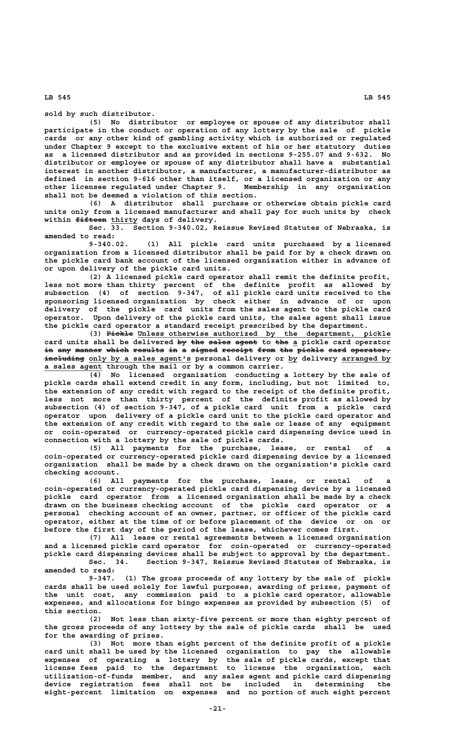**sold by such distributor.**

**(5) No distributor or employee or spouse of any distributor shall participate in the conduct or operation of any lottery by the sale of pickle cards or any other kind of gambling activity which is authorized or regulated under Chapter 9 except to the exclusive extent of his or her statutory duties as a licensed distributor and as provided in sections 9-255.07 and 9-632. No distributor or employee or spouse of any distributor shall have a substantial interest in another distributor, a manufacturer, a manufacturer-distributor as defined in section 9-616 other than itself, or a licensed organization or any** other licensee regulated under Chapter 9. **shall not be deemed a violation of this section.**

**(6) A distributor shall purchase or otherwise obtain pickle card units only from a licensed manufacturer and shall pay for such units by check** within fifteen thirty days of delivery.

**Sec. 33. Section 9-340.02, Reissue Revised Statutes of Nebraska, is amended to read:**

**9-340.02. (1) All pickle card units purchased by a licensed organization from a licensed distributor shall be paid for by a check drawn on the pickle card bank account of the licensed organization either in advance of or upon delivery of the pickle card units.**

**(2) A licensed pickle card operator shall remit the definite profit, less not more than thirty percent of the definite profit as allowed by subsection (4) of section 9-347, of all pickle card units received to the sponsoring licensed organization by check either in advance of or upon delivery of the pickle card units from the sales agent to the pickle card operator. Upon delivery of the pickle card units, the sales agent shall issue the pickle card operator a standard receipt prescribed by the department.**

 **—————— \_\_\_\_\_\_\_\_\_\_\_\_\_\_\_\_\_\_\_\_\_\_\_\_\_\_\_\_\_\_\_\_\_\_\_\_\_\_\_\_\_\_\_\_\_\_\_\_\_\_\_\_\_\_\_\_\_ (3) Pickle Unless otherwise authorized by the department, pickle** card units shall be delivered by the sales agent to the a pickle card operator in any manner which results in a signed receipt from the pickle card operator,  **————————— \_\_\_\_\_\_\_\_\_\_\_\_\_\_\_\_\_\_\_\_\_\_\_ \_\_ \_\_\_\_\_\_\_\_\_\_\_ including only by a sales agent's personal delivery or by delivery arranged by \_\_\_\_\_\_\_\_\_\_\_\_\_ a sales agent through the mail or by a common carrier.**

**(4) No licensed organization conducting a lottery by the sale of pickle cards shall extend credit in any form, including, but not limited to, the extension of any credit with regard to the receipt of the definite profit, less not more than thirty percent of the definite profit as allowed by subsection (4) of section 9-347, of a pickle card unit from a pickle card operator upon delivery of a pickle card unit to the pickle card operator and the extension of any credit with regard to the sale or lease of any equipment or coin-operated or currency-operated pickle card dispensing device used in connection with a lottery by the sale of pickle cards.**

**(5) All payments for the purchase, lease, or rental of a coin-operated or currency-operated pickle card dispensing device by a licensed organization shall be made by a check drawn on the organization's pickle card checking account.**

**(6) All payments for the purchase, lease, or rental of a coin-operated or currency-operated pickle card dispensing device by a licensed pickle card operator from a licensed organization shall be made by a check drawn on the business checking account of the pickle card operator or a personal checking account of an owner, partner, or officer of the pickle card operator, either at the time of or before placement of the device or on or before the first day of the period of the lease, whichever comes first.**

**(7) All lease or rental agreements between a licensed organization and a licensed pickle card operator for coin-operated or currency-operated pickle card dispensing devices shall be subject to approval by the department. Sec. 34. Section 9-347, Reissue Revised Statutes of Nebraska, is**

**amended to read:**

**9-347. (1) The gross proceeds of any lottery by the sale of pickle cards shall be used solely for lawful purposes, awarding of prizes, payment of the unit cost, any commission paid to a pickle card operator, allowable expenses, and allocations for bingo expenses as provided by subsection (5) of this section.**

**(2) Not less than sixty-five percent or more than eighty percent of the gross proceeds of any lottery by the sale of pickle cards shall be used for the awarding of prizes.**

**(3) Not more than eight percent of the definite profit of a pickle card unit shall be used by the licensed organization to pay the allowable expenses of operating a lottery by the sale of pickle cards, except that license fees paid to the department to license the organization, each utilization-of-funds member, and any sales agent and pickle card dispensing device registration fees shall not be included in determining the eight-percent limitation on expenses and no portion of such eight percent**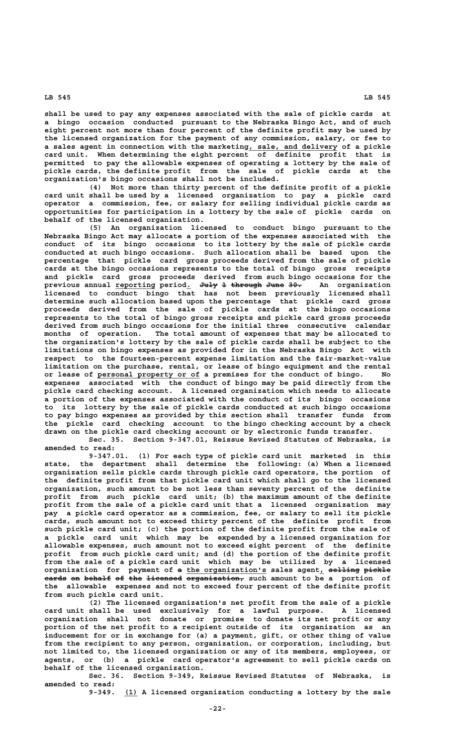**shall be used to pay any expenses associated with the sale of pickle cards at a bingo occasion conducted pursuant to the Nebraska Bingo Act, and of such eight percent not more than four percent of the definite profit may be used by the licensed organization for the payment of any commission, salary, or fee to a** sales agent in connection with the marketing, sale, and delivery of a pickle **card unit. When determining the eight percent of definite profit that is permitted to pay the allowable expenses of operating a lottery by the sale of pickle cards, the definite profit from the sale of pickle cards at the organization's bingo occasions shall not be included.**

**(4) Not more than thirty percent of the definite profit of a pickle card unit shall be used by a licensed organization to pay a pickle card operator a commission, fee, or salary for selling individual pickle cards as opportunities for participation in a lottery by the sale of pickle cards on behalf of the licensed organization.**

**(5) An organization licensed to conduct bingo pursuant to the Nebraska Bingo Act may allocate a portion of the expenses associated with the conduct of its bingo occasions to its lottery by the sale of pickle cards conducted at such bingo occasions. Such allocation shall be based upon the percentage that pickle card gross proceeds derived from the sale of pickle cards at the bingo occasions represents to the total of bingo gross receipts and pickle card gross proceeds derived from such bingo occasions for the previous annual reporting period. July 1 through June 30. An organization \_\_\_\_\_\_\_\_\_ \_ ———— — ——————— ———— —— licensed to conduct bingo that has not been previously licensed shall determine such allocation based upon the percentage that pickle card gross proceeds derived from the sale of pickle cards at the bingo occasions represents to the total of bingo gross receipts and pickle card gross proceeds derived from such bingo occasions for the initial three consecutive calendar months of operation. The total amount of expenses that may be allocated to the organization's lottery by the sale of pickle cards shall be subject to the limitations on bingo expenses as provided for in the Nebraska Bingo Act with respect to the fourteen-percent expense limitation and the fair-market-value limitation on the purchase, rental, or lease of bingo equipment and the rental \_\_\_\_\_\_\_\_\_\_\_\_\_\_\_\_\_\_\_\_\_\_\_ or lease of personal property or of a premises for the conduct of bingo. No expenses associated with the conduct of bingo may be paid directly from the pickle card checking account. A licensed organization which needs to allocate a portion of the expenses associated with the conduct of its bingo occasions to its lottery by the sale of pickle cards conducted at such bingo occasions to pay bingo expenses as provided by this section shall transfer funds from the pickle card checking account to the bingo checking account by a check drawn on the pickle card checking account or by electronic funds transfer. Sec. 35. Section 9-347.01, Reissue Revised Statutes of Nebraska, is**

**amended to read:**

**9-347.01. (1) For each type of pickle card unit marketed in this state, the department shall determine the following: (a) When a licensed organization sells pickle cards through pickle card operators, the portion of the definite profit from that pickle card unit which shall go to the licensed organization, such amount to be not less than seventy percent of the definite profit from such pickle card unit; (b) the maximum amount of the definite profit from the sale of a pickle card unit that a licensed organization may pay a pickle card operator as a commission, fee, or salary to sell its pickle cards, such amount not to exceed thirty percent of the definite profit from such pickle card unit; (c) the portion of the definite profit from the sale of a pickle card unit which may be expended by a licensed organization for allowable expenses, such amount not to exceed eight percent of the definite profit from such pickle card unit; and (d) the portion of the definite profit from the sale of a pickle card unit which may be utilized by a licensed** organization for payment of <del>a</del> the organization's sales agent, <del>selling pickle</del> **cards on behalf of the licensed organization, such amount to be a portion of ————— —— —————— —— ——— ———————— ———————————— the allowable expenses and not to exceed four percent of the definite profit from such pickle card unit.**

**(2) The licensed organization's net profit from the sale of a pickle card unit shall be used exclusively for a lawful purpose. A licensed organization shall not donate or promise to donate its net profit or any portion of the net profit to a recipient outside of its organization as an inducement for or in exchange for (a) a payment, gift, or other thing of value from the recipient to any person, organization, or corporation, including, but not limited to, the licensed organization or any of its members, employees, or agents, or (b) a pickle card operator's agreement to sell pickle cards on behalf of the licensed organization.**

**Sec. 36. Section 9-349, Reissue Revised Statutes of Nebraska, is amended to read:**

 **\_\_\_ 9-349. (1) A licensed organization conducting a lottery by the sale**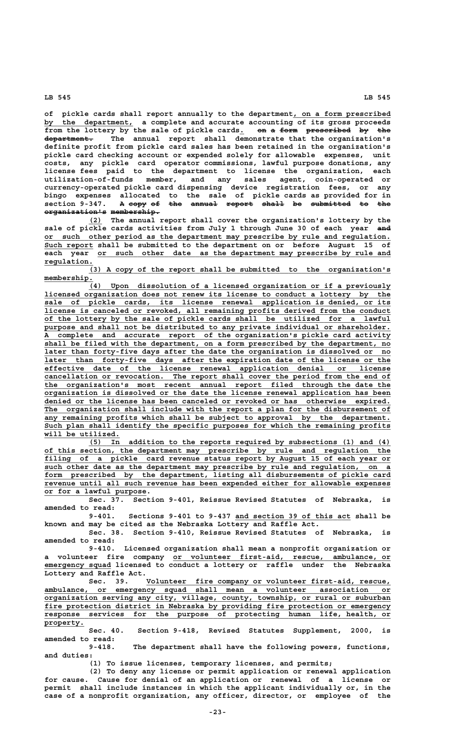**of pickle cards shall report annually to the department, on a form prescribed \_\_\_\_\_\_\_\_\_\_\_\_\_\_\_\_\_\_\_\_\_\_** by the department, a complete and accurate accounting of its gross proceeds from the lottery by the sale of pickle cards<sub>.</sub> on a form prescribed by the  **——————————— department. The annual report shall demonstrate that the organization's definite profit from pickle card sales has been retained in the organization's pickle card checking account or expended solely for allowable expenses, unit costs, any pickle card operator commissions, lawful purpose donations, any license fees paid to the department to license the organization, each utilization-of-funds member, and any sales agent, coin-operated or currency-operated pickle card dispensing device registration fees, or any bingo expenses allocated to the sale of pickle cards as provided for in** section 9-347. A <del>copy of the annual report shall</del> be submitted to the  $$ 

 **\_\_\_ (2) The annual report shall cover the organization's lottery by the** sale of pickle cards activities from July 1 through June 30 of each year and  **\_\_\_\_\_\_\_\_\_\_\_\_\_\_\_\_\_\_\_\_\_\_\_\_\_\_\_\_\_\_\_\_\_\_\_\_\_\_\_\_\_\_\_\_\_\_\_\_\_\_\_\_\_\_\_\_\_\_\_\_\_\_\_\_\_\_\_\_\_\_\_\_\_\_\_\_\_\_ or such other period as the department may prescribe by rule and regulation.** Such report shall be submitted to the department on or before August 15 of each year or such other date as the department may prescribe by rule and  **regulation. \_\_\_\_\_\_\_\_\_\_\_**

 **\_\_\_\_\_\_\_\_\_\_\_\_\_\_\_\_\_\_\_\_\_\_\_\_\_\_\_\_\_\_\_\_\_\_\_\_\_\_\_\_\_\_\_\_\_\_\_\_\_\_\_\_\_\_\_\_\_\_\_\_\_\_\_\_\_\_\_\_ (3) A copy of the report shall be submitted to the organization's** membership.<br>(4)

 **\_\_\_\_\_\_\_\_\_\_\_\_\_\_\_\_\_\_\_\_\_\_\_\_\_\_\_\_\_\_\_\_\_\_\_\_\_\_\_\_\_\_\_\_\_\_\_\_\_\_\_\_\_\_\_\_\_\_\_\_\_\_\_\_\_\_\_\_ (4) Upon dissolution of a licensed organization or if a previously \_\_\_\_\_\_\_\_\_\_\_\_\_\_\_\_\_\_\_\_\_\_\_\_\_\_\_\_\_\_\_\_\_\_\_\_\_\_\_\_\_\_\_\_\_\_\_\_\_\_\_\_\_\_\_\_\_\_\_\_\_\_\_\_\_\_\_\_\_\_\_\_\_\_\_\_\_\_ licensed organization does not renew its license to conduct a lottery by the \_\_\_\_\_\_\_\_\_\_\_\_\_\_\_\_\_\_\_\_\_\_\_\_\_\_\_\_\_\_\_\_\_\_\_\_\_\_\_\_\_\_\_\_\_\_\_\_\_\_\_\_\_\_\_\_\_\_\_\_\_\_\_\_\_\_\_\_\_\_\_\_\_\_\_\_\_\_ sale of pickle cards, its license renewal application is denied, or its \_\_\_\_\_\_\_\_\_\_\_\_\_\_\_\_\_\_\_\_\_\_\_\_\_\_\_\_\_\_\_\_\_\_\_\_\_\_\_\_\_\_\_\_\_\_\_\_\_\_\_\_\_\_\_\_\_\_\_\_\_\_\_\_\_\_\_\_\_\_\_\_\_\_\_\_\_\_ license is canceled or revoked, all remaining profits derived from the conduct \_\_\_\_\_\_\_\_\_\_\_\_\_\_\_\_\_\_\_\_\_\_\_\_\_\_\_\_\_\_\_\_\_\_\_\_\_\_\_\_\_\_\_\_\_\_\_\_\_\_\_\_\_\_\_\_\_\_\_\_\_\_\_\_\_\_\_\_\_\_\_\_\_\_\_\_\_\_ of the lottery by the sale of pickle cards shall be utilized for a lawful** purpose and shall not be distributed to any private individual or shareholder.  **\_\_\_\_\_\_\_\_\_\_\_\_\_\_\_\_\_\_\_\_\_\_\_\_\_\_\_\_\_\_\_\_\_\_\_\_\_\_\_\_\_\_\_\_\_\_\_\_\_\_\_\_\_\_\_\_\_\_\_\_\_\_\_\_\_\_\_\_\_\_\_\_\_\_\_\_\_\_ A complete and accurate report of the organization's pickle card activity \_\_\_\_\_\_\_\_\_\_\_\_\_\_\_\_\_\_\_\_\_\_\_\_\_\_\_\_\_\_\_\_\_\_\_\_\_\_\_\_\_\_\_\_\_\_\_\_\_\_\_\_\_\_\_\_\_\_\_\_\_\_\_\_\_\_\_\_\_\_\_\_\_\_\_\_\_\_ shall be filed with the department, on a form prescribed by the department, no** later than forty-five days after the date the organization is dissolved or no  **\_\_\_\_\_\_\_\_\_\_\_\_\_\_\_\_\_\_\_\_\_\_\_\_\_\_\_\_\_\_\_\_\_\_\_\_\_\_\_\_\_\_\_\_\_\_\_\_\_\_\_\_\_\_\_\_\_\_\_\_\_\_\_\_\_\_\_\_\_\_\_\_\_\_\_\_\_\_ later than forty-five days after the expiration date of the license or the \_\_\_\_\_\_\_\_\_\_\_\_\_\_\_\_\_\_\_\_\_\_\_\_\_\_\_\_\_\_\_\_\_\_\_\_\_\_\_\_\_\_\_\_\_\_\_\_\_\_\_\_\_\_\_\_\_\_\_\_\_\_\_\_\_\_\_\_\_\_\_\_\_\_\_\_\_\_ effective date of the license renewal application denial or license \_\_\_\_\_\_\_\_\_\_\_\_\_\_\_\_\_\_\_\_\_\_\_\_\_\_\_\_\_\_\_\_\_\_\_\_\_\_\_\_\_\_\_\_\_\_\_\_\_\_\_\_\_\_\_\_\_\_\_\_\_\_\_\_\_\_\_\_\_\_\_\_\_\_\_\_\_\_ cancellation or revocation. The report shall cover the period from the end of \_\_\_\_\_\_\_\_\_\_\_\_\_\_\_\_\_\_\_\_\_\_\_\_\_\_\_\_\_\_\_\_\_\_\_\_\_\_\_\_\_\_\_\_\_\_\_\_\_\_\_\_\_\_\_\_\_\_\_\_\_\_\_\_\_\_\_\_\_\_\_\_\_\_\_\_\_\_ the organization's most recent annual report filed through the date the \_\_\_\_\_\_\_\_\_\_\_\_\_\_\_\_\_\_\_\_\_\_\_\_\_\_\_\_\_\_\_\_\_\_\_\_\_\_\_\_\_\_\_\_\_\_\_\_\_\_\_\_\_\_\_\_\_\_\_\_\_\_\_\_\_\_\_\_\_\_\_\_\_\_\_\_\_\_ organization is dissolved or the date the license renewal application has been \_\_\_\_\_\_\_\_\_\_\_\_\_\_\_\_\_\_\_\_\_\_\_\_\_\_\_\_\_\_\_\_\_\_\_\_\_\_\_\_\_\_\_\_\_\_\_\_\_\_\_\_\_\_\_\_\_\_\_\_\_\_\_\_\_\_\_\_\_\_\_\_\_\_\_\_\_\_ denied or the license has been canceled or revoked or has otherwise expired. \_\_\_\_\_\_\_\_\_\_\_\_\_\_\_\_\_\_\_\_\_\_\_\_\_\_\_\_\_\_\_\_\_\_\_\_\_\_\_\_\_\_\_\_\_\_\_\_\_\_\_\_\_\_\_\_\_\_\_\_\_\_\_\_\_\_\_\_\_\_\_\_\_\_\_\_\_\_ The organization shall include with the report a plan for the disbursement of \_\_\_\_\_\_\_\_\_\_\_\_\_\_\_\_\_\_\_\_\_\_\_\_\_\_\_\_\_\_\_\_\_\_\_\_\_\_\_\_\_\_\_\_\_\_\_\_\_\_\_\_\_\_\_\_\_\_\_\_\_\_\_\_\_\_\_\_\_\_\_\_\_\_\_\_\_\_ any remaining profits which shall be subject to approval by the department. \_\_\_\_\_\_\_\_\_\_\_\_\_\_\_\_\_\_\_\_\_\_\_\_\_\_\_\_\_\_\_\_\_\_\_\_\_\_\_\_\_\_\_\_\_\_\_\_\_\_\_\_\_\_\_\_\_\_\_\_\_\_\_\_\_\_\_\_\_\_\_\_\_\_\_\_\_\_ Such plan shall identify the specific purposes for which the remaining profits \_\_\_\_\_\_\_\_\_\_\_\_\_\_\_\_\_ will be utilized.**

 **\_\_\_\_\_\_\_\_\_\_\_\_\_\_\_\_\_\_\_\_\_\_\_\_\_\_\_\_\_\_\_\_\_\_\_\_\_\_\_\_\_\_\_\_\_\_\_\_\_\_\_\_\_\_\_\_\_\_\_\_\_\_\_\_\_\_\_\_ (5) In addition to the reports required by subsections (1) and (4) \_\_\_\_\_\_\_\_\_\_\_\_\_\_\_\_\_\_\_\_\_\_\_\_\_\_\_\_\_\_\_\_\_\_\_\_\_\_\_\_\_\_\_\_\_\_\_\_\_\_\_\_\_\_\_\_\_\_\_\_\_\_\_\_\_\_\_\_\_\_\_\_\_\_\_\_\_\_ of this section, the department may prescribe by rule and regulation the \_\_\_\_\_\_\_\_\_\_\_\_\_\_\_\_\_\_\_\_\_\_\_\_\_\_\_\_\_\_\_\_\_\_\_\_\_\_\_\_\_\_\_\_\_\_\_\_\_\_\_\_\_\_\_\_\_\_\_\_\_\_\_\_\_\_\_\_\_\_\_\_\_\_\_\_\_\_ filing of a pickle card revenue status report by August 15 of each year or \_\_\_\_\_\_\_\_\_\_\_\_\_\_\_\_\_\_\_\_\_\_\_\_\_\_\_\_\_\_\_\_\_\_\_\_\_\_\_\_\_\_\_\_\_\_\_\_\_\_\_\_\_\_\_\_\_\_\_\_\_\_\_\_\_\_\_\_\_\_\_\_\_\_\_\_\_\_ such other date as the department may prescribe by rule and regulation, on a** form prescribed by the department, listing all disbursements of pickle card  **\_\_\_\_\_\_\_\_\_\_\_\_\_\_\_\_\_\_\_\_\_\_\_\_\_\_\_\_\_\_\_\_\_\_\_\_\_\_\_\_\_\_\_\_\_\_\_\_\_\_\_\_\_\_\_\_\_\_\_\_\_\_\_\_\_\_\_\_\_\_\_\_\_\_\_\_\_\_ revenue until all such revenue has been expended either for allowable expenses \_\_\_\_\_\_\_\_\_\_\_\_\_\_\_\_\_\_\_\_\_\_\_ or for a lawful purpose.**

**Sec. 37. Section 9-401, Reissue Revised Statutes of Nebraska, is amended to read:**

 **\_\_\_\_\_\_\_\_\_\_\_\_\_\_\_\_\_\_\_\_\_\_\_\_\_\_ 9-401. Sections 9-401 to 9-437 and section 39 of this act shall be known and may be cited as the Nebraska Lottery and Raffle Act.**

**Sec. 38. Section 9-410, Reissue Revised Statutes of Nebraska, is amended to read:**

**9-410. Licensed organization shall mean a nonprofit organization or \_\_\_\_\_\_\_\_\_\_\_\_\_\_\_\_\_\_\_\_\_\_\_\_\_\_\_\_\_\_\_\_\_\_\_\_\_\_\_\_\_\_\_\_\_\_\_\_\_ a volunteer fire company or volunteer first-aid, rescue, ambulance, or \_\_\_\_\_\_\_\_\_\_\_\_\_\_\_ emergency squad licensed to conduct a lottery or raffle under the Nebraska Lottery and Raffle Act.**

 **\_\_\_\_\_\_\_\_\_\_\_\_\_\_\_\_\_\_\_\_\_\_\_\_\_\_\_\_\_\_\_\_\_\_\_\_\_\_\_\_\_\_\_\_\_\_\_\_\_\_\_\_\_\_\_ Sec. 39. Volunteer fire company or volunteer first-aid, rescue, \_\_\_\_\_\_\_\_\_\_\_\_\_\_\_\_\_\_\_\_\_\_\_\_\_\_\_\_\_\_\_\_\_\_\_\_\_\_\_\_\_\_\_\_\_\_\_\_\_\_\_\_\_\_\_\_\_\_\_\_\_\_\_\_\_\_\_\_\_\_\_\_\_\_\_\_\_\_ ambulance, or emergency squad shall mean a volunteer association or \_\_\_\_\_\_\_\_\_\_\_\_\_\_\_\_\_\_\_\_\_\_\_\_\_\_\_\_\_\_\_\_\_\_\_\_\_\_\_\_\_\_\_\_\_\_\_\_\_\_\_\_\_\_\_\_\_\_\_\_\_\_\_\_\_\_\_\_\_\_\_\_\_\_\_\_\_\_ organization serving any city, village, county, township, or rural or suburban \_\_\_\_\_\_\_\_\_\_\_\_\_\_\_\_\_\_\_\_\_\_\_\_\_\_\_\_\_\_\_\_\_\_\_\_\_\_\_\_\_\_\_\_\_\_\_\_\_\_\_\_\_\_\_\_\_\_\_\_\_\_\_\_\_\_\_\_\_\_\_\_\_\_\_\_\_\_ fire protection district in Nebraska by providing fire protection or emergency \_\_\_\_\_\_\_\_\_\_\_\_\_\_\_\_\_\_\_\_\_\_\_\_\_\_\_\_\_\_\_\_\_\_\_\_\_\_\_\_\_\_\_\_\_\_\_\_\_\_\_\_\_\_\_\_\_\_\_\_\_\_\_\_\_\_\_\_\_\_\_\_\_\_\_\_\_\_ response services for the purpose of protecting human life, health, or property. \_\_\_\_\_\_\_\_\_**

**Sec. 40. Section 9-418, Revised Statutes Supplement, 2000, is amended to read:**

**9-418. The department shall have the following powers, functions, and duties:**

**(1) To issue licenses, temporary licenses, and permits;**

**(2) To deny any license or permit application or renewal application for cause. Cause for denial of an application or renewal of a license or permit shall include instances in which the applicant individually or, in the case of a nonprofit organization, any officer, director, or employee of the**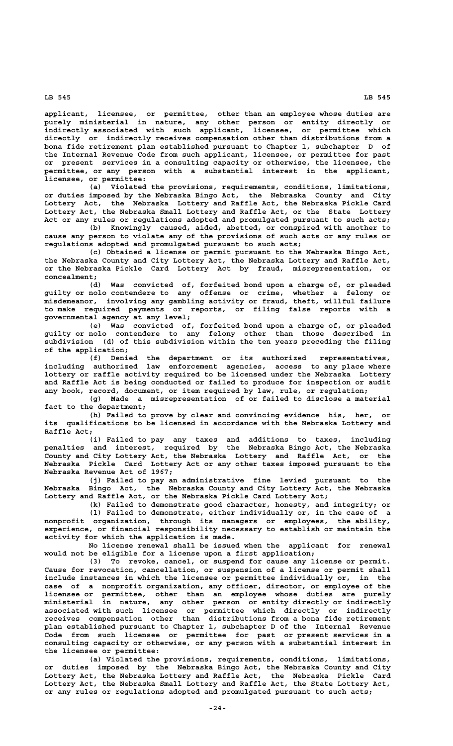**applicant, licensee, or permittee, other than an employee whose duties are purely ministerial in nature, any other person or entity directly or indirectly associated with such applicant, licensee, or permittee which directly or indirectly receives compensation other than distributions from a bona fide retirement plan established pursuant to Chapter 1, subchapter D of the Internal Revenue Code from such applicant, licensee, or permittee for past or present services in a consulting capacity or otherwise, the licensee, the permittee, or any person with a substantial interest in the applicant, licensee, or permittee:**

**(a) Violated the provisions, requirements, conditions, limitations, or duties imposed by the Nebraska Bingo Act, the Nebraska County and City Lottery Act, the Nebraska Lottery and Raffle Act, the Nebraska Pickle Card Lottery Act, the Nebraska Small Lottery and Raffle Act, or the State Lottery Act or any rules or regulations adopted and promulgated pursuant to such acts;**

**(b) Knowingly caused, aided, abetted, or conspired with another to cause any person to violate any of the provisions of such acts or any rules or regulations adopted and promulgated pursuant to such acts;**

**(c) Obtained a license or permit pursuant to the Nebraska Bingo Act, the Nebraska County and City Lottery Act, the Nebraska Lottery and Raffle Act, or the Nebraska Pickle Card Lottery Act by fraud, misrepresentation, or concealment;**

**(d) Was convicted of, forfeited bond upon a charge of, or pleaded guilty or nolo contendere to any offense or crime, whether a felony or misdemeanor, involving any gambling activity or fraud, theft, willful failure to make required payments or reports, or filing false reports with a governmental agency at any level;**

**(e) Was convicted of, forfeited bond upon a charge of, or pleaded guilty or nolo contendere to any felony other than those described in subdivision (d) of this subdivision within the ten years preceding the filing of the application;**

**(f) Denied the department or its authorized representatives, including authorized law enforcement agencies, access to any place where lottery or raffle activity required to be licensed under the Nebraska Lottery and Raffle Act is being conducted or failed to produce for inspection or audit any book, record, document, or item required by law, rule, or regulation;**

**(g) Made a misrepresentation of or failed to disclose a material fact to the department;**

**(h) Failed to prove by clear and convincing evidence his, her, or its qualifications to be licensed in accordance with the Nebraska Lottery and Raffle Act;**

**(i) Failed to pay any taxes and additions to taxes, including penalties and interest, required by the Nebraska Bingo Act, the Nebraska County and City Lottery Act, the Nebraska Lottery and Raffle Act, or the Nebraska Pickle Card Lottery Act or any other taxes imposed pursuant to the Nebraska Revenue Act of 1967;**

**(j) Failed to pay an administrative fine levied pursuant to the Nebraska Bingo Act, the Nebraska County and City Lottery Act, the Nebraska Lottery and Raffle Act, or the Nebraska Pickle Card Lottery Act;**

**(k) Failed to demonstrate good character, honesty, and integrity; or (l) Failed to demonstrate, either individually or, in the case of a nonprofit organization, through its managers or employees, the ability, experience, or financial responsibility necessary to establish or maintain the activity for which the application is made.**

**No license renewal shall be issued when the applicant for renewal would not be eligible for a license upon a first application;**

**(3) To revoke, cancel, or suspend for cause any license or permit. Cause for revocation, cancellation, or suspension of a license or permit shall include instances in which the licensee or permittee individually or, in the case of a nonprofit organization, any officer, director, or employee of the licensee or permittee, other than an employee whose duties are purely ministerial in nature, any other person or entity directly or indirectly associated with such licensee or permittee which directly or indirectly receives compensation other than distributions from a bona fide retirement plan established pursuant to Chapter 1, subchapter D of the Internal Revenue Code from such licensee or permittee for past or present services in a consulting capacity or otherwise, or any person with a substantial interest in the licensee or permittee:**

**(a) Violated the provisions, requirements, conditions, limitations, or duties imposed by the Nebraska Bingo Act, the Nebraska County and City Lottery Act, the Nebraska Lottery and Raffle Act, the Nebraska Pickle Card Lottery Act, the Nebraska Small Lottery and Raffle Act, the State Lottery Act, or any rules or regulations adopted and promulgated pursuant to such acts;**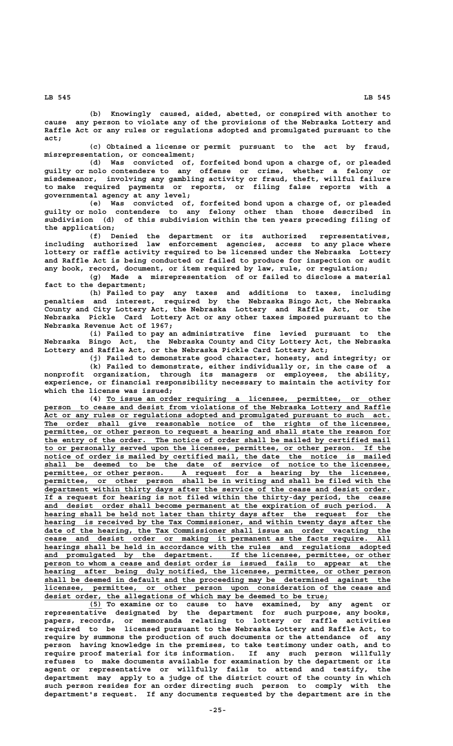**(b) Knowingly caused, aided, abetted, or conspired with another to cause any person to violate any of the provisions of the Nebraska Lottery and Raffle Act or any rules or regulations adopted and promulgated pursuant to the act;**

**(c) Obtained a license or permit pursuant to the act by fraud, misrepresentation, or concealment;**

**(d) Was convicted of, forfeited bond upon a charge of, or pleaded guilty or nolo contendere to any offense or crime, whether a felony or misdemeanor, involving any gambling activity or fraud, theft, willful failure to make required payments or reports, or filing false reports with a governmental agency at any level;**

**(e) Was convicted of, forfeited bond upon a charge of, or pleaded guilty or nolo contendere to any felony other than those described in subdivision (d) of this subdivision within the ten years preceding filing of the application;**

**(f) Denied the department or its authorized representatives, including authorized law enforcement agencies, access to any place where lottery or raffle activity required to be licensed under the Nebraska Lottery and Raffle Act is being conducted or failed to produce for inspection or audit any book, record, document, or item required by law, rule, or regulation;**

**(g) Made a misrepresentation of or failed to disclose a material fact to the department;**

**(h) Failed to pay any taxes and additions to taxes, including penalties and interest, required by the Nebraska Bingo Act, the Nebraska County and City Lottery Act, the Nebraska Lottery and Raffle Act, or the Nebraska Pickle Card Lottery Act or any other taxes imposed pursuant to the Nebraska Revenue Act of 1967;**

**(i) Failed to pay an administrative fine levied pursuant to the Nebraska Bingo Act, the Nebraska County and City Lottery Act, the Nebraska Lottery and Raffle Act, or the Nebraska Pickle Card Lottery Act;**

**(j) Failed to demonstrate good character, honesty, and integrity; or**

**(k) Failed to demonstrate, either individually or, in the case of a nonprofit organization, through its managers or employees, the ability, experience, or financial responsibility necessary to maintain the activity for which the license was issued;**

 **\_\_\_\_\_\_\_\_\_\_\_\_\_\_\_\_\_\_\_\_\_\_\_\_\_\_\_\_\_\_\_\_\_\_\_\_\_\_\_\_\_\_\_\_\_\_\_\_\_\_\_\_\_\_\_\_\_\_\_\_\_\_\_\_ (4) To issue an order requiring a licensee, permittee, or other \_\_\_\_\_\_\_\_\_\_\_\_\_\_\_\_\_\_\_\_\_\_\_\_\_\_\_\_\_\_\_\_\_\_\_\_\_\_\_\_\_\_\_\_\_\_\_\_\_\_\_\_\_\_\_\_\_\_\_\_\_\_\_\_\_\_\_\_\_\_\_\_\_\_\_\_\_\_ person to cease and desist from violations of the Nebraska Lottery and Raffle** Act or any rules or regulations adopted and promulgated pursuant to such act. The order shall give reasonable notice of the rights of the licensee, permittee, or other person to request a hearing and shall state the reason for the entry of the order. The notice of order shall be mailed by certified mail  **\_\_\_\_\_\_\_\_\_\_\_\_\_\_\_\_\_\_\_\_\_\_\_\_\_\_\_\_\_\_\_\_\_\_\_\_\_\_\_\_\_\_\_\_\_\_\_\_\_\_\_\_\_\_\_\_\_\_\_\_\_\_\_\_\_\_\_\_\_\_\_\_\_\_\_\_\_\_ to or personally served upon the licensee, permittee, or other person. If the \_\_\_\_\_\_\_\_\_\_\_\_\_\_\_\_\_\_\_\_\_\_\_\_\_\_\_\_\_\_\_\_\_\_\_\_\_\_\_\_\_\_\_\_\_\_\_\_\_\_\_\_\_\_\_\_\_\_\_\_\_\_\_\_\_\_\_\_\_\_\_\_\_\_\_\_\_\_ notice of order is mailed by certified mail, the date the notice is mailed \_\_\_\_\_\_\_\_\_\_\_\_\_\_\_\_\_\_\_\_\_\_\_\_\_\_\_\_\_\_\_\_\_\_\_\_\_\_\_\_\_\_\_\_\_\_\_\_\_\_\_\_\_\_\_\_\_\_\_\_\_\_\_\_\_\_\_\_\_\_\_\_\_\_\_\_\_\_ shall be deemed to be the date of service of notice to the licensee, \_\_\_\_\_\_\_\_\_\_\_\_\_\_\_\_\_\_\_\_\_\_\_\_\_\_\_\_\_\_\_\_\_\_\_\_\_\_\_\_\_\_\_\_\_\_\_\_\_\_\_\_\_\_\_\_\_\_\_\_\_\_\_\_\_\_\_\_\_\_\_\_\_\_\_\_\_\_ permittee, or other person. A request for a hearing by the licensee, \_\_\_\_\_\_\_\_\_\_\_\_\_\_\_\_\_\_\_\_\_\_\_\_\_\_\_\_\_\_\_\_\_\_\_\_\_\_\_\_\_\_\_\_\_\_\_\_\_\_\_\_\_\_\_\_\_\_\_\_\_\_\_\_\_\_\_\_\_\_\_\_\_\_\_\_\_\_ permittee, or other person shall be in writing and shall be filed with the \_\_\_\_\_\_\_\_\_\_\_\_\_\_\_\_\_\_\_\_\_\_\_\_\_\_\_\_\_\_\_\_\_\_\_\_\_\_\_\_\_\_\_\_\_\_\_\_\_\_\_\_\_\_\_\_\_\_\_\_\_\_\_\_\_\_\_\_\_\_\_\_\_\_\_\_\_\_ department within thirty days after the service of the cease and desist order. \_\_\_\_\_\_\_\_\_\_\_\_\_\_\_\_\_\_\_\_\_\_\_\_\_\_\_\_\_\_\_\_\_\_\_\_\_\_\_\_\_\_\_\_\_\_\_\_\_\_\_\_\_\_\_\_\_\_\_\_\_\_\_\_\_\_\_\_\_\_\_\_\_\_\_\_\_\_ If a request for hearing is not filed within the thirty-day period, the cease \_\_\_\_\_\_\_\_\_\_\_\_\_\_\_\_\_\_\_\_\_\_\_\_\_\_\_\_\_\_\_\_\_\_\_\_\_\_\_\_\_\_\_\_\_\_\_\_\_\_\_\_\_\_\_\_\_\_\_\_\_\_\_\_\_\_\_\_\_\_\_\_\_\_\_\_\_\_ and desist order shall become permanent at the expiration of such period. A** hearing shall be held not later than thirty days after the request for the  **\_\_\_\_\_\_\_\_\_\_\_\_\_\_\_\_\_\_\_\_\_\_\_\_\_\_\_\_\_\_\_\_\_\_\_\_\_\_\_\_\_\_\_\_\_\_\_\_\_\_\_\_\_\_\_\_\_\_\_\_\_\_\_\_\_\_\_\_\_\_\_\_\_\_\_\_\_\_ hearing is received by the Tax Commissioner, and within twenty days after the \_\_\_\_\_\_\_\_\_\_\_\_\_\_\_\_\_\_\_\_\_\_\_\_\_\_\_\_\_\_\_\_\_\_\_\_\_\_\_\_\_\_\_\_\_\_\_\_\_\_\_\_\_\_\_\_\_\_\_\_\_\_\_\_\_\_\_\_\_\_\_\_\_\_\_\_\_\_ date of the hearing, the Tax Commissioner shall issue an order vacating the \_\_\_\_\_\_\_\_\_\_\_\_\_\_\_\_\_\_\_\_\_\_\_\_\_\_\_\_\_\_\_\_\_\_\_\_\_\_\_\_\_\_\_\_\_\_\_\_\_\_\_\_\_\_\_\_\_\_\_\_\_\_\_\_\_\_\_\_\_\_\_\_\_\_\_\_\_\_ cease and desist order or making it permanent as the facts require. All \_\_\_\_\_\_\_\_\_\_\_\_\_\_\_\_\_\_\_\_\_\_\_\_\_\_\_\_\_\_\_\_\_\_\_\_\_\_\_\_\_\_\_\_\_\_\_\_\_\_\_\_\_\_\_\_\_\_\_\_\_\_\_\_\_\_\_\_\_\_\_\_\_\_\_\_\_\_ hearings shall be held in accordance with the rules and regulations adopted** and promulgated by the department. If the licensee, permittee, or other person to whom a cease and desist order is issued fails to appear at the  **\_\_\_\_\_\_\_\_\_\_\_\_\_\_\_\_\_\_\_\_\_\_\_\_\_\_\_\_\_\_\_\_\_\_\_\_\_\_\_\_\_\_\_\_\_\_\_\_\_\_\_\_\_\_\_\_\_\_\_\_\_\_\_\_\_\_\_\_\_\_\_\_\_\_\_\_\_\_ hearing after being duly notified, the licensee, permittee, or other person \_\_\_\_\_\_\_\_\_\_\_\_\_\_\_\_\_\_\_\_\_\_\_\_\_\_\_\_\_\_\_\_\_\_\_\_\_\_\_\_\_\_\_\_\_\_\_\_\_\_\_\_\_\_\_\_\_\_\_\_\_\_\_\_\_\_\_\_\_\_\_\_\_\_\_\_\_\_ shall be deemed in default and the proceeding may be determined against the \_\_\_\_\_\_\_\_\_\_\_\_\_\_\_\_\_\_\_\_\_\_\_\_\_\_\_\_\_\_\_\_\_\_\_\_\_\_\_\_\_\_\_\_\_\_\_\_\_\_\_\_\_\_\_\_\_\_\_\_\_\_\_\_\_\_\_\_\_\_\_\_\_\_\_\_\_\_ licensee, permittee, or other person upon consideration of the cease and \_\_\_\_\_\_\_\_\_\_\_\_\_\_\_\_\_\_\_\_\_\_\_\_\_\_\_\_\_\_\_\_\_\_\_\_\_\_\_\_\_\_\_\_\_\_\_\_\_\_\_\_\_\_\_\_\_\_\_\_\_\_\_\_ desist order, the allegations of which may be deemed to be true;**

 **\_\_\_ (5) To examine or to cause to have examined, by any agent or representative designated by the department for such purpose, any books, papers, records, or memoranda relating to lottery or raffle activities required to be licensed pursuant to the Nebraska Lottery and Raffle Act, to require by summons the production of such documents or the attendance of any person having knowledge in the premises, to take testimony under oath, and to require proof material for its information. If any such person willfully refuses to make documents available for examination by the department or its agent or representative or willfully fails to attend and testify, the department may apply to a judge of the district court of the county in which such person resides for an order directing such person to comply with the department's request. If any documents requested by the department are in the**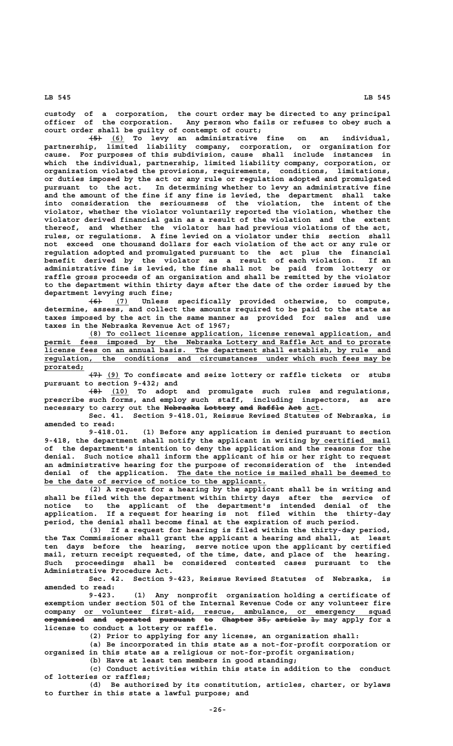**custody of a corporation, the court order may be directed to any principal officer of the corporation. Any person who fails or refuses to obey such a court order shall be guilty of contempt of court;**

 **——— \_\_\_ (5) (6) To levy an administrative fine on an individual, partnership, limited liability company, corporation, or organization for cause. For purposes of this subdivision, cause shall include instances in which the individual, partnership, limited liability company, corporation, or organization violated the provisions, requirements, conditions, limitations, or duties imposed by the act or any rule or regulation adopted and promulgated pursuant to the act. In determining whether to levy an administrative fine and the amount of the fine if any fine is levied, the department shall take into consideration the seriousness of the violation, the intent of the violator, whether the violator voluntarily reported the violation, whether the violator derived financial gain as a result of the violation and the extent thereof, and whether the violator has had previous violations of the act, rules, or regulations. A fine levied on a violator under this section shall not exceed one thousand dollars for each violation of the act or any rule or regulation adopted and promulgated pursuant to the act plus the financial benefit derived by the violator as a result of each violation. If an administrative fine is levied, the fine shall not be paid from lottery or raffle gross proceeds of an organization and shall be remitted by the violator to the department within thirty days after the date of the order issued by the department levying such fine;**

 **——— \_\_\_ (6) (7) Unless specifically provided otherwise, to compute, determine, assess, and collect the amounts required to be paid to the state as taxes imposed by the act in the same manner as provided for sales and use taxes in the Nebraska Revenue Act of 1967;**

 **\_\_\_\_\_\_\_\_\_\_\_\_\_\_\_\_\_\_\_\_\_\_\_\_\_\_\_\_\_\_\_\_\_\_\_\_\_\_\_\_\_\_\_\_\_\_\_\_\_\_\_\_\_\_\_\_\_\_\_\_\_\_\_\_\_\_\_\_ (8) To collect license application, license renewal application, and \_\_\_\_\_\_\_\_\_\_\_\_\_\_\_\_\_\_\_\_\_\_\_\_\_\_\_\_\_\_\_\_\_\_\_\_\_\_\_\_\_\_\_\_\_\_\_\_\_\_\_\_\_\_\_\_\_\_\_\_\_\_\_\_\_\_\_\_\_\_\_\_\_\_\_\_\_\_ permit fees imposed by the Nebraska Lottery and Raffle Act and to prorate \_\_\_\_\_\_\_\_\_\_\_\_\_\_\_\_\_\_\_\_\_\_\_\_\_\_\_\_\_\_\_\_\_\_\_\_\_\_\_\_\_\_\_\_\_\_\_\_\_\_\_\_\_\_\_\_\_\_\_\_\_\_\_\_\_\_\_\_\_\_\_\_\_\_\_\_\_\_ license fees on an annual basis. The department shall establish, by rule and \_\_\_\_\_\_\_\_\_\_\_\_\_\_\_\_\_\_\_\_\_\_\_\_\_\_\_\_\_\_\_\_\_\_\_\_\_\_\_\_\_\_\_\_\_\_\_\_\_\_\_\_\_\_\_\_\_\_\_\_\_\_\_\_\_\_\_\_\_\_\_\_\_\_\_\_\_\_ regulation, the conditions and circumstances under which such fees may be prorated; \_\_\_\_\_\_\_\_\_**

 **——— \_\_\_ (7) (9) To confiscate and seize lottery or raffle tickets or stubs pursuant to section 9-432; and**

 **——— \_\_\_\_ (8) (10) To adopt and promulgate such rules and regulations, prescribe such forms, and employ such staff, including inspectors, as are** necessary to carry out the Nebraska Lottery and Raffle Act act.

**Sec. 41. Section 9-418.01, Reissue Revised Statutes of Nebraska, is amended to read:**

**9-418.01. (1) Before any application is denied pursuant to section** 9-418, the department shall notify the applicant in writing by certified mail **of the department's intention to deny the application and the reasons for the denial. Such notice shall inform the applicant of his or her right to request an administrative hearing for the purpose of reconsideration of the intended \_\_\_\_\_\_\_\_\_\_\_\_\_\_\_\_\_\_\_\_\_\_\_\_\_\_\_\_\_\_\_\_\_\_\_\_\_\_\_\_\_\_\_\_\_\_\_\_ denial of the application. The date the notice is mailed shall be deemed to \_\_\_\_\_\_\_\_\_\_\_\_\_\_\_\_\_\_\_\_\_\_\_\_\_\_\_\_\_\_\_\_\_\_\_\_\_\_\_\_\_\_\_\_\_\_\_\_\_\_ be the date of service of notice to the applicant.**

**(2) A request for a hearing by the applicant shall be in writing and shall be filed with the department within thirty days after the service of notice to the applicant of the department's intended denial of the application. If a request for hearing is not filed within the thirty-day period, the denial shall become final at the expiration of such period.**

**(3) If a request for hearing is filed within the thirty-day period, the Tax Commissioner shall grant the applicant a hearing and shall, at least ten days before the hearing, serve notice upon the applicant by certified mail, return receipt requested, of the time, date, and place of the hearing. Such proceedings shall be considered contested cases pursuant to the Administrative Procedure Act.**

**Sec. 42. Section 9-423, Reissue Revised Statutes of Nebraska, is amended to read:**

**9-423. (1) Any nonprofit organization holding a certificate of exemption under section 501 of the Internal Revenue Code or any volunteer fire \_\_\_\_\_\_\_\_\_\_\_\_\_\_\_\_\_\_\_\_\_\_\_\_\_\_\_\_\_\_\_\_\_\_\_\_\_\_\_\_\_\_\_\_\_\_\_\_\_\_\_\_\_\_\_\_\_\_\_\_\_\_\_\_\_\_\_\_\_ company or volunteer first-aid, rescue, ambulance, or emergency squad organized and operated pursuant to Chapter 35, article 1, may apply for a ————————— ——— ———————— ———————— —— ——————— ——— ——————— — license to conduct a lottery or raffle.**

**(2) Prior to applying for any license, an organization shall:**

**(a) Be incorporated in this state as a not-for-profit corporation or organized in this state as a religious or not-for-profit organization;**

**(b) Have at least ten members in good standing;**

**(c) Conduct activities within this state in addition to the conduct of lotteries or raffles;**

**(d) Be authorized by its constitution, articles, charter, or bylaws to further in this state a lawful purpose; and**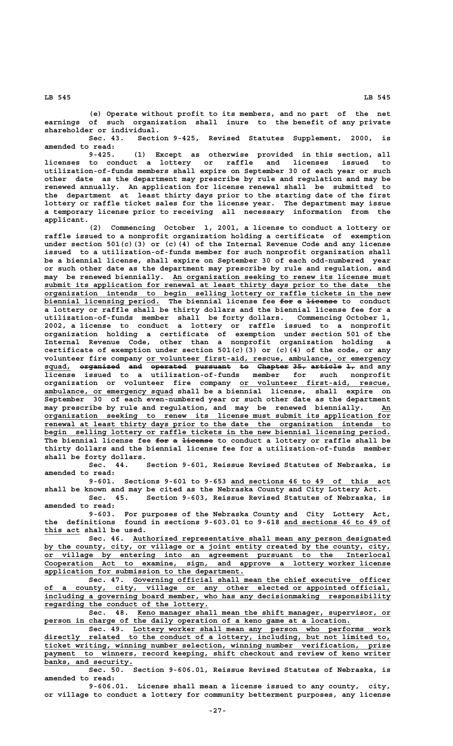**(e) Operate without profit to its members, and no part of the net earnings of such organization shall inure to the benefit of any private shareholder or individual.**

**Sec. 43. Section 9-425, Revised Statutes Supplement, 2000, is amended to read:**

**9-425. (1) Except as otherwise provided in this section, all licenses to conduct a lottery or raffle and licenses issued to utilization-of-funds members shall expire on September 30 of each year or such other date as the department may prescribe by rule and regulation and may be renewed annually. An application for license renewal shall be submitted to the department at least thirty days prior to the starting date of the first lottery or raffle ticket sales for the license year. The department may issue a temporary license prior to receiving all necessary information from the applicant.**

**(2) Commencing October 1, 2001, a license to conduct a lottery or raffle issued to a nonprofit organization holding a certificate of exemption under section 501(c)(3) or (c)(4) of the Internal Revenue Code and any license issued to a utilization-of-funds member for such nonprofit organization shall be a biennial license, shall expire on September 30 of each odd-numbered year or such other date as the department may prescribe by rule and regulation, and**  $m$ ay be renewed biennially. An organization seeking to renew its license must  **\_\_\_\_\_\_\_\_\_\_\_\_\_\_\_\_\_\_\_\_\_\_\_\_\_\_\_\_\_\_\_\_\_\_\_\_\_\_\_\_\_\_\_\_\_\_\_\_\_\_\_\_\_\_\_\_\_\_\_\_\_\_\_\_\_\_\_\_\_\_\_\_\_\_\_\_\_\_ submit its application for renewal at least thirty days prior to the date the \_\_\_\_\_\_\_\_\_\_\_\_\_\_\_\_\_\_\_\_\_\_\_\_\_\_\_\_\_\_\_\_\_\_\_\_\_\_\_\_\_\_\_\_\_\_\_\_\_\_\_\_\_\_\_\_\_\_\_\_\_\_\_\_\_\_\_\_\_\_\_\_\_\_\_\_\_\_ organization intends to begin selling lottery or raffle tickets in the new** biennial licensing period. The biennial license fee <del>for a license</del> to conduct **a lottery or raffle shall be thirty dollars and the biennial license fee for a utilization-of-funds member shall be forty dollars. Commencing October 1, 2002, a license to conduct a lottery or raffle issued to a nonprofit organization holding a certificate of exemption under section 501 of the Internal Revenue Code, other than a nonprofit organization holding a certificate of exemption under section 501(c)(3) or (c)(4) of the code, or any** volunteer fire company or volunteer first-aid, rescue, ambulance, or emergency squad, <del>organized and operated pursuant to Chapter-35, article-1, and any</del> **license issued to a utilization-of-funds member for such nonprofit \_\_\_\_\_\_\_\_\_\_\_\_\_\_\_\_\_\_\_\_\_\_\_\_\_\_\_\_\_\_\_\_\_\_ organization or volunteer fire company or volunteer first-aid, rescue, \_\_\_\_\_\_\_\_\_\_\_\_\_\_\_\_\_\_\_\_\_\_\_\_\_\_\_\_\_ ambulance, or emergency squad shall be a biennial license, shall expire on September 30 of each even-numbered year or such other date as the department may prescribe by rule and regulation, and may be renewed biennially. An\_\_ \_\_\_\_\_\_\_\_\_\_\_\_\_\_\_\_\_\_\_\_\_\_\_\_\_\_\_\_\_\_\_\_\_\_\_\_\_\_\_\_\_\_\_\_\_\_\_\_\_\_\_\_\_\_\_\_\_\_\_\_\_\_\_\_\_\_\_\_\_\_\_\_\_\_\_\_\_\_ organization seeking to renew its license must submit its application for \_\_\_\_\_\_\_\_\_\_\_\_\_\_\_\_\_\_\_\_\_\_\_\_\_\_\_\_\_\_\_\_\_\_\_\_\_\_\_\_\_\_\_\_\_\_\_\_\_\_\_\_\_\_\_\_\_\_\_\_\_\_\_\_\_\_\_\_\_\_\_\_\_\_\_\_\_\_ renewal at least thirty days prior to the date the organization intends to \_\_\_\_\_\_\_\_\_\_\_\_\_\_\_\_\_\_\_\_\_\_\_\_\_\_\_\_\_\_\_\_\_\_\_\_\_\_\_\_\_\_\_\_\_\_\_\_\_\_\_\_\_\_\_\_\_\_\_\_\_\_\_\_\_\_\_\_\_\_\_\_\_\_\_\_\_\_ begin selling lottery or raffle tickets in the new biennial licensing period.** The biennial license fee <del>for a license</del> to conduct a lottery or raffle shall be **thirty dollars and the biennial license fee for a utilization-of-funds member shall be forty dollars.**

**Sec. 44. Section 9-601, Reissue Revised Statutes of Nebraska, is amended to read:**

 **\_\_\_\_\_\_\_\_\_\_\_\_\_\_\_\_\_\_\_\_\_\_\_\_\_\_\_\_\_\_\_\_\_\_\_\_ 9-601. Sections 9-601 to 9-653 and sections 46 to 49 of this act shall be known and may be cited as the Nebraska County and City Lottery Act.**

**Sec. 45. Section 9-603, Reissue Revised Statutes of Nebraska, is amended to read:**

**9-603. For purposes of the Nebraska County and City Lottery Act,** the definitions found in sections 9-603.01 to 9-618 and sections 46 to 49 of  **\_\_\_\_\_\_\_\_ this act shall be used.**

 **\_\_\_\_\_\_\_\_\_\_\_\_\_\_\_\_\_\_\_\_\_\_\_\_\_\_\_\_\_\_\_\_\_\_\_\_\_\_\_\_\_\_\_\_\_\_\_\_\_\_\_\_\_\_\_\_\_\_ Sec. 46. Authorized representative shall mean any person designated** by the county, city, or village or a joint entity created by the county, city,  **\_\_\_\_\_\_\_\_\_\_\_\_\_\_\_\_\_\_\_\_\_\_\_\_\_\_\_\_\_\_\_\_\_\_\_\_\_\_\_\_\_\_\_\_\_\_\_\_\_\_\_\_\_\_\_\_\_\_\_\_\_\_\_\_\_\_\_\_\_\_\_\_\_\_\_\_\_\_ or village by entering into an agreement pursuant to the Interlocal \_\_\_\_\_\_\_\_\_\_\_\_\_\_\_\_\_\_\_\_\_\_\_\_\_\_\_\_\_\_\_\_\_\_\_\_\_\_\_\_\_\_\_\_\_\_\_\_\_\_\_\_\_\_\_\_\_\_\_\_\_\_\_\_\_\_\_\_\_\_\_\_\_\_\_\_\_\_ Cooperation Act to examine, sign, and approve a lottery worker license \_\_\_\_\_\_\_\_\_\_\_\_\_\_\_\_\_\_\_\_\_\_\_\_\_\_\_\_\_\_\_\_\_\_\_\_\_\_\_\_\_\_\_\_\_ application for submission to the department.**

 **\_\_\_\_\_\_\_\_\_\_\_\_\_\_\_\_\_\_\_\_\_\_\_\_\_\_\_\_\_\_\_\_\_\_\_\_\_\_\_\_\_\_\_\_\_\_\_\_\_\_\_\_\_\_\_\_\_\_ Sec. 47. Governing official shall mean the chief executive officer \_\_\_\_\_\_\_\_\_\_\_\_\_\_\_\_\_\_\_\_\_\_\_\_\_\_\_\_\_\_\_\_\_\_\_\_\_\_\_\_\_\_\_\_\_\_\_\_\_\_\_\_\_\_\_\_\_\_\_\_\_\_\_\_\_\_\_\_\_\_\_\_\_\_\_\_\_\_ of a county, city, village or any other elected or appointed official, \_\_\_\_\_\_\_\_\_\_\_\_\_\_\_\_\_\_\_\_\_\_\_\_\_\_\_\_\_\_\_\_\_\_\_\_\_\_\_\_\_\_\_\_\_\_\_\_\_\_\_\_\_\_\_\_\_\_\_\_\_\_\_\_\_\_\_\_\_\_\_\_\_\_\_\_\_\_ including a governing board member, who has any decisionmaking responsibility \_\_\_\_\_\_\_\_\_\_\_\_\_\_\_\_\_\_\_\_\_\_\_\_\_\_\_\_\_\_\_\_\_\_\_\_\_ regarding the conduct of the lottery.**

 **\_\_\_\_\_\_\_\_\_\_\_\_\_\_\_\_\_\_\_\_\_\_\_\_\_\_\_\_\_\_\_\_\_\_\_\_\_\_\_\_\_\_\_\_\_\_\_\_\_\_\_\_\_\_\_\_\_ Sec. 48. Keno manager shall mean the shift manager, supervisor, or \_\_\_\_\_\_\_\_\_\_\_\_\_\_\_\_\_\_\_\_\_\_\_\_\_\_\_\_\_\_\_\_\_\_\_\_\_\_\_\_\_\_\_\_\_\_\_\_\_\_\_\_\_\_\_\_\_\_\_\_\_\_\_\_\_\_\_\_\_ person in charge of the daily operation of a keno game at a location.**

 **\_\_\_\_\_\_\_\_\_\_\_\_\_\_\_\_\_\_\_\_\_\_\_\_\_\_\_\_\_\_\_\_\_\_\_\_\_\_\_\_\_\_\_\_\_\_\_\_\_\_\_\_\_\_\_\_\_\_ Sec. 49. Lottery worker shall mean any person who performs work** directly related to the conduct of a lottery, including, but not limited to,  **\_\_\_\_\_\_\_\_\_\_\_\_\_\_\_\_\_\_\_\_\_\_\_\_\_\_\_\_\_\_\_\_\_\_\_\_\_\_\_\_\_\_\_\_\_\_\_\_\_\_\_\_\_\_\_\_\_\_\_\_\_\_\_\_\_\_\_\_\_\_\_\_\_\_\_\_\_\_ ticket writing, winning number selection, winning number verification, prize** payment to winners, record keeping, shift checkout and review of keno writer  **\_\_\_\_\_\_\_\_\_\_\_\_\_\_\_\_\_\_\_\_ banks, and security.**

**Sec. 50. Section 9-606.01, Reissue Revised Statutes of Nebraska, is amended to read:**

**9-606.01. License shall mean a license issued to any county, city, or village to conduct a lottery for community betterment purposes, any license**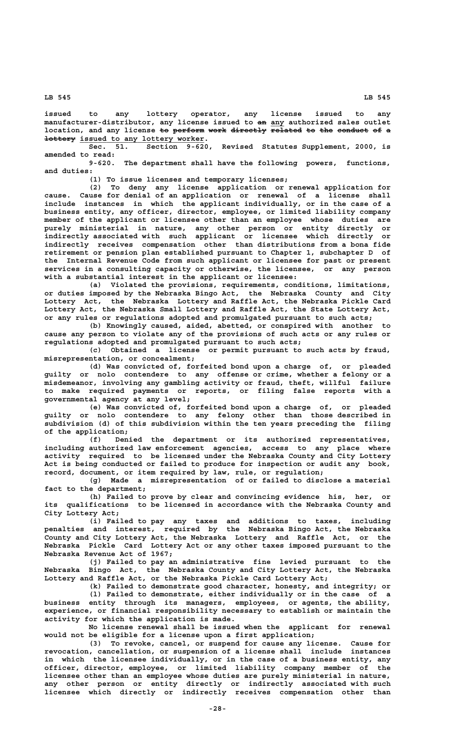**issued to any lottery operator, any license issued to any** manufacturer-distributor, any license issued to an any authorized sales outlet location, and any license to perform work directly related to the conduct of a  **<u>+ettery</u> issued to any lottery worker.<br>Sec. 51. Section 9-620** 

**Sec. 51. Section 9-620, Revised Statutes Supplement, 2000, is amended to read:**

**9-620. The department shall have the following powers, functions, and duties:**

**(1) To issue licenses and temporary licenses;**

**(2) To deny any license application or renewal application for cause. Cause for denial of an application or renewal of a license shall include instances in which the applicant individually, or in the case of a business entity, any officer, director, employee, or limited liability company member of the applicant or licensee other than an employee whose duties are purely ministerial in nature, any other person or entity directly or indirectly associated with such applicant or licensee which directly or indirectly receives compensation other than distributions from a bona fide retirement or pension plan established pursuant to Chapter 1, subchapter D of the Internal Revenue Code from such applicant or licensee for past or present services in a consulting capacity or otherwise, the licensee, or any person with a substantial interest in the applicant or licensee:**

**(a) Violated the provisions, requirements, conditions, limitations, or duties imposed by the Nebraska Bingo Act, the Nebraska County and City Lottery Act, the Nebraska Lottery and Raffle Act, the Nebraska Pickle Card Lottery Act, the Nebraska Small Lottery and Raffle Act, the State Lottery Act, or any rules or regulations adopted and promulgated pursuant to such acts;**

**(b) Knowingly caused, aided, abetted, or conspired with another to cause any person to violate any of the provisions of such acts or any rules or regulations adopted and promulgated pursuant to such acts;**

**(c) Obtained a license or permit pursuant to such acts by fraud, misrepresentation, or concealment;**

**(d) Was convicted of, forfeited bond upon a charge of, or pleaded guilty or nolo contendere to any offense or crime, whether a felony or a misdemeanor, involving any gambling activity or fraud, theft, willful failure to make required payments or reports, or filing false reports with a governmental agency at any level;**

**(e) Was convicted of, forfeited bond upon a charge of, or pleaded guilty or nolo contendere to any felony other than those described in subdivision (d) of this subdivision within the ten years preceding the filing of the application;**

**(f) Denied the department or its authorized representatives, including authorized law enforcement agencies, access to any place where activity required to be licensed under the Nebraska County and City Lottery Act is being conducted or failed to produce for inspection or audit any book, record, document, or item required by law, rule, or regulation;**

**(g) Made a misrepresentation of or failed to disclose a material fact to the department;**

**(h) Failed to prove by clear and convincing evidence his, her, or its qualifications to be licensed in accordance with the Nebraska County and City Lottery Act;**

**(i) Failed to pay any taxes and additions to taxes, including penalties and interest, required by the Nebraska Bingo Act, the Nebraska County and City Lottery Act, the Nebraska Lottery and Raffle Act, or the Nebraska Pickle Card Lottery Act or any other taxes imposed pursuant to the Nebraska Revenue Act of 1967;**

**(j) Failed to pay an administrative fine levied pursuant to the Nebraska Bingo Act, the Nebraska County and City Lottery Act, the Nebraska Lottery and Raffle Act, or the Nebraska Pickle Card Lottery Act;**

**(k) Failed to demonstrate good character, honesty, and integrity; or (l) Failed to demonstrate, either individually or in the case of a business entity through its managers, employees, or agents, the ability, experience, or financial responsibility necessary to establish or maintain the activity for which the application is made.**

**No license renewal shall be issued when the applicant for renewal would not be eligible for a license upon a first application;**

**(3) To revoke, cancel, or suspend for cause any license. Cause for revocation, cancellation, or suspension of a license shall include instances in which the licensee individually, or in the case of a business entity, any officer, director, employee, or limited liability company member of the licensee other than an employee whose duties are purely ministerial in nature, any other person or entity directly or indirectly associated with such licensee which directly or indirectly receives compensation other than**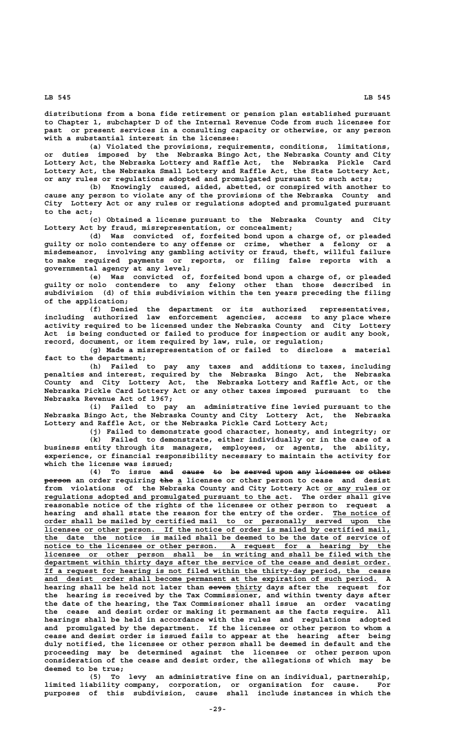**distributions from a bona fide retirement or pension plan established pursuant to Chapter 1, subchapter D of the Internal Revenue Code from such licensee for past or present services in a consulting capacity or otherwise, or any person with a substantial interest in the licensee:**

**(a) Violated the provisions, requirements, conditions, limitations, or duties imposed by the Nebraska Bingo Act, the Nebraska County and City Lottery Act, the Nebraska Lottery and Raffle Act, the Nebraska Pickle Card Lottery Act, the Nebraska Small Lottery and Raffle Act, the State Lottery Act, or any rules or regulations adopted and promulgated pursuant to such acts;**

**(b) Knowingly caused, aided, abetted, or conspired with another to cause any person to violate any of the provisions of the Nebraska County and City Lottery Act or any rules or regulations adopted and promulgated pursuant to the act;**

**(c) Obtained a license pursuant to the Nebraska County and City Lottery Act by fraud, misrepresentation, or concealment;**

**(d) Was convicted of, forfeited bond upon a charge of, or pleaded guilty or nolo contendere to any offense or crime, whether a felony or a misdemeanor, involving any gambling activity or fraud, theft, willful failure to make required payments or reports, or filing false reports with a governmental agency at any level;**

**(e) Was convicted of, forfeited bond upon a charge of, or pleaded guilty or nolo contendere to any felony other than those described in subdivision (d) of this subdivision within the ten years preceding the filing of the application;**

**(f) Denied the department or its authorized representatives, including authorized law enforcement agencies, access to any place where activity required to be licensed under the Nebraska County and City Lottery Act is being conducted or failed to produce for inspection or audit any book, record, document, or item required by law, rule, or regulation;**

**(g) Made a misrepresentation of or failed to disclose a material fact to the department;**

**(h) Failed to pay any taxes and additions to taxes, including penalties and interest, required by the Nebraska Bingo Act, the Nebraska County and City Lottery Act, the Nebraska Lottery and Raffle Act, or the Nebraska Pickle Card Lottery Act or any other taxes imposed pursuant to the Nebraska Revenue Act of 1967;**

**(i) Failed to pay an administrative fine levied pursuant to the Nebraska Bingo Act, the Nebraska County and City Lottery Act, the Nebraska Lottery and Raffle Act, or the Nebraska Pickle Card Lottery Act;**

**(j) Failed to demonstrate good character, honesty, and integrity; or (k) Failed to demonstrate, either individually or in the case of a business entity through its managers, employees, or agents, the ability, experience, or financial responsibility necessary to maintain the activity for which the license was issued;**

(4) To issue and cause to be served upon any licensee or other **person** an order requiring the a licensee or other person to cease and desist from violations of the Nebraska County and City Lottery Act <u>or any rules or</u>  **\_\_\_\_\_\_\_\_\_\_\_\_\_\_\_\_\_\_\_\_\_\_\_\_\_\_\_\_\_\_\_\_\_\_\_\_\_\_\_\_\_\_\_\_\_\_\_\_\_\_\_\_\_\_\_ regulations adopted and promulgated pursuant to the act. The order shall give reasonable notice of the rights of the licensee or other person to request a** hearing and shall state the reason for the entry of the order. The notice of  **\_\_\_\_\_\_\_\_\_\_\_\_\_\_\_\_\_\_\_\_\_\_\_\_\_\_\_\_\_\_\_\_\_\_\_\_\_\_\_\_\_\_\_\_\_\_\_\_\_\_\_\_\_\_\_\_\_\_\_\_\_\_\_\_\_\_\_\_\_\_\_\_\_\_\_\_\_\_ order shall be mailed by certified mail to or personally served upon the \_\_\_\_\_\_\_\_\_\_\_\_\_\_\_\_\_\_\_\_\_\_\_\_\_\_\_\_\_\_\_\_\_\_\_\_\_\_\_\_\_\_\_\_\_\_\_\_\_\_\_\_\_\_\_\_\_\_\_\_\_\_\_\_\_\_\_\_\_\_\_\_\_\_\_\_\_\_ licensee or other person. If the notice of order is mailed by certified mail, \_\_\_\_\_\_\_\_\_\_\_\_\_\_\_\_\_\_\_\_\_\_\_\_\_\_\_\_\_\_\_\_\_\_\_\_\_\_\_\_\_\_\_\_\_\_\_\_\_\_\_\_\_\_\_\_\_\_\_\_\_\_\_\_\_\_\_\_\_\_\_\_\_\_\_\_\_\_ the date the notice is mailed shall be deemed to be the date of service of \_\_\_\_\_\_\_\_\_\_\_\_\_\_\_\_\_\_\_\_\_\_\_\_\_\_\_\_\_\_\_\_\_\_\_\_\_\_\_\_\_\_\_\_\_\_\_\_\_\_\_\_\_\_\_\_\_\_\_\_\_\_\_\_\_\_\_\_\_\_\_\_\_\_\_\_\_\_ notice to the licensee or other person. A request for a hearing by the \_\_\_\_\_\_\_\_\_\_\_\_\_\_\_\_\_\_\_\_\_\_\_\_\_\_\_\_\_\_\_\_\_\_\_\_\_\_\_\_\_\_\_\_\_\_\_\_\_\_\_\_\_\_\_\_\_\_\_\_\_\_\_\_\_\_\_\_\_\_\_\_\_\_\_\_\_\_ licensee or other person shall be in writing and shall be filed with the \_\_\_\_\_\_\_\_\_\_\_\_\_\_\_\_\_\_\_\_\_\_\_\_\_\_\_\_\_\_\_\_\_\_\_\_\_\_\_\_\_\_\_\_\_\_\_\_\_\_\_\_\_\_\_\_\_\_\_\_\_\_\_\_\_\_\_\_\_\_\_\_\_\_\_\_\_\_ department within thirty days after the service of the cease and desist order. \_\_\_\_\_\_\_\_\_\_\_\_\_\_\_\_\_\_\_\_\_\_\_\_\_\_\_\_\_\_\_\_\_\_\_\_\_\_\_\_\_\_\_\_\_\_\_\_\_\_\_\_\_\_\_\_\_\_\_\_\_\_\_\_\_\_\_\_\_\_\_\_\_\_\_\_\_\_ If a request for hearing is not filed within the thirty-day period, the cease \_\_\_\_\_\_\_\_\_\_\_\_\_\_\_\_\_\_\_\_\_\_\_\_\_\_\_\_\_\_\_\_\_\_\_\_\_\_\_\_\_\_\_\_\_\_\_\_\_\_\_\_\_\_\_\_\_\_\_\_\_\_\_\_\_\_\_\_\_\_\_\_\_\_\_ and desist order shall become permanent at the expiration of such period. A** hearing shall be held not later than seven thirty days after the request for **the hearing is received by the Tax Commissioner, and within twenty days after the date of the hearing, the Tax Commissioner shall issue an order vacating the cease and desist order or making it permanent as the facts require. All hearings shall be held in accordance with the rules and regulations adopted and promulgated by the department. If the licensee or other person to whom a cease and desist order is issued fails to appear at the hearing after being duly notified, the licensee or other person shall be deemed in default and the proceeding may be determined against the licensee or other person upon consideration of the cease and desist order, the allegations of which may be deemed to be true;**

> **(5) To levy an administrative fine on an individual, partnership, limited liability company, corporation, or organization for cause. For purposes of this subdivision, cause shall include instances in which the**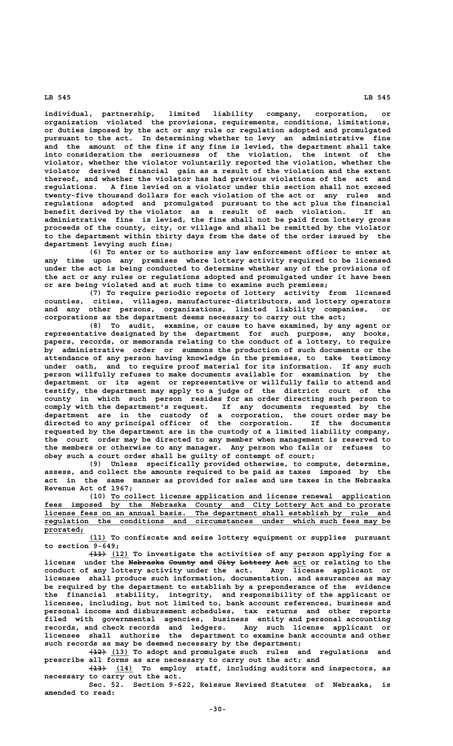**individual, partnership, limited liability company, corporation, or organization violated the provisions, requirements, conditions, limitations, or duties imposed by the act or any rule or regulation adopted and promulgated pursuant to the act. In determining whether to levy an administrative fine and the amount of the fine if any fine is levied, the department shall take into consideration the seriousness of the violation, the intent of the violator, whether the violator voluntarily reported the violation, whether the violator derived financial gain as a result of the violation and the extent thereof, and whether the violator has had previous violations of the act and regulations. A fine levied on a violator under this section shall not exceed twenty-five thousand dollars for each violation of the act or any rules and regulations adopted and promulgated pursuant to the act plus the financial benefit derived by the violator as a result of each violation. If an administrative fine is levied, the fine shall not be paid from lottery gross proceeds of the county, city, or village and shall be remitted by the violator to the department within thirty days from the date of the order issued by the department levying such fine;**

**(6) To enter or to authorize any law enforcement officer to enter at any time upon any premises where lottery activity required to be licensed under the act is being conducted to determine whether any of the provisions of the act or any rules or regulations adopted and promulgated under it have been or are being violated and at such time to examine such premises;**

**(7) To require periodic reports of lottery activity from licensed counties, cities, villages, manufacturer-distributors, and lottery operators and any other persons, organizations, limited liability companies, or corporations as the department deems necessary to carry out the act;**

**(8) To audit, examine, or cause to have examined, by any agent or representative designated by the department for such purpose, any books, papers, records, or memoranda relating to the conduct of a lottery, to require by administrative order or summons the production of such documents or the attendance of any person having knowledge in the premises, to take testimony under oath, and to require proof material for its information. If any such person willfully refuses to make documents available for examination by the department or its agent or representative or willfully fails to attend and testify, the department may apply to a judge of the district court of the county in which such person resides for an order directing such person to comply with the department's request. If any documents requested by the department are in the custody of a corporation, the court order may be directed to any principal officer of the corporation. If the documents requested by the department are in the custody of a limited liability company, the court order may be directed to any member when management is reserved to the members or otherwise to any manager. Any person who fails or refuses to obey such a court order shall be guilty of contempt of court;**

**(9) Unless specifically provided otherwise, to compute, determine, assess, and collect the amounts required to be paid as taxes imposed by the act in the same manner as provided for sales and use taxes in the Nebraska Revenue Act of 1967;**

 **\_\_\_\_\_\_\_\_\_\_\_\_\_\_\_\_\_\_\_\_\_\_\_\_\_\_\_\_\_\_\_\_\_\_\_\_\_\_\_\_\_\_\_\_\_\_\_\_\_\_\_\_\_\_\_\_\_\_\_\_\_\_\_ (10) To collect license application and license renewal application \_\_\_\_\_\_\_\_\_\_\_\_\_\_\_\_\_\_\_\_\_\_\_\_\_\_\_\_\_\_\_\_\_\_\_\_\_\_\_\_\_\_\_\_\_\_\_\_\_\_\_\_\_\_\_\_\_\_\_\_\_\_\_\_\_\_\_\_\_\_\_\_\_\_\_\_\_\_ fees imposed by the Nebraska County and City Lottery Act and to prorate \_\_\_\_\_\_\_\_\_\_\_\_\_\_\_\_\_\_\_\_\_\_\_\_\_\_\_\_\_\_\_\_\_\_\_\_\_\_\_\_\_\_\_\_\_\_\_\_\_\_\_\_\_\_\_\_\_\_\_\_\_\_\_\_\_\_\_\_\_\_\_\_\_\_\_\_\_\_ license fees on an annual basis. The department shall establish by rule and \_\_\_\_\_\_\_\_\_\_\_\_\_\_\_\_\_\_\_\_\_\_\_\_\_\_\_\_\_\_\_\_\_\_\_\_\_\_\_\_\_\_\_\_\_\_\_\_\_\_\_\_\_\_\_\_\_\_\_\_\_\_\_\_\_\_\_\_\_\_\_\_\_\_\_\_\_\_ regulation the conditions and circumstances under which such fees may be prorated; \_\_\_\_\_\_\_\_\_**

 **\_\_\_\_ (11) To confiscate and seize lottery equipment or supplies pursuant to section 9-649;**

 **———— \_\_\_\_ (11) (12) To investigate the activities of any person applying for a** license under the <del>Nebraska County and City Lottery Act</del> act or relating to the **conduct of any lottery activity under the act. Any license applicant or licensee shall produce such information, documentation, and assurances as may be required by the department to establish by a preponderance of the evidence the financial stability, integrity, and responsibility of the applicant or licensee, including, but not limited to, bank account references, business and personal income and disbursement schedules, tax returns and other reports filed with governmental agencies, business entity and personal accounting records, and check records and ledgers. Any such license applicant or licensee shall authorize the department to examine bank accounts and other such records as may be deemed necessary by the department;**

 **———— \_\_\_\_ (12) (13) To adopt and promulgate such rules and regulations and prescribe all forms as are necessary to carry out the act; and**

 **———— \_\_\_\_ (13) (14) To employ staff, including auditors and inspectors, as necessary to carry out the act.**

**Sec. 52. Section 9-622, Reissue Revised Statutes of Nebraska, is amended to read:**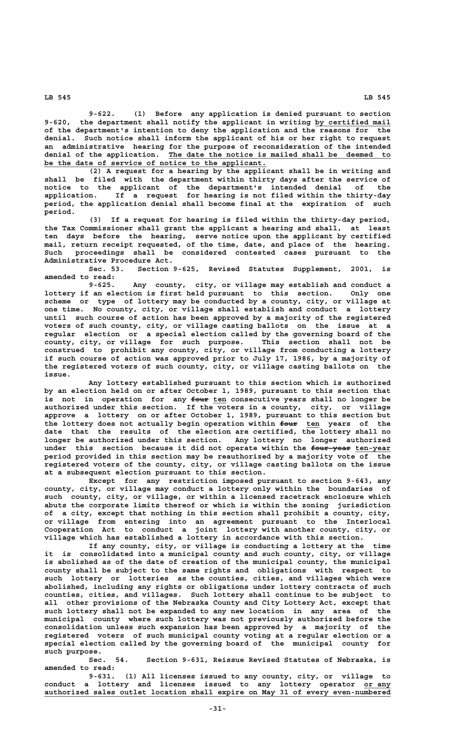**9-622. (1) Before any application is denied pursuant to section** 9-620, the department shall notify the applicant in writing by certified mail **of the department's intention to deny the application and the reasons for the denial. Such notice shall inform the applicant of his or her right to request an administrative hearing for the purpose of reconsideration of the intended \_\_\_\_\_\_\_\_\_\_\_\_\_\_\_\_\_\_\_\_\_\_\_\_\_\_\_\_\_\_\_\_\_\_\_\_\_\_\_\_\_\_\_\_\_\_\_\_\_\_ denial of the application. The date the notice is mailed shall be deemed to \_\_\_\_\_\_\_\_\_\_\_\_\_\_\_\_\_\_\_\_\_\_\_\_\_\_\_\_\_\_\_\_\_\_\_\_\_\_\_\_\_\_\_\_\_\_\_\_\_\_ be the date of service of notice to the applicant.**

**(2) A request for a hearing by the applicant shall be in writing and shall be filed with the department within thirty days after the service of notice to the applicant of the department's intended denial of the application. If a request for hearing is not filed within the thirty-day period, the application denial shall become final at the expiration of such period.**

**(3) If a request for hearing is filed within the thirty-day period, the Tax Commissioner shall grant the applicant a hearing and shall, at least ten days before the hearing, serve notice upon the applicant by certified mail, return receipt requested, of the time, date, and place of the hearing. Such proceedings shall be considered contested cases pursuant to the Administrative Procedure Act.**

**Sec. 53. Section 9-625, Revised Statutes Supplement, 2001, is amended to read:**

**9-625. Any county, city, or village may establish and conduct a lottery if an election is first held pursuant to this section. Only one scheme or type of lottery may be conducted by a county, city, or village at one time. No county, city, or village shall establish and conduct a lottery until such course of action has been approved by a majority of the registered voters of such county, city, or village casting ballots on the issue at a regular election or a special election called by the governing board of the county, city, or village for such purpose. This section shall not be construed to prohibit any county, city, or village from conducting a lottery if such course of action was approved prior to July 17, 1986, by a majority of the registered voters of such county, city, or village casting ballots on the issue.**

**Any lottery established pursuant to this section which is authorized by an election held on or after October 1, 1989, pursuant to this section that** is not in operation for any  $f_{\text{out}}$  ten consecutive years shall no longer be **authorized under this section. If the voters in a county, city, or village approve a lottery on or after October 1, 1989, pursuant to this section but** the lottery does not actually begin operation within four ten years of the **date that the results of the election are certified, the lottery shall no longer be authorized under this section. Any lottery no longer authorized under** this section because it did not operate within the four-year ten-year **period provided in this section may be reauthorized by a majority vote of the registered voters of the county, city, or village casting ballots on the issue at a subsequent election pursuant to this section.**

**Except for any restriction imposed pursuant to section 9-643, any county, city, or village may conduct a lottery only within the boundaries of such county, city, or village, or within a licensed racetrack enclosure which abuts the corporate limits thereof or which is within the zoning jurisdiction of a city, except that nothing in this section shall prohibit a county, city, or village from entering into an agreement pursuant to the Interlocal Cooperation Act to conduct a joint lottery with another county, city, or village which has established a lottery in accordance with this section.**

**If any county, city, or village is conducting a lottery at the time it is consolidated into a municipal county and such county, city, or village is abolished as of the date of creation of the municipal county, the municipal county shall be subject to the same rights and obligations with respect to such lottery or lotteries as the counties, cities, and villages which were abolished, including any rights or obligations under lottery contracts of such counties, cities, and villages. Such lottery shall continue to be subject to all other provisions of the Nebraska County and City Lottery Act, except that such lottery shall not be expanded to any new location in any area of the municipal county where such lottery was not previously authorized before the consolidation unless such expansion has been approved by a majority of the registered voters of such municipal county voting at a regular election or a special election called by the governing board of the municipal county for such purpose.**

**Sec. 54. Section 9-631, Reissue Revised Statutes of Nebraska, is amended to read:**

**9-631. (1) All licenses issued to any county, city, or village to** conduct a lottery and licenses issued to any lottery operator or any  **\_\_\_\_\_\_\_\_\_\_\_\_\_\_\_\_\_\_\_\_\_\_\_\_\_\_\_\_\_\_\_\_\_\_\_\_\_\_\_\_\_\_\_\_\_\_\_\_\_\_\_\_\_\_\_\_\_\_\_\_\_\_\_\_\_\_\_\_\_\_\_\_\_\_\_\_\_\_ authorized sales outlet location shall expire on May 31 of every even-numbered**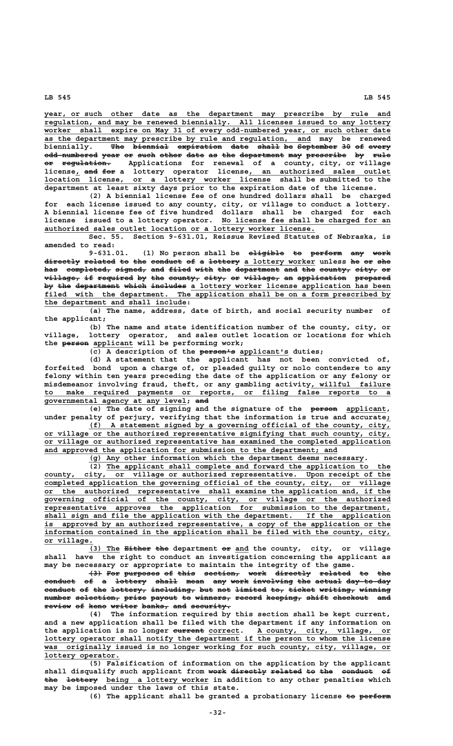**\_\_\_\_\_\_\_\_\_\_\_\_\_\_\_\_\_\_\_\_\_\_\_\_\_\_\_\_\_\_\_\_\_\_\_\_\_\_\_\_\_\_\_\_\_\_\_\_\_\_\_\_\_\_\_\_\_\_\_\_\_\_\_\_\_\_\_\_\_\_\_\_\_\_\_\_\_\_ year, or such other date as the department may prescribe by rule and \_\_\_\_\_\_\_\_\_\_\_\_\_\_\_\_\_\_\_\_\_\_\_\_\_\_\_\_\_\_\_\_\_\_\_\_\_\_\_\_\_\_\_\_\_\_\_\_\_\_\_\_\_\_\_\_\_\_\_\_\_\_\_\_\_\_\_\_\_\_\_\_\_\_\_\_\_\_ regulation, and may be renewed biennially. All licenses issued to any lottery \_\_\_\_\_\_\_\_\_\_\_\_\_\_\_\_\_\_\_\_\_\_\_\_\_\_\_\_\_\_\_\_\_\_\_\_\_\_\_\_\_\_\_\_\_\_\_\_\_\_\_\_\_\_\_\_\_\_\_\_\_\_\_\_\_\_\_\_\_\_\_\_\_\_\_\_\_\_ worker shall expire on May 31 of every odd-numbered year, or such other date \_\_\_\_\_\_\_\_\_\_\_\_\_\_\_\_\_\_\_\_\_\_\_\_\_\_\_\_\_\_\_\_\_\_\_\_\_\_\_\_\_\_\_\_\_\_\_\_\_\_\_\_\_\_\_\_\_\_\_\_ as the department may prescribe by rule and regulation, and may be renewed** biennially. The biennial expiration date shall be September 30 of every **odd-numbered year or such other date as the department may prescribe by rule ———————————— ———— —— ———— ————— ———— —— ——— —————————— ——— ————————— —— ———— —— ——————————— or regulation. Applications for renewal of a county, city, or village** license<sub>l</sub> and for a lottery operator license, an authorized sales outlet  $\overline{\text{location}}$  license, or a lottery worker license shall be submitted to the **department at least sixty days prior to the expiration date of the license.**

**(2) A biennial license fee of one hundred dollars shall be charged for each license issued to any county, city, or village to conduct a lottery. A biennial license fee of five hundred dollars shall be charged for each \_\_\_\_\_\_\_\_\_\_\_\_\_\_\_\_\_\_\_\_\_\_\_\_\_\_\_\_\_\_\_\_\_\_\_\_\_\_ license issued to a lottery operator. No license fee shall be charged for an \_\_\_\_\_\_\_\_\_\_\_\_\_\_\_\_\_\_\_\_\_\_\_\_\_\_\_\_\_\_\_\_\_\_\_\_\_\_\_\_\_\_\_\_\_\_\_\_\_\_\_\_\_\_\_\_\_\_\_\_\_ authorized sales outlet location or a lottery worker license.**

**Sec. 55. Section 9-631.01, Reissue Revised Statutes of Nebraska, is amended to read:**

9-631.01. (1) No person shall be eligible to perform any work directly related to the conduct of a lottery a lottery worker unless he or she has completed, signed, and filed with the department and the county, city, or  $v$ illage, if required by the county, city, or  $v$ illage, an application prepared by the department which includes a lottery worker license application has been filed with the department. The application shall be on a form prescribed by  **\_\_\_\_\_\_\_\_\_\_\_\_\_\_\_\_\_\_\_\_\_\_\_\_\_\_\_\_\_\_\_\_ the department and shall include:**

**(a) The name, address, date of birth, and social security number of the applicant;**

**(b) The name and state identification number of the county, city, or village, lottery operator, and sales outlet location or locations for which** the **person** applicant will be performing work;

 $(\overline{c})$  A description of the person<sup>1</sup>s applicant's duties;

**(d) A statement that the applicant has not been convicted of, forfeited bond upon a charge of, or pleaded guilty or nolo contendere to any felony within ten years preceding the date of the application or any felony or**  $m$ isdemeanor involving fraud, theft, or any gambling activity<u>, willful failure</u>  **\_\_\_\_\_\_\_\_\_\_\_\_\_\_\_\_\_\_\_\_\_\_\_\_\_\_\_\_\_\_\_\_\_\_\_\_\_\_\_\_\_\_\_\_\_\_\_\_\_\_\_\_\_\_\_\_\_\_\_\_\_\_\_\_\_\_\_\_\_\_\_\_\_\_\_\_\_\_ to make required payments or reports, or filing false reports to a \_\_\_\_\_\_\_\_\_\_\_\_\_\_\_\_\_\_\_\_\_\_\_\_\_\_\_\_\_\_\_\_ ——— governmental agency at any level; and**

(e) The date of signing and the signature of the **person** applicant, under penalty of perjury, verifying that the information is true and accurate<sub>*i*</sub>

 **\_\_\_\_\_\_\_\_\_\_\_\_\_\_\_\_\_\_\_\_\_\_\_\_\_\_\_\_\_\_\_\_\_\_\_\_\_\_\_\_\_\_\_\_\_\_\_\_\_\_\_\_\_\_\_\_\_\_\_\_\_\_\_\_\_\_\_\_ (f) A statement signed by a governing official of the county, city, \_\_\_\_\_\_\_\_\_\_\_\_\_\_\_\_\_\_\_\_\_\_\_\_\_\_\_\_\_\_\_\_\_\_\_\_\_\_\_\_\_\_\_\_\_\_\_\_\_\_\_\_\_\_\_\_\_\_\_\_\_\_\_\_\_\_\_\_\_\_\_\_\_\_\_\_\_\_ or village or the authorized representative signifying that such county, city, \_\_\_\_\_\_\_\_\_\_\_\_\_\_\_\_\_\_\_\_\_\_\_\_\_\_\_\_\_\_\_\_\_\_\_\_\_\_\_\_\_\_\_\_\_\_\_\_\_\_\_\_\_\_\_\_\_\_\_\_\_\_\_\_\_\_\_\_\_\_\_\_\_\_\_\_\_\_ or village or authorized representative has examined the completed application \_\_\_\_\_\_\_\_\_\_\_\_\_\_\_\_\_\_\_\_\_\_\_\_\_\_\_\_\_\_\_\_\_\_\_\_\_\_\_\_\_\_\_\_\_\_\_\_\_\_\_\_\_\_\_\_\_\_\_\_\_\_\_\_\_\_ and approved the application for submission to the department; and**

 **\_\_\_\_\_\_\_\_\_\_\_\_\_\_\_\_\_\_\_\_\_\_\_\_\_\_\_\_\_\_\_\_\_\_\_\_\_\_\_\_\_\_\_\_\_\_\_\_\_\_\_\_\_\_\_\_\_\_\_\_\_\_ (g) Any other information which the department deems necessary.**

 **\_\_\_\_\_\_\_\_\_\_\_\_\_\_\_\_\_\_\_\_\_\_\_\_\_\_\_\_\_\_\_\_\_\_\_\_\_\_\_\_\_\_\_\_\_\_\_\_\_\_\_\_\_\_\_\_\_\_\_\_\_\_\_\_ (2) The applicant shall complete and forward the application to the** county, city, or village or authorized representative. Upon receipt of the  **\_\_\_\_\_\_\_\_\_\_\_\_\_\_\_\_\_\_\_\_\_\_\_\_\_\_\_\_\_\_\_\_\_\_\_\_\_\_\_\_\_\_\_\_\_\_\_\_\_\_\_\_\_\_\_\_\_\_\_\_\_\_\_\_\_\_\_\_\_\_\_\_\_\_\_\_\_\_ completed application the governing official of the county, city, or village \_\_\_\_\_\_\_\_\_\_\_\_\_\_\_\_\_\_\_\_\_\_\_\_\_\_\_\_\_\_\_\_\_\_\_\_\_\_\_\_\_\_\_\_\_\_\_\_\_\_\_\_\_\_\_\_\_\_\_\_\_\_\_\_\_\_\_\_\_\_\_\_\_\_\_\_\_\_ or the authorized representative shall examine the application and, if the \_\_\_\_\_\_\_\_\_\_\_\_\_\_\_\_\_\_\_\_\_\_\_\_\_\_\_\_\_\_\_\_\_\_\_\_\_\_\_\_\_\_\_\_\_\_\_\_\_\_\_\_\_\_\_\_\_\_\_\_\_\_\_\_\_\_\_\_\_\_\_\_\_\_\_\_\_\_ governing official of the county, city, or village or the authorized \_\_\_\_\_\_\_\_\_\_\_\_\_\_\_\_\_\_\_\_\_\_\_\_\_\_\_\_\_\_\_\_\_\_\_\_\_\_\_\_\_\_\_\_\_\_\_\_\_\_\_\_\_\_\_\_\_\_\_\_\_\_\_\_\_\_\_\_\_\_\_\_\_\_\_\_\_\_ representative approves the application for submission to the department, \_\_\_\_\_\_\_\_\_\_\_\_\_\_\_\_\_\_\_\_\_\_\_\_\_\_\_\_\_\_\_\_\_\_\_\_\_\_\_\_\_\_\_\_\_\_\_\_\_\_\_\_\_\_\_\_\_\_\_\_\_\_\_\_\_\_\_\_\_\_\_\_\_\_\_\_\_\_ shall sign and file the application with the department. If the application** is approved by an authorized representative, a copy of the application or the  **\_\_\_\_\_\_\_\_\_\_\_\_\_\_\_\_\_\_\_\_\_\_\_\_\_\_\_\_\_\_\_\_\_\_\_\_\_\_\_\_\_\_\_\_\_\_\_\_\_\_\_\_\_\_\_\_\_\_\_\_\_\_\_\_\_\_\_\_\_\_\_\_\_\_\_\_\_\_ information contained in the application shall be filed with the county, city, or village. \_\_\_\_\_\_\_\_\_\_\_**

(3) The <del>Either the</del> department  $e^{x}$  and the county, city, or village shall have the right to conduct an investigation concerning the applicant as **shall have the right to conduct an investigation concerning the applicant as may be necessary or appropriate to maintain the integrity of the game.**

 $(3)$  For purposes of this section, work directly related to the conduct of a lottery shall mean any work involving the actual day-to-day conduct of the lottery, including, but not limited to, ticket writing, winning  $\frac{1}{n}$  selection, prize payout to winners, record keeping, shift checkout and review of keno writer banks<sub>7</sub> and security.

**(4) The information required by this section shall be kept current, and a new application shall be filed with the department if any information on ——————— \_\_\_\_\_\_\_ \_\_\_\_\_\_\_\_\_\_\_\_\_\_\_\_\_\_\_\_\_\_\_\_\_\_\_\_\_\_ the application is no longer current correct. A county, city, village, or \_\_\_\_\_\_\_\_\_\_\_\_\_\_\_\_\_\_\_\_\_\_\_\_\_\_\_\_\_\_\_\_\_\_\_\_\_\_\_\_\_\_\_\_\_\_\_\_\_\_\_\_\_\_\_\_\_\_\_\_\_\_\_\_\_\_\_\_\_\_\_\_\_\_\_\_\_\_ lottery operator shall notify the department if the person to whom the license \_\_\_\_\_\_\_\_\_\_\_\_\_\_\_\_\_\_\_\_\_\_\_\_\_\_\_\_\_\_\_\_\_\_\_\_\_\_\_\_\_\_\_\_\_\_\_\_\_\_\_\_\_\_\_\_\_\_\_\_\_\_\_\_\_\_\_\_\_\_\_\_\_\_\_\_\_\_ was originally issued is no longer working for such county, city, village, or lottery operator. \_\_\_\_\_\_\_\_\_\_\_\_\_\_\_\_\_**

**(5) Falsification of information on the application by the applicant** shall disqualify such applicant from work directly related to the conduct of the lottery being a lottery worker in addition to any other penalties which **may be imposed under the laws of this state.**

(6) The applicant shall be granted a probationary license to perform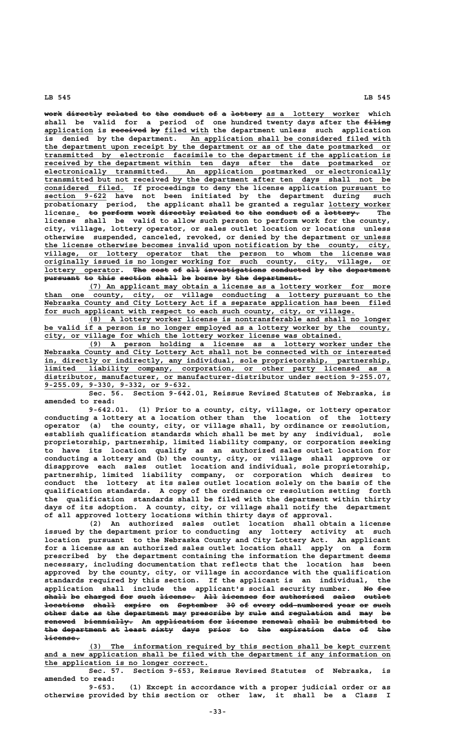work directly related to the conduct of a lottery as a lottery worker which shall be valid for a period of one hundred twenty days after the filing application is received by filed with the department unless such application is denied by the department. An application shall be considered filed with is denied by the department. An application shall be considered filed with  **\_\_\_\_\_\_\_\_\_\_\_\_\_\_\_\_\_\_\_\_\_\_\_\_\_\_\_\_\_\_\_\_\_\_\_\_\_\_\_\_\_\_\_\_\_\_\_\_\_\_\_\_\_\_\_\_\_\_\_\_\_\_\_\_\_\_\_\_\_\_\_\_\_\_\_\_\_\_ the department upon receipt by the department or as of the date postmarked or \_\_\_\_\_\_\_\_\_\_\_\_\_\_\_\_\_\_\_\_\_\_\_\_\_\_\_\_\_\_\_\_\_\_\_\_\_\_\_\_\_\_\_\_\_\_\_\_\_\_\_\_\_\_\_\_\_\_\_\_\_\_\_\_\_\_\_\_\_\_\_\_\_\_\_\_\_\_ transmitted by electronic facsimile to the department if the application is \_\_\_\_\_\_\_\_\_\_\_\_\_\_\_\_\_\_\_\_\_\_\_\_\_\_\_\_\_\_\_\_\_\_\_\_\_\_\_\_\_\_\_\_\_\_\_\_\_\_\_\_\_\_\_\_\_\_\_\_\_\_\_\_\_\_\_\_\_\_\_\_\_\_\_\_\_\_ received by the department within ten days after the date postmarked or \_\_\_\_\_\_\_\_\_\_\_\_\_\_\_\_\_\_\_\_\_\_\_\_\_\_\_\_\_\_\_\_\_\_\_\_\_\_\_\_\_\_\_\_\_\_\_\_\_\_\_\_\_\_\_\_\_\_\_\_\_\_\_\_\_\_\_\_\_\_\_\_\_\_\_\_\_\_ electronically transmitted. An application postmarked or electronically \_\_\_\_\_\_\_\_\_\_\_\_\_\_\_\_\_\_\_\_\_\_\_\_\_\_\_\_\_\_\_\_\_\_\_\_\_\_\_\_\_\_\_\_\_\_\_\_\_\_\_\_\_\_\_\_\_\_\_\_\_\_\_\_\_\_\_\_\_\_\_\_\_\_\_\_\_\_ transmitted but not received by the department after ten days shall not be \_\_\_\_\_\_\_\_\_\_\_\_\_\_\_\_\_\_ \_\_\_\_\_\_\_\_\_\_\_ considered filed. If proceedings to deny the license application pursuant to \_\_\_\_\_\_\_\_\_\_\_\_\_\_ section 9-622 have not been initiated by the department during such probationary period, the applicant shall be granted a regular lottery worker \_\_\_\_\_\_\_\_\_\_\_\_\_\_** license. <del>to perform work directly related</del> <del>to the conduct of a lottery.</del> The **license shall be valid to allow such person to perform work for the county, city, village, lottery operator, or sales outlet location or locations unless otherwise suspended, canceled, revoked, or denied by the department or unless \_\_\_\_\_\_\_\_\_ \_\_\_\_\_\_\_\_\_\_\_\_\_\_\_\_\_\_\_\_\_\_\_\_\_\_\_\_\_\_\_\_\_\_\_\_\_\_\_\_\_\_\_\_\_\_\_\_\_\_\_\_\_\_\_\_\_\_\_\_\_\_\_\_\_\_\_\_\_\_\_\_\_\_\_\_\_\_ the license otherwise becomes invalid upon notification by the county, city, \_\_\_\_\_\_\_\_\_\_\_\_\_\_\_\_\_\_\_\_\_\_\_\_\_\_\_\_\_\_\_\_\_\_\_\_\_\_\_\_\_\_\_\_\_\_\_\_\_\_\_\_\_\_\_\_\_\_\_\_\_\_\_\_\_\_\_\_\_\_\_\_\_\_\_\_\_\_ village, or lottery operator that the person to whom the license was \_\_\_\_\_\_\_\_\_\_\_\_\_\_\_\_\_\_\_\_\_\_\_\_\_\_\_\_\_\_\_\_\_\_\_\_\_\_\_\_\_\_\_\_\_\_\_\_\_\_\_\_\_\_\_\_\_\_\_\_\_\_\_\_\_\_\_\_\_\_\_\_\_\_\_\_\_\_ originally issued is no longer working for such county, city, village, or lottery operator. The cost of all investigations conducted by the department \_\_\_\_\_\_\_\_\_\_\_\_\_\_\_\_\_ ——— ———— —— ——— —————————————— ————————— —— ——— —————————** pursuant to this section shall be borne by the department.

 **\_\_\_\_\_\_\_\_\_\_\_\_\_\_\_\_\_\_\_\_\_\_\_\_\_\_\_\_\_\_\_\_\_\_\_\_\_\_\_\_\_\_\_\_\_\_\_\_\_\_\_\_\_\_\_\_\_\_\_\_\_\_\_\_\_\_\_\_ (7) An applicant may obtain a license as a lottery worker for more \_\_\_\_\_\_\_\_\_\_\_\_\_\_\_\_\_\_\_\_\_\_\_\_\_\_\_\_\_\_\_\_\_\_\_\_\_\_\_\_\_\_\_\_\_\_\_\_\_\_\_\_\_\_\_\_\_\_\_\_\_\_\_\_\_\_\_\_\_\_\_\_\_\_\_\_\_\_ than one county, city, or village conducting a lottery pursuant to the \_\_\_\_\_\_\_\_\_\_\_\_\_\_\_\_\_\_\_\_\_\_\_\_\_\_\_\_\_\_\_\_\_\_\_\_\_\_\_\_\_\_\_\_\_\_\_\_\_\_\_\_\_\_\_\_\_\_\_\_\_\_\_\_\_\_\_\_\_\_\_\_\_\_\_\_\_\_ Nebraska County and City Lottery Act if a separate application has been filed \_\_\_\_\_\_\_\_\_\_\_\_\_\_\_\_\_\_\_\_\_\_\_\_\_\_\_\_\_\_\_\_\_\_\_\_\_\_\_\_\_\_\_\_\_\_\_\_\_\_\_\_\_\_\_\_\_\_\_\_\_\_\_\_\_\_\_\_\_\_ for such applicant with respect to each such county, city, or village.**

 **\_\_\_\_\_\_\_\_\_\_\_\_\_\_\_\_\_\_\_\_\_\_\_\_\_\_\_\_\_\_\_\_\_\_\_\_\_\_\_\_\_\_\_\_\_\_\_\_\_\_\_\_\_\_\_\_\_\_\_\_\_\_\_\_\_\_\_\_ (8) A lottery worker license is nontransferable and shall no longer** be valid if a person is no longer employed as a lottery worker by the county,  **\_\_\_\_\_\_\_\_\_\_\_\_\_\_\_\_\_\_\_\_\_\_\_\_\_\_\_\_\_\_\_\_\_\_\_\_\_\_\_\_\_\_\_\_\_\_\_\_\_\_\_\_\_\_\_\_\_\_\_\_\_\_\_\_\_\_\_ city, or village for which the lottery worker license was obtained.**

 **\_\_\_\_\_\_\_\_\_\_\_\_\_\_\_\_\_\_\_\_\_\_\_\_\_\_\_\_\_\_\_\_\_\_\_\_\_\_\_\_\_\_\_\_\_\_\_\_\_\_\_\_\_\_\_\_\_\_\_\_\_\_\_\_\_\_\_\_ (9) A person holding a license as a lottery worker under the \_\_\_\_\_\_\_\_\_\_\_\_\_\_\_\_\_\_\_\_\_\_\_\_\_\_\_\_\_\_\_\_\_\_\_\_\_\_\_\_\_\_\_\_\_\_\_\_\_\_\_\_\_\_\_\_\_\_\_\_\_\_\_\_\_\_\_\_\_\_\_\_\_\_\_\_\_\_ Nebraska County and City Lottery Act shall not be connected with or interested \_\_\_\_\_\_\_\_\_\_\_\_\_\_\_\_\_\_\_\_\_\_\_\_\_\_\_\_\_\_\_\_\_\_\_\_\_\_\_\_\_\_\_\_\_\_\_\_\_\_\_\_\_\_\_\_\_\_\_\_\_\_\_\_\_\_\_\_\_\_\_\_\_\_\_\_\_\_ in, directly or indirectly, any individual, sole proprietorship, partnership, \_\_\_\_\_\_\_\_\_\_\_\_\_\_\_\_\_\_\_\_\_\_\_\_\_\_\_\_\_\_\_\_\_\_\_\_\_\_\_\_\_\_\_\_\_\_\_\_\_\_\_\_\_\_\_\_\_\_\_\_\_\_\_\_\_\_\_\_\_\_\_\_\_\_\_\_\_\_ limited liability company, corporation, or other party licensed as a \_\_\_\_\_\_\_\_\_\_\_\_\_\_\_\_\_\_\_\_\_\_\_\_\_\_\_\_\_\_\_\_\_\_\_\_\_\_\_\_\_\_\_\_\_\_\_\_\_\_\_\_\_\_\_\_\_\_\_\_\_\_\_\_\_\_\_\_\_\_\_\_\_\_\_\_\_\_ distributor, manufacturer, or manufacturer-distributor under section 9-255.07, \_\_\_\_\_\_\_\_\_\_\_\_\_\_\_\_\_\_\_\_\_\_\_\_\_\_\_\_\_\_\_\_\_ 9-255.09, 9-330, 9-332, or 9-632.**

**Sec. 56. Section 9-642.01, Reissue Revised Statutes of Nebraska, is amended to read:**

**9-642.01. (1) Prior to a county, city, village, or lottery operator conducting a lottery at a location other than the location of the lottery operator (a) the county, city, or village shall, by ordinance or resolution, establish qualification standards which shall be met by any individual, sole proprietorship, partnership, limited liability company, or corporation seeking to have its location qualify as an authorized sales outlet location for conducting a lottery and (b) the county, city, or village shall approve or disapprove each sales outlet location and individual, sole proprietorship, partnership, limited liability company, or corporation which desires to conduct the lottery at its sales outlet location solely on the basis of the qualification standards. A copy of the ordinance or resolution setting forth the qualification standards shall be filed with the department within thirty days of its adoption. A county, city, or village shall notify the department of all approved lottery locations within thirty days of approval.**

**(2) An authorized sales outlet location shall obtain a license issued by the department prior to conducting any lottery activity at such location pursuant to the Nebraska County and City Lottery Act. An applicant for a license as an authorized sales outlet location shall apply on a form prescribed by the department containing the information the department deems necessary, including documentation that reflects that the location has been approved by the county, city, or village in accordance with the qualification standards required by this section. If the applicant is an individual, the** application shall include the applicant's social security number. No fee shall be charged for such license. All licenses for authorized sales outlet  $1$ ocations shall expire on September 30 of every odd-numbered year or such other date as the department may prescribe by rule and regulation and may be renewed biennially. An application for license renewal shall be submitted to the department at least sixty days prior to the expiration date of the  $\textcolor{red}{\texttt{H}}$ 

 **\_\_\_\_\_\_\_\_\_\_\_\_\_\_\_\_\_\_\_\_\_\_\_\_\_\_\_\_\_\_\_\_\_\_\_\_\_\_\_\_\_\_\_\_\_\_\_\_\_\_\_\_\_\_\_\_\_\_\_\_\_\_\_\_\_\_\_\_ (3) The information required by this section shall be kept current** and a new application shall be filed with the department if any information on  **\_\_\_\_\_\_\_\_\_\_\_\_\_\_\_\_\_\_\_\_\_\_\_\_\_\_\_\_\_\_\_\_\_\_\_\_\_ the application is no longer correct.**

**Sec. 57. Section 9-653, Reissue Revised Statutes of Nebraska, is amended to read:**

**9-653. (1) Except in accordance with a proper judicial order or as otherwise provided by this section or other law, it shall be a Class I**